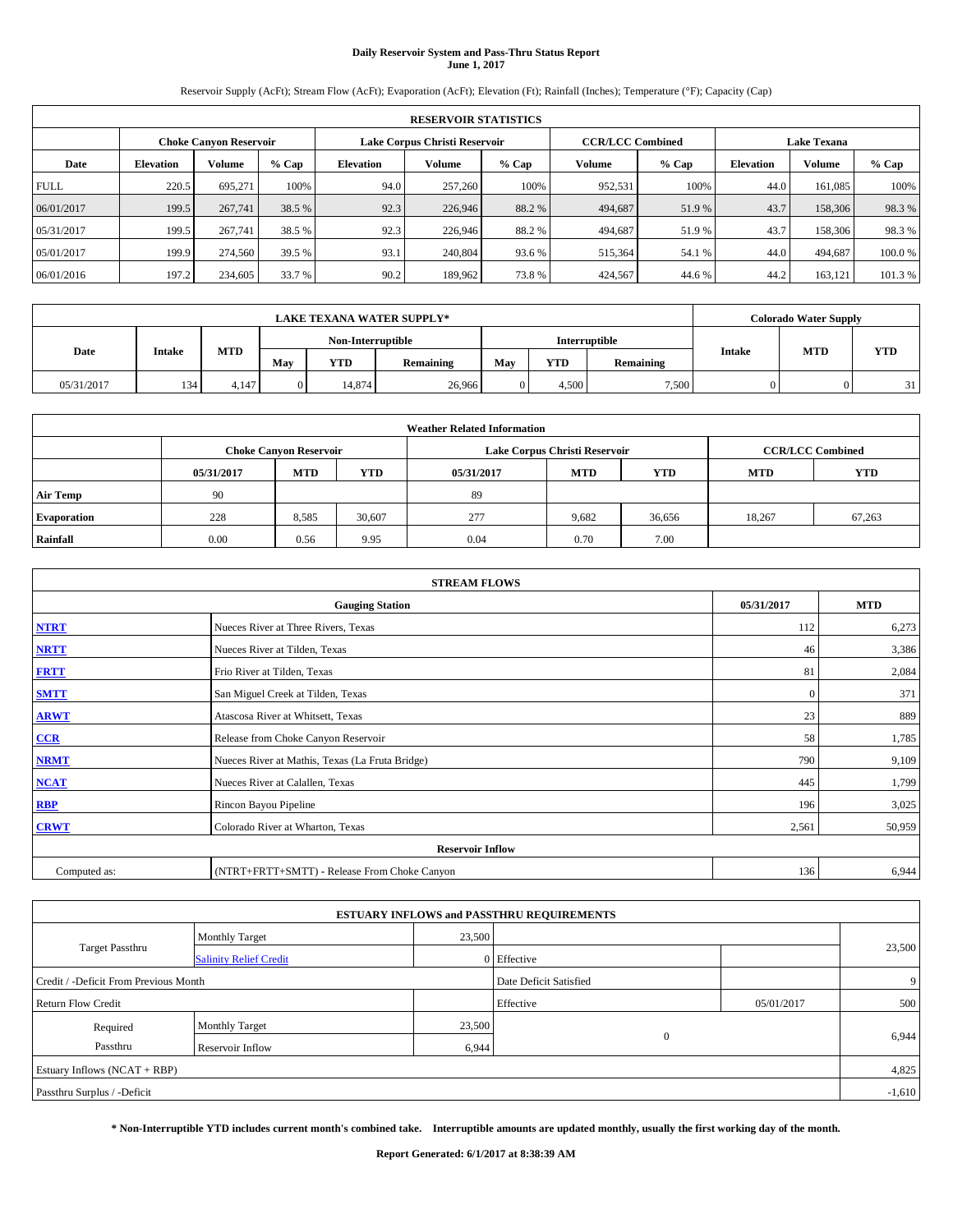# **Daily Reservoir System and Pass-Thru Status Report June 1, 2017**

Reservoir Supply (AcFt); Stream Flow (AcFt); Evaporation (AcFt); Elevation (Ft); Rainfall (Inches); Temperature (°F); Capacity (Cap)

|             | <b>RESERVOIR STATISTICS</b>   |         |         |           |                                                          |         |         |         |                    |               |         |  |
|-------------|-------------------------------|---------|---------|-----------|----------------------------------------------------------|---------|---------|---------|--------------------|---------------|---------|--|
|             | <b>Choke Canyon Reservoir</b> |         |         |           | <b>CCR/LCC Combined</b><br>Lake Corpus Christi Reservoir |         |         |         | <b>Lake Texana</b> |               |         |  |
| Date        | <b>Elevation</b>              | Volume  | $%$ Cap | Elevation | Volume                                                   | $%$ Cap | Volume  | $%$ Cap | <b>Elevation</b>   | <b>Volume</b> | % Cap   |  |
| <b>FULL</b> | 220.5                         | 695.271 | 100%    | 94.0      | 257,260                                                  | 100%    | 952,531 | 100%    | 44.0               | 161.085       | 100%    |  |
| 06/01/2017  | 199.5                         | 267,741 | 38.5 %  | 92.3      | 226,946                                                  | 88.2 %  | 494,687 | 51.9%   | 43.7               | 158,306       | 98.3%   |  |
| 05/31/2017  | 199.5                         | 267,741 | 38.5 %  | 92.3      | 226,946                                                  | 88.2 %  | 494,687 | 51.9 %  | 43.7               | 158,306       | 98.3%   |  |
| 05/01/2017  | 199.9                         | 274,560 | 39.5 %  | 93.1      | 240,804                                                  | 93.6 %  | 515,364 | 54.1 %  | 44.0               | 494.687       | 100.0%  |  |
| 06/01/2016  | 197.2                         | 234,605 | 33.7 %  | 90.2      | 189,962                                                  | 73.8%   | 424,567 | 44.6 %  | 44.2               | 163,121       | 101.3 % |  |

|            | <b>LAKE TEXANA WATER SUPPLY*</b> |            |              |                   |           |     |               |           |        |            | <b>Colorado Water Supply</b> |  |  |
|------------|----------------------------------|------------|--------------|-------------------|-----------|-----|---------------|-----------|--------|------------|------------------------------|--|--|
|            |                                  |            |              | Non-Interruptible |           |     | Interruptible |           |        |            |                              |  |  |
| Date       | Intake                           | <b>MTD</b> | May          | <b>YTD</b>        | Remaining | May | <b>YTD</b>    | Remaining | Intake | <b>MTD</b> | <b>YTD</b>                   |  |  |
| 05/31/2017 | 134                              | 4.147      | $\mathbf{0}$ | 14,874            | 26,966    |     | 4.500         | 7,500     |        |            | 31                           |  |  |

| <b>Weather Related Information</b> |                                                                                                |                               |        |      |                               |                         |        |        |  |  |
|------------------------------------|------------------------------------------------------------------------------------------------|-------------------------------|--------|------|-------------------------------|-------------------------|--------|--------|--|--|
|                                    |                                                                                                | <b>Choke Canyon Reservoir</b> |        |      | Lake Corpus Christi Reservoir | <b>CCR/LCC Combined</b> |        |        |  |  |
|                                    | <b>YTD</b><br><b>MTD</b><br><b>MTD</b><br><b>YTD</b><br><b>MTD</b><br>05/31/2017<br>05/31/2017 |                               |        |      |                               |                         |        |        |  |  |
| <b>Air Temp</b>                    | 90                                                                                             |                               |        | 89   |                               |                         |        |        |  |  |
| <b>Evaporation</b>                 | 228                                                                                            | 8,585                         | 30,607 | 277  | 9,682                         | 36,656                  | 18.267 | 67,263 |  |  |
| Rainfall                           | 0.00                                                                                           | 0.56                          | 9.95   | 0.04 | 0.70                          | 7.00                    |        |        |  |  |

| <b>STREAM FLOWS</b> |                                                 |              |            |  |  |  |  |  |  |
|---------------------|-------------------------------------------------|--------------|------------|--|--|--|--|--|--|
|                     | <b>Gauging Station</b>                          | 05/31/2017   | <b>MTD</b> |  |  |  |  |  |  |
| <b>NTRT</b>         | Nueces River at Three Rivers, Texas             | 112          | 6,273      |  |  |  |  |  |  |
| <b>NRTT</b>         | Nueces River at Tilden, Texas                   |              |            |  |  |  |  |  |  |
| <b>FRTT</b>         | 81                                              | 2,084        |            |  |  |  |  |  |  |
| <b>SMTT</b>         | San Miguel Creek at Tilden, Texas               | $\mathbf{0}$ | 371        |  |  |  |  |  |  |
| <b>ARWT</b>         | 23                                              | 889          |            |  |  |  |  |  |  |
| $CCR$               | Release from Choke Canyon Reservoir             | 58           | 1,785      |  |  |  |  |  |  |
| <b>NRMT</b>         | Nueces River at Mathis, Texas (La Fruta Bridge) | 790          | 9,109      |  |  |  |  |  |  |
| <b>NCAT</b>         | Nueces River at Calallen, Texas                 | 445          | 1,799      |  |  |  |  |  |  |
| RBP                 | Rincon Bayou Pipeline                           | 196          | 3,025      |  |  |  |  |  |  |
| <b>CRWT</b>         | Colorado River at Wharton, Texas                | 2,561        | 50,959     |  |  |  |  |  |  |
|                     | <b>Reservoir Inflow</b>                         |              |            |  |  |  |  |  |  |
| Computed as:        | (NTRT+FRTT+SMTT) - Release From Choke Canyon    | 136          | 6,944      |  |  |  |  |  |  |

| <b>ESTUARY INFLOWS and PASSTHRU REQUIREMENTS</b> |                               |        |                        |            |        |  |  |  |  |  |
|--------------------------------------------------|-------------------------------|--------|------------------------|------------|--------|--|--|--|--|--|
|                                                  | <b>Monthly Target</b>         | 23,500 |                        |            |        |  |  |  |  |  |
| <b>Target Passthru</b>                           | <b>Salinity Relief Credit</b> |        | 0 Effective            |            | 23,500 |  |  |  |  |  |
| Credit / -Deficit From Previous Month            |                               |        | Date Deficit Satisfied |            | 9      |  |  |  |  |  |
| <b>Return Flow Credit</b>                        |                               |        | Effective              | 05/01/2017 | 500    |  |  |  |  |  |
| Required                                         | <b>Monthly Target</b>         | 23,500 |                        |            |        |  |  |  |  |  |
| Passthru                                         | <b>Reservoir Inflow</b>       | 6,944  | $\theta$               |            | 6,944  |  |  |  |  |  |
| Estuary Inflows (NCAT + RBP)                     |                               |        |                        |            | 4,825  |  |  |  |  |  |
| Passthru Surplus / -Deficit                      |                               |        |                        |            |        |  |  |  |  |  |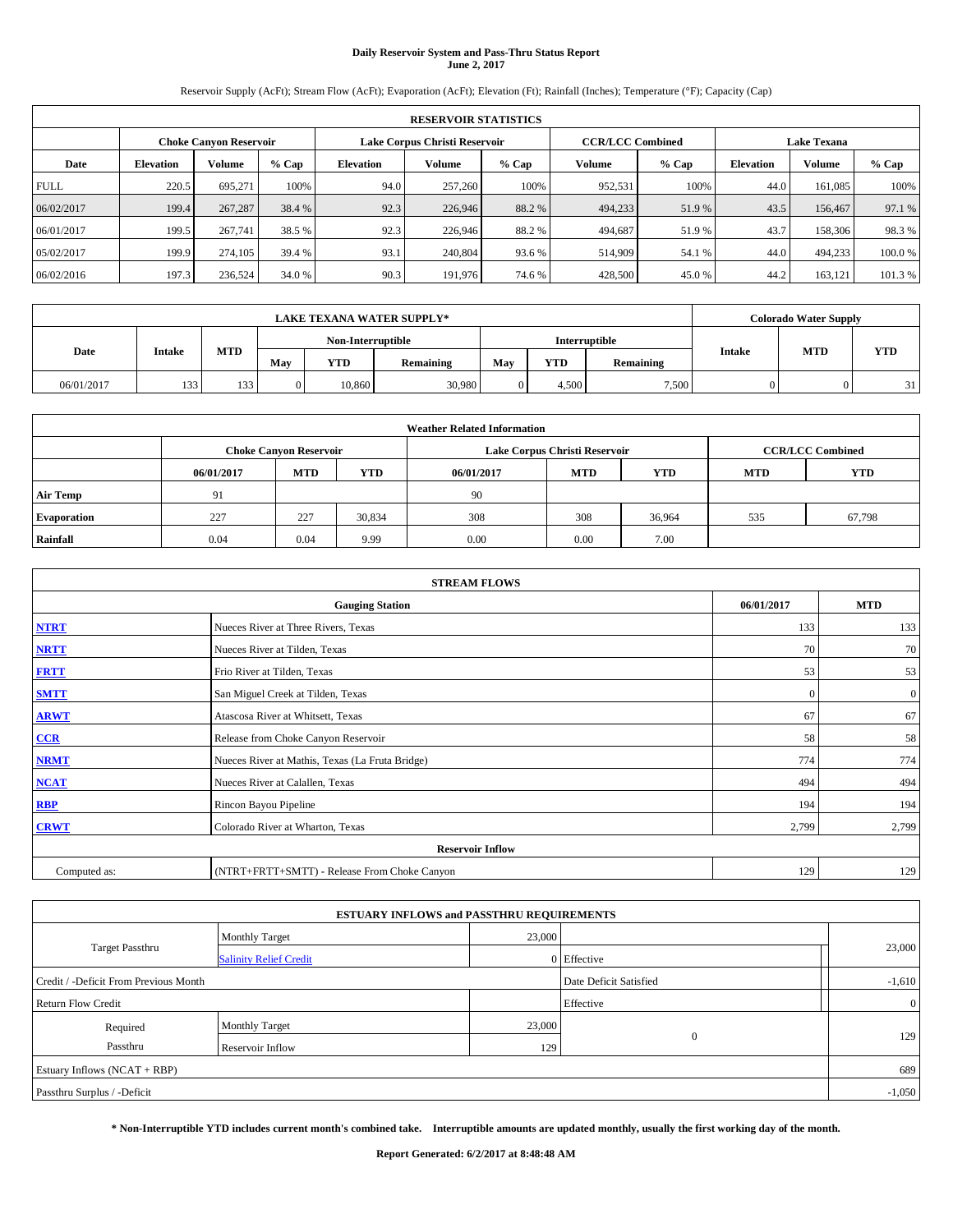# **Daily Reservoir System and Pass-Thru Status Report June 2, 2017**

Reservoir Supply (AcFt); Stream Flow (AcFt); Evaporation (AcFt); Elevation (Ft); Rainfall (Inches); Temperature (°F); Capacity (Cap)

|             | <b>RESERVOIR STATISTICS</b>   |         |         |           |                                                          |         |         |         |                    |               |         |  |
|-------------|-------------------------------|---------|---------|-----------|----------------------------------------------------------|---------|---------|---------|--------------------|---------------|---------|--|
|             | <b>Choke Canyon Reservoir</b> |         |         |           | <b>CCR/LCC Combined</b><br>Lake Corpus Christi Reservoir |         |         |         | <b>Lake Texana</b> |               |         |  |
| Date        | <b>Elevation</b>              | Volume  | $%$ Cap | Elevation | Volume                                                   | $%$ Cap | Volume  | $%$ Cap | <b>Elevation</b>   | <b>Volume</b> | % Cap   |  |
| <b>FULL</b> | 220.5                         | 695.271 | 100%    | 94.0      | 257,260                                                  | 100%    | 952,531 | 100%    | 44.0               | 161.085       | 100%    |  |
| 06/02/2017  | 199.4                         | 267,287 | 38.4 %  | 92.3      | 226,946                                                  | 88.2 %  | 494,233 | 51.9 %  | 43.5               | 156,467       | 97.1 %  |  |
| 06/01/2017  | 199.5                         | 267,741 | 38.5 %  | 92.3      | 226,946                                                  | 88.2 %  | 494,687 | 51.9 %  | 43.7               | 158,306       | 98.3%   |  |
| 05/02/2017  | 199.9                         | 274,105 | 39.4 %  | 93.1      | 240,804                                                  | 93.6 %  | 514,909 | 54.1 %  | 44.0               | 494,233       | 100.0%  |  |
| 06/02/2016  | 197.3                         | 236,524 | 34.0 %  | 90.3      | 191,976                                                  | 74.6 %  | 428,500 | 45.0%   | 44.2               | 163,121       | 101.3 % |  |

|            | <b>LAKE TEXANA WATER SUPPLY*</b> |            |                   |            |                  |     |       |               |        |            | <b>Colorado Water Supply</b> |  |  |
|------------|----------------------------------|------------|-------------------|------------|------------------|-----|-------|---------------|--------|------------|------------------------------|--|--|
|            |                                  |            | Non-Interruptible |            |                  |     |       | Interruptible |        |            |                              |  |  |
| Date       | Intake                           | <b>MTD</b> | May               | <b>YTD</b> | <b>Remaining</b> | May | YTD   | Remaining     | Intake | <b>MTD</b> | <b>YTD</b>                   |  |  |
| 06/01/2017 | 133                              | 133        | 0                 | 10.860     | 30,980           |     | 4.500 | 7,500         |        |            | 31                           |  |  |

| <b>Weather Related Information</b> |                                                                                                |                               |        |      |                               |                         |     |        |  |  |
|------------------------------------|------------------------------------------------------------------------------------------------|-------------------------------|--------|------|-------------------------------|-------------------------|-----|--------|--|--|
|                                    |                                                                                                | <b>Choke Canyon Reservoir</b> |        |      | Lake Corpus Christi Reservoir | <b>CCR/LCC Combined</b> |     |        |  |  |
|                                    | <b>YTD</b><br><b>MTD</b><br><b>MTD</b><br><b>YTD</b><br>06/01/2017<br>06/01/2017<br><b>MTD</b> |                               |        |      |                               |                         |     |        |  |  |
| <b>Air Temp</b>                    | 91                                                                                             |                               |        | 90   |                               |                         |     |        |  |  |
| <b>Evaporation</b>                 | 227                                                                                            | 227                           | 30,834 | 308  | 308                           | 36,964                  | 535 | 67,798 |  |  |
| Rainfall                           | 0.04                                                                                           | 0.04                          | 9.99   | 0.00 | 0.00                          | 7.00                    |     |        |  |  |

| <b>STREAM FLOWS</b> |                                                 |            |                |  |  |  |  |  |  |
|---------------------|-------------------------------------------------|------------|----------------|--|--|--|--|--|--|
|                     | <b>Gauging Station</b>                          | 06/01/2017 | <b>MTD</b>     |  |  |  |  |  |  |
| <b>NTRT</b>         | Nueces River at Three Rivers, Texas             | 133        | 133            |  |  |  |  |  |  |
| <b>NRTT</b>         | Nueces River at Tilden, Texas                   | 70         | 70             |  |  |  |  |  |  |
| <b>FRTT</b>         | Frio River at Tilden, Texas                     | 53         | 53             |  |  |  |  |  |  |
| <b>SMTT</b>         | San Miguel Creek at Tilden, Texas               | $\Omega$   | $\overline{0}$ |  |  |  |  |  |  |
| <b>ARWT</b>         | Atascosa River at Whitsett, Texas               | 67         | 67             |  |  |  |  |  |  |
| $CCR$               | Release from Choke Canyon Reservoir             | 58         | 58             |  |  |  |  |  |  |
| <b>NRMT</b>         | Nueces River at Mathis, Texas (La Fruta Bridge) | 774        | 774            |  |  |  |  |  |  |
| <b>NCAT</b>         | Nueces River at Calallen, Texas                 | 494        | 494            |  |  |  |  |  |  |
| RBP                 | Rincon Bayou Pipeline                           | 194        | 194            |  |  |  |  |  |  |
| <b>CRWT</b>         | Colorado River at Wharton, Texas                | 2,799      | 2,799          |  |  |  |  |  |  |
|                     | <b>Reservoir Inflow</b>                         |            |                |  |  |  |  |  |  |
| Computed as:        | (NTRT+FRTT+SMTT) - Release From Choke Canyon    |            |                |  |  |  |  |  |  |

| <b>ESTUARY INFLOWS and PASSTHRU REQUIREMENTS</b> |                               |        |                        |                |  |  |  |  |  |  |
|--------------------------------------------------|-------------------------------|--------|------------------------|----------------|--|--|--|--|--|--|
|                                                  | <b>Monthly Target</b>         | 23,000 |                        |                |  |  |  |  |  |  |
| <b>Target Passthru</b>                           | <b>Salinity Relief Credit</b> |        | 0 Effective            | 23,000         |  |  |  |  |  |  |
| Credit / -Deficit From Previous Month            |                               |        | Date Deficit Satisfied | $-1,610$       |  |  |  |  |  |  |
| <b>Return Flow Credit</b>                        |                               |        | Effective              | $\overline{0}$ |  |  |  |  |  |  |
| Required                                         | <b>Monthly Target</b>         | 23,000 |                        |                |  |  |  |  |  |  |
| Passthru                                         | Reservoir Inflow              | 129    | $\mathbf{0}$           | 129            |  |  |  |  |  |  |
| Estuary Inflows (NCAT + RBP)                     |                               |        |                        | 689            |  |  |  |  |  |  |
| Passthru Surplus / -Deficit                      |                               |        |                        |                |  |  |  |  |  |  |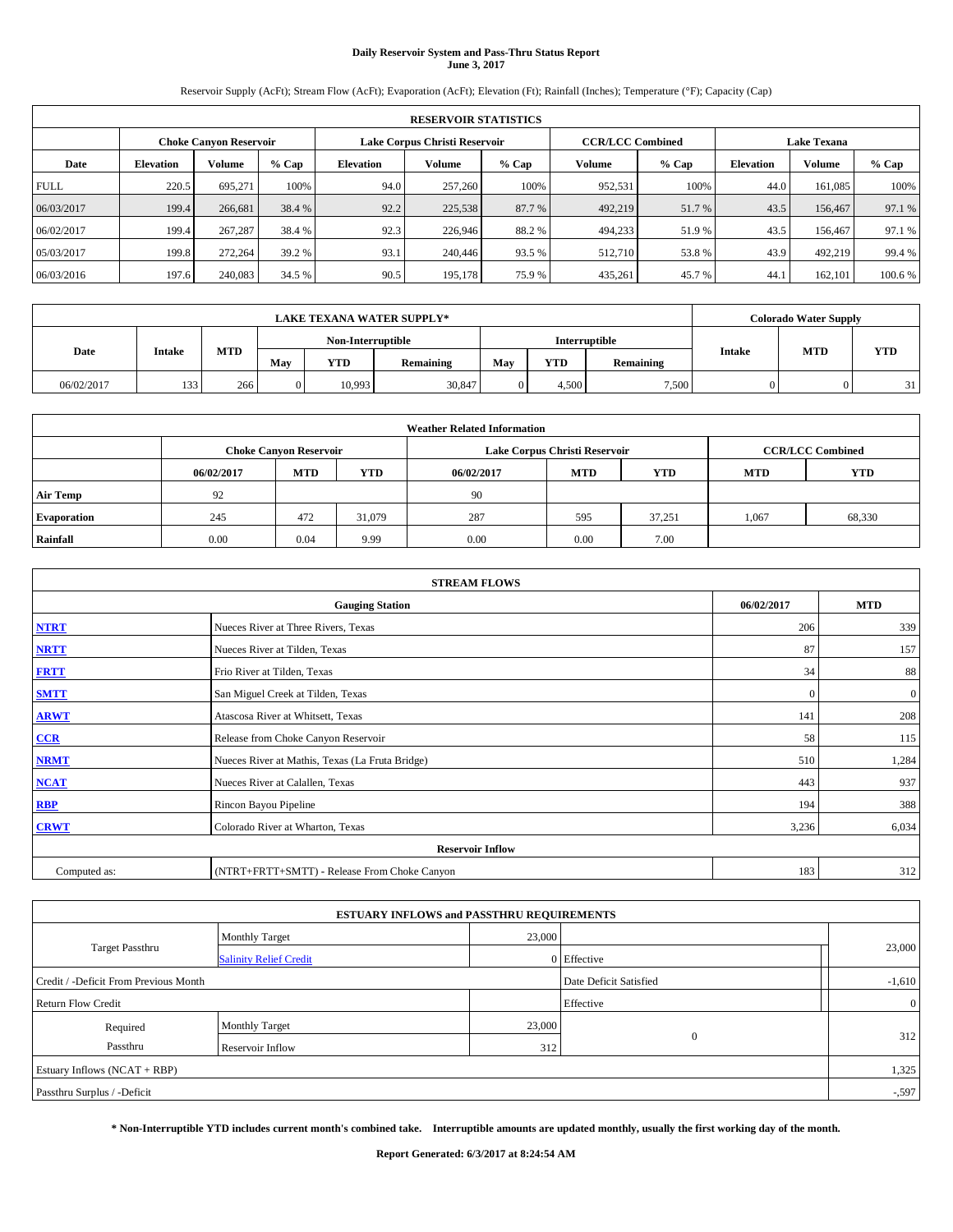# **Daily Reservoir System and Pass-Thru Status Report June 3, 2017**

Reservoir Supply (AcFt); Stream Flow (AcFt); Evaporation (AcFt); Elevation (Ft); Rainfall (Inches); Temperature (°F); Capacity (Cap)

|             | <b>RESERVOIR STATISTICS</b>   |         |         |           |                               |         |                         |         |                    |               |         |  |
|-------------|-------------------------------|---------|---------|-----------|-------------------------------|---------|-------------------------|---------|--------------------|---------------|---------|--|
|             | <b>Choke Canyon Reservoir</b> |         |         |           | Lake Corpus Christi Reservoir |         | <b>CCR/LCC Combined</b> |         | <b>Lake Texana</b> |               |         |  |
| Date        | <b>Elevation</b>              | Volume  | $%$ Cap | Elevation | Volume                        | $%$ Cap | Volume                  | $%$ Cap | <b>Elevation</b>   | <b>Volume</b> | % Cap   |  |
| <b>FULL</b> | 220.5                         | 695.271 | 100%    | 94.0      | 257,260                       | 100%    | 952,531                 | 100%    | 44.0               | 161.085       | 100%    |  |
| 06/03/2017  | 199.4                         | 266,681 | 38.4 %  | 92.2      | 225,538                       | 87.7 %  | 492,219                 | 51.7 %  | 43.5               | 156,467       | 97.1 %  |  |
| 06/02/2017  | 199.4                         | 267,287 | 38.4 %  | 92.3      | 226,946                       | 88.2 %  | 494,233                 | 51.9 %  | 43.5               | 156,467       | 97.1 %  |  |
| 05/03/2017  | 199.8                         | 272,264 | 39.2 %  | 93.1      | 240,446                       | 93.5 %  | 512.710                 | 53.8%   | 43.9               | 492,219       | 99.4 %  |  |
| 06/03/2016  | 197.6                         | 240,083 | 34.5 %  | 90.5      | 195,178                       | 75.9%   | 435,261                 | 45.7%   | 44.                | 162,101       | 100.6 % |  |

|            | <b>LAKE TEXANA WATER SUPPLY*</b> |            |                   |            |           |     |       |               |        |            | <b>Colorado Water Supply</b> |  |  |
|------------|----------------------------------|------------|-------------------|------------|-----------|-----|-------|---------------|--------|------------|------------------------------|--|--|
|            |                                  |            | Non-Interruptible |            |           |     |       | Interruptible |        |            |                              |  |  |
| Date       | Intake                           | <b>MTD</b> | May               | <b>YTD</b> | Remaining | May | YTD   | Remaining     | Intake | <b>MTD</b> | <b>YTD</b>                   |  |  |
| 06/02/2017 | 133                              | 266        | 0                 | 10.993     | 30,847    |     | 4.500 | 7,500         |        |            | 31                           |  |  |

| <b>Weather Related Information</b> |            |                               |            |            |                               |                         |            |            |  |  |
|------------------------------------|------------|-------------------------------|------------|------------|-------------------------------|-------------------------|------------|------------|--|--|
|                                    |            | <b>Choke Canyon Reservoir</b> |            |            | Lake Corpus Christi Reservoir | <b>CCR/LCC Combined</b> |            |            |  |  |
|                                    | 06/02/2017 | <b>MTD</b>                    | <b>YTD</b> | 06/02/2017 | <b>MTD</b>                    | <b>YTD</b>              | <b>MTD</b> | <b>YTD</b> |  |  |
| <b>Air Temp</b>                    | 92         |                               |            | 90         |                               |                         |            |            |  |  |
| <b>Evaporation</b>                 | 245        | 472                           | 31.079     | 287        | 595                           | 37.251                  | 1,067      | 68,330     |  |  |
| Rainfall                           | 0.00       | 0.04                          | 9.99       | 0.00       | 0.00                          | 7.00                    |            |            |  |  |

| <b>STREAM FLOWS</b> |                                                 |              |                  |  |  |  |  |  |  |
|---------------------|-------------------------------------------------|--------------|------------------|--|--|--|--|--|--|
|                     | 06/02/2017                                      | <b>MTD</b>   |                  |  |  |  |  |  |  |
| <b>NTRT</b>         | Nueces River at Three Rivers, Texas             | 206          | 339              |  |  |  |  |  |  |
| <b>NRTT</b>         | Nueces River at Tilden, Texas                   | 87           | 157              |  |  |  |  |  |  |
| <b>FRTT</b>         | Frio River at Tilden, Texas                     | 34           | 88               |  |  |  |  |  |  |
| <b>SMTT</b>         | San Miguel Creek at Tilden, Texas               | $\mathbf{0}$ | $\boldsymbol{0}$ |  |  |  |  |  |  |
| <b>ARWT</b>         | Atascosa River at Whitsett, Texas               | 141          | 208              |  |  |  |  |  |  |
| $CCR$               | Release from Choke Canyon Reservoir             | 58           | 115              |  |  |  |  |  |  |
| <b>NRMT</b>         | Nueces River at Mathis, Texas (La Fruta Bridge) | 510          | 1,284            |  |  |  |  |  |  |
| <b>NCAT</b>         | Nueces River at Calallen, Texas                 | 443          | 937              |  |  |  |  |  |  |
| RBP                 | Rincon Bayou Pipeline                           | 194          | 388              |  |  |  |  |  |  |
| <b>CRWT</b>         | Colorado River at Wharton, Texas                | 3,236        | 6,034            |  |  |  |  |  |  |
|                     | <b>Reservoir Inflow</b>                         |              |                  |  |  |  |  |  |  |
| Computed as:        | 183                                             | 312          |                  |  |  |  |  |  |  |

|                                       | <b>ESTUARY INFLOWS and PASSTHRU REQUIREMENTS</b> |           |                        |          |  |  |  |
|---------------------------------------|--------------------------------------------------|-----------|------------------------|----------|--|--|--|
|                                       | <b>Monthly Target</b>                            | 23,000    |                        |          |  |  |  |
| Target Passthru                       | <b>Salinity Relief Credit</b>                    |           | 0 Effective            | 23,000   |  |  |  |
| Credit / -Deficit From Previous Month |                                                  |           | Date Deficit Satisfied | $-1,610$ |  |  |  |
| <b>Return Flow Credit</b>             |                                                  | Effective | $\overline{0}$         |          |  |  |  |
| Required                              | <b>Monthly Target</b>                            | 23,000    |                        |          |  |  |  |
| Passthru                              | Reservoir Inflow                                 | 312       | $\Omega$               | 312      |  |  |  |
| Estuary Inflows (NCAT + RBP)          |                                                  |           |                        |          |  |  |  |
| Passthru Surplus / -Deficit           |                                                  |           |                        |          |  |  |  |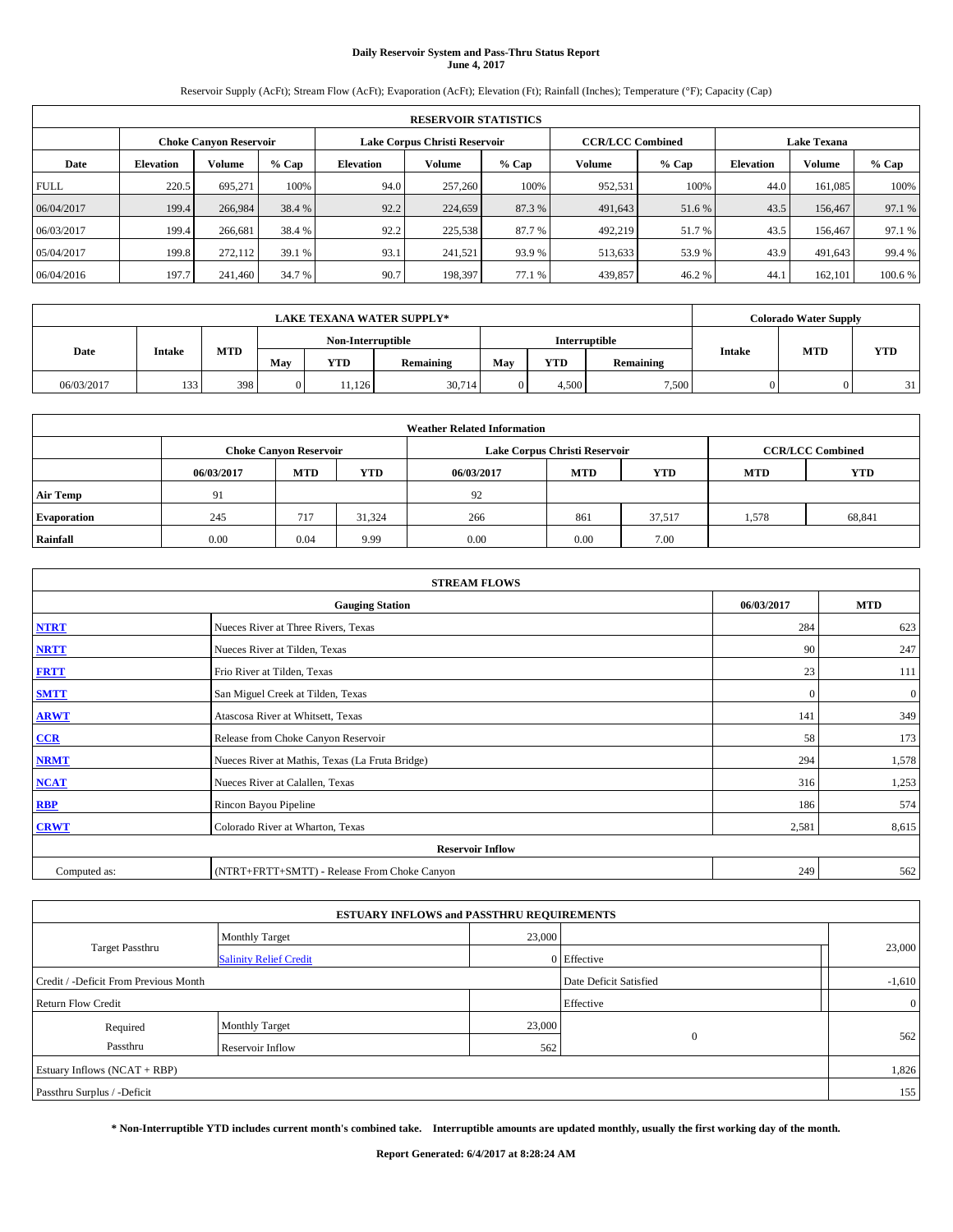# **Daily Reservoir System and Pass-Thru Status Report June 4, 2017**

Reservoir Supply (AcFt); Stream Flow (AcFt); Evaporation (AcFt); Elevation (Ft); Rainfall (Inches); Temperature (°F); Capacity (Cap)

| <b>RESERVOIR STATISTICS</b> |                  |                               |         |           |                               |         |                         |         |                  |                    |         |
|-----------------------------|------------------|-------------------------------|---------|-----------|-------------------------------|---------|-------------------------|---------|------------------|--------------------|---------|
|                             |                  | <b>Choke Canyon Reservoir</b> |         |           | Lake Corpus Christi Reservoir |         | <b>CCR/LCC Combined</b> |         |                  | <b>Lake Texana</b> |         |
| Date                        | <b>Elevation</b> | Volume                        | $%$ Cap | Elevation | Volume                        | $%$ Cap | Volume                  | $%$ Cap | <b>Elevation</b> | <b>Volume</b>      | % Cap   |
| <b>FULL</b>                 | 220.5            | 695.271                       | 100%    | 94.0      | 257,260                       | 100%    | 952,531                 | 100%    | 44.0             | 161.085            | 100%    |
| 06/04/2017                  | 199.4            | 266,984                       | 38.4 %  | 92.2      | 224,659                       | 87.3 %  | 491,643                 | 51.6 %  | 43.5             | 156,467            | 97.1 %  |
| 06/03/2017                  | 199.4            | 266,681                       | 38.4 %  | 92.2      | 225,538                       | 87.7 %  | 492,219                 | 51.7 %  | 43.5             | 156,467            | 97.1 %  |
| 05/04/2017                  | 199.8            | 272.112                       | 39.1 %  | 93.1      | 241.521                       | 93.9 %  | 513,633                 | 53.9 %  | 43.9             | 491,643            | 99.4 %  |
| 06/04/2016                  | 197.7            | 241,460                       | 34.7 %  | 90.7      | 198,397                       | 77.1 %  | 439,857                 | 46.2%   | 44.              | 162,101            | 100.6 % |

| <b>LAKE TEXANA WATER SUPPLY*</b> |                                     |     |                   |            |           |     |               |           | <b>Colorado Water Supply</b> |            |            |  |
|----------------------------------|-------------------------------------|-----|-------------------|------------|-----------|-----|---------------|-----------|------------------------------|------------|------------|--|
|                                  | <b>MTD</b><br>Date<br>Intake<br>May |     | Non-Interruptible |            |           |     | Interruptible |           |                              |            |            |  |
|                                  |                                     |     |                   | <b>YTD</b> | Remaining | May | YTD           | Remaining | Intake                       | <b>MTD</b> | <b>YTD</b> |  |
| 06/03/2017                       | 133                                 | 398 | 0                 | .1,126     | 30,714    |     | 4.500         | 7,500     |                              |            | 31         |  |

| <b>Weather Related Information</b> |            |                               |            |            |                               |                         |            |            |  |  |
|------------------------------------|------------|-------------------------------|------------|------------|-------------------------------|-------------------------|------------|------------|--|--|
|                                    |            | <b>Choke Canyon Reservoir</b> |            |            | Lake Corpus Christi Reservoir | <b>CCR/LCC Combined</b> |            |            |  |  |
|                                    | 06/03/2017 | <b>MTD</b>                    | <b>YTD</b> | 06/03/2017 | <b>MTD</b>                    | <b>YTD</b>              | <b>MTD</b> | <b>YTD</b> |  |  |
| <b>Air Temp</b>                    | 91         |                               |            | 92         |                               |                         |            |            |  |  |
| <b>Evaporation</b>                 | 245        | 717                           | 31.324     | 266        | 861                           | 37.517                  | 1,578      | 68,841     |  |  |
| Rainfall                           | 0.00       | 0.04                          | 9.99       | 0.00       | 0.00                          | 7.00                    |            |            |  |  |

| <b>STREAM FLOWS</b> |                                                 |            |                |  |  |  |  |  |  |
|---------------------|-------------------------------------------------|------------|----------------|--|--|--|--|--|--|
|                     | 06/03/2017                                      | <b>MTD</b> |                |  |  |  |  |  |  |
| <b>NTRT</b>         | Nueces River at Three Rivers, Texas             | 284        | 623            |  |  |  |  |  |  |
| <b>NRTT</b>         | Nueces River at Tilden, Texas                   | 90         | 247            |  |  |  |  |  |  |
| <b>FRTT</b>         | Frio River at Tilden, Texas                     | 23         | 111            |  |  |  |  |  |  |
| <b>SMTT</b>         | San Miguel Creek at Tilden, Texas               | $\Omega$   | $\overline{0}$ |  |  |  |  |  |  |
| <b>ARWT</b>         | Atascosa River at Whitsett, Texas               | 141        | 349            |  |  |  |  |  |  |
| $CCR$               | Release from Choke Canyon Reservoir             | 58         | 173            |  |  |  |  |  |  |
| <b>NRMT</b>         | Nueces River at Mathis, Texas (La Fruta Bridge) | 294        | 1,578          |  |  |  |  |  |  |
| <b>NCAT</b>         | Nueces River at Calallen, Texas                 | 316        | 1,253          |  |  |  |  |  |  |
| RBP                 | Rincon Bayou Pipeline                           | 186        | 574            |  |  |  |  |  |  |
| <b>CRWT</b>         | Colorado River at Wharton, Texas                | 2,581      | 8,615          |  |  |  |  |  |  |
|                     | <b>Reservoir Inflow</b>                         |            |                |  |  |  |  |  |  |
| Computed as:        | (NTRT+FRTT+SMTT) - Release From Choke Canyon    | 249        | 562            |  |  |  |  |  |  |

|                                       | <b>ESTUARY INFLOWS and PASSTHRU REQUIREMENTS</b> |        |                        |                |  |  |  |
|---------------------------------------|--------------------------------------------------|--------|------------------------|----------------|--|--|--|
|                                       | <b>Monthly Target</b>                            | 23,000 |                        |                |  |  |  |
| <b>Target Passthru</b>                | <b>Salinity Relief Credit</b>                    |        | 0 Effective            | 23,000         |  |  |  |
| Credit / -Deficit From Previous Month |                                                  |        | Date Deficit Satisfied | $-1,610$       |  |  |  |
| <b>Return Flow Credit</b>             |                                                  |        | Effective              | $\overline{0}$ |  |  |  |
| Required                              | <b>Monthly Target</b>                            | 23,000 |                        |                |  |  |  |
| Passthru                              | Reservoir Inflow                                 | 562    | $\mathbf{0}$           | 562            |  |  |  |
| Estuary Inflows (NCAT + RBP)          |                                                  |        |                        |                |  |  |  |
| Passthru Surplus / -Deficit           |                                                  |        |                        |                |  |  |  |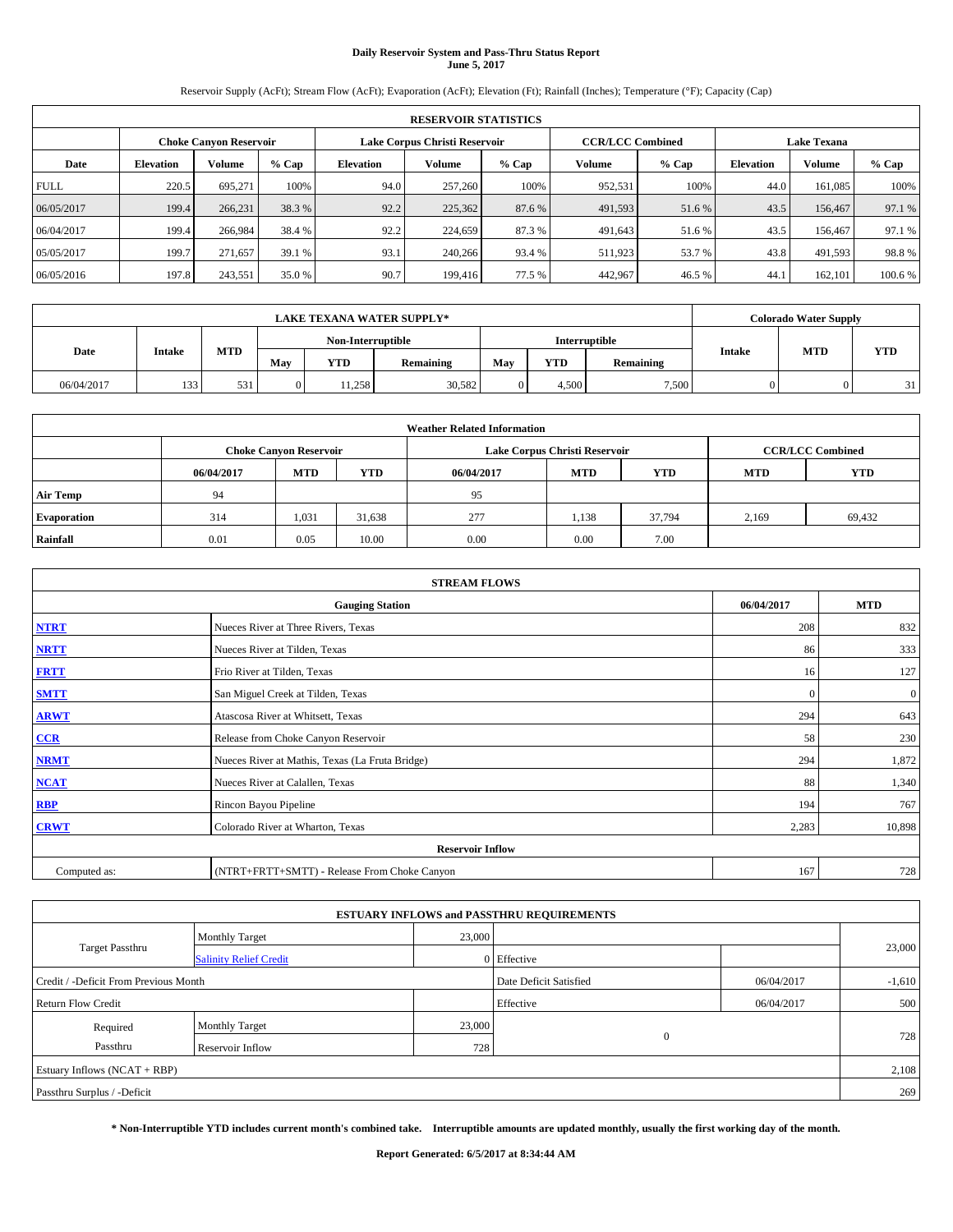# **Daily Reservoir System and Pass-Thru Status Report June 5, 2017**

Reservoir Supply (AcFt); Stream Flow (AcFt); Evaporation (AcFt); Elevation (Ft); Rainfall (Inches); Temperature (°F); Capacity (Cap)

| <b>RESERVOIR STATISTICS</b> |                  |                               |         |           |                               |         |                         |         |                  |                    |         |
|-----------------------------|------------------|-------------------------------|---------|-----------|-------------------------------|---------|-------------------------|---------|------------------|--------------------|---------|
|                             |                  | <b>Choke Canyon Reservoir</b> |         |           | Lake Corpus Christi Reservoir |         | <b>CCR/LCC Combined</b> |         |                  | <b>Lake Texana</b> |         |
| Date                        | <b>Elevation</b> | Volume                        | $%$ Cap | Elevation | Volume                        | $%$ Cap | Volume                  | $%$ Cap | <b>Elevation</b> | <b>Volume</b>      | % Cap   |
| <b>FULL</b>                 | 220.5            | 695.271                       | 100%    | 94.0      | 257,260                       | 100%    | 952,531                 | 100%    | 44.0             | 161.085            | 100%    |
| 06/05/2017                  | 199.4            | 266.231                       | 38.3 %  | 92.2      | 225,362                       | 87.6 %  | 491,593                 | 51.6 %  | 43.5             | 156,467            | 97.1 %  |
| 06/04/2017                  | 199.4            | 266,984                       | 38.4 %  | 92.2      | 224,659                       | 87.3 %  | 491,643                 | 51.6 %  | 43.5             | 156,467            | 97.1 %  |
| 05/05/2017                  | 199.7            | 271,657                       | 39.1 %  | 93.1      | 240,266                       | 93.4 %  | 511,923                 | 53.7 %  | 43.8             | 491,593            | 98.8%   |
| 06/05/2016                  | 197.8            | 243,551                       | 35.0 %  | 90.7      | 199,416                       | 77.5 %  | 442,967                 | 46.5 %  | 44.              | 162,101            | 100.6 % |

| <b>LAKE TEXANA WATER SUPPLY*</b> |        |            |                   |            |           |     |               |           |               | <b>Colorado Water Supply</b> |                |  |  |
|----------------------------------|--------|------------|-------------------|------------|-----------|-----|---------------|-----------|---------------|------------------------------|----------------|--|--|
|                                  |        |            | Non-Interruptible |            |           |     | Interruptible |           |               |                              |                |  |  |
| Date                             | Intake | <b>MTD</b> | May               | <b>YTD</b> | Remaining | May | <b>YTD</b>    | Remaining | <b>Intake</b> | <b>MTD</b>                   | <b>YTD</b>     |  |  |
| 06/04/2017                       | 133    | 531        | 0                 | 1,258      | 30,582    |     | 4,500         | 7,500     |               |                              | $\mathbf{R}^*$ |  |  |

| <b>Weather Related Information</b> |            |                               |            |            |                               |                         |            |            |  |  |
|------------------------------------|------------|-------------------------------|------------|------------|-------------------------------|-------------------------|------------|------------|--|--|
|                                    |            | <b>Choke Canyon Reservoir</b> |            |            | Lake Corpus Christi Reservoir | <b>CCR/LCC Combined</b> |            |            |  |  |
|                                    | 06/04/2017 | <b>MTD</b>                    | <b>YTD</b> | 06/04/2017 | <b>MTD</b>                    | <b>YTD</b>              | <b>MTD</b> | <b>YTD</b> |  |  |
| <b>Air Temp</b>                    | 94         |                               |            | 95         |                               |                         |            |            |  |  |
| <b>Evaporation</b>                 | 314        | 1,031                         | 31,638     | 277        | 1.138                         | 37.794                  | 2,169      | 69,432     |  |  |
| Rainfall                           | 0.01       | 0.05                          | 10.00      | 0.00       | 0.00                          | 7.00                    |            |            |  |  |

| <b>STREAM FLOWS</b> |                                                 |              |              |  |  |  |  |  |  |
|---------------------|-------------------------------------------------|--------------|--------------|--|--|--|--|--|--|
|                     | 06/04/2017                                      | <b>MTD</b>   |              |  |  |  |  |  |  |
| <b>NTRT</b>         | Nueces River at Three Rivers, Texas             | 208          | 832          |  |  |  |  |  |  |
| <b>NRTT</b>         | Nueces River at Tilden, Texas                   | 86           | 333          |  |  |  |  |  |  |
| <b>FRTT</b>         | Frio River at Tilden, Texas                     | 16           | 127          |  |  |  |  |  |  |
| <b>SMTT</b>         | San Miguel Creek at Tilden, Texas               | $\mathbf{0}$ | $\mathbf{0}$ |  |  |  |  |  |  |
| <b>ARWT</b>         | Atascosa River at Whitsett, Texas               | 294          | 643          |  |  |  |  |  |  |
| $CCR$               | Release from Choke Canyon Reservoir             | 58           | 230          |  |  |  |  |  |  |
| <b>NRMT</b>         | Nueces River at Mathis, Texas (La Fruta Bridge) | 294          | 1,872        |  |  |  |  |  |  |
| <b>NCAT</b>         | Nueces River at Calallen, Texas                 | 88           | 1,340        |  |  |  |  |  |  |
| RBP                 | Rincon Bayou Pipeline                           | 194          | 767          |  |  |  |  |  |  |
| <b>CRWT</b>         | Colorado River at Wharton, Texas                | 2,283        | 10,898       |  |  |  |  |  |  |
|                     | <b>Reservoir Inflow</b>                         |              |              |  |  |  |  |  |  |
| Computed as:        | (NTRT+FRTT+SMTT) - Release From Choke Canyon    | 167          | 728          |  |  |  |  |  |  |

| <b>ESTUARY INFLOWS and PASSTHRU REQUIREMENTS</b> |                               |        |                        |            |          |  |  |  |  |
|--------------------------------------------------|-------------------------------|--------|------------------------|------------|----------|--|--|--|--|
|                                                  | <b>Monthly Target</b>         | 23,000 |                        |            |          |  |  |  |  |
| Target Passthru                                  | <b>Salinity Relief Credit</b> |        | 0 Effective            |            | 23,000   |  |  |  |  |
| Credit / -Deficit From Previous Month            |                               |        | Date Deficit Satisfied | 06/04/2017 | $-1,610$ |  |  |  |  |
| <b>Return Flow Credit</b>                        |                               |        | Effective              | 06/04/2017 | 500      |  |  |  |  |
| Required                                         | Monthly Target                | 23,000 |                        |            |          |  |  |  |  |
| Passthru                                         | <b>Reservoir Inflow</b>       | 728    | $\Omega$               |            | 728      |  |  |  |  |
| Estuary Inflows (NCAT + RBP)                     |                               |        |                        |            |          |  |  |  |  |
| Passthru Surplus / -Deficit                      |                               |        |                        |            |          |  |  |  |  |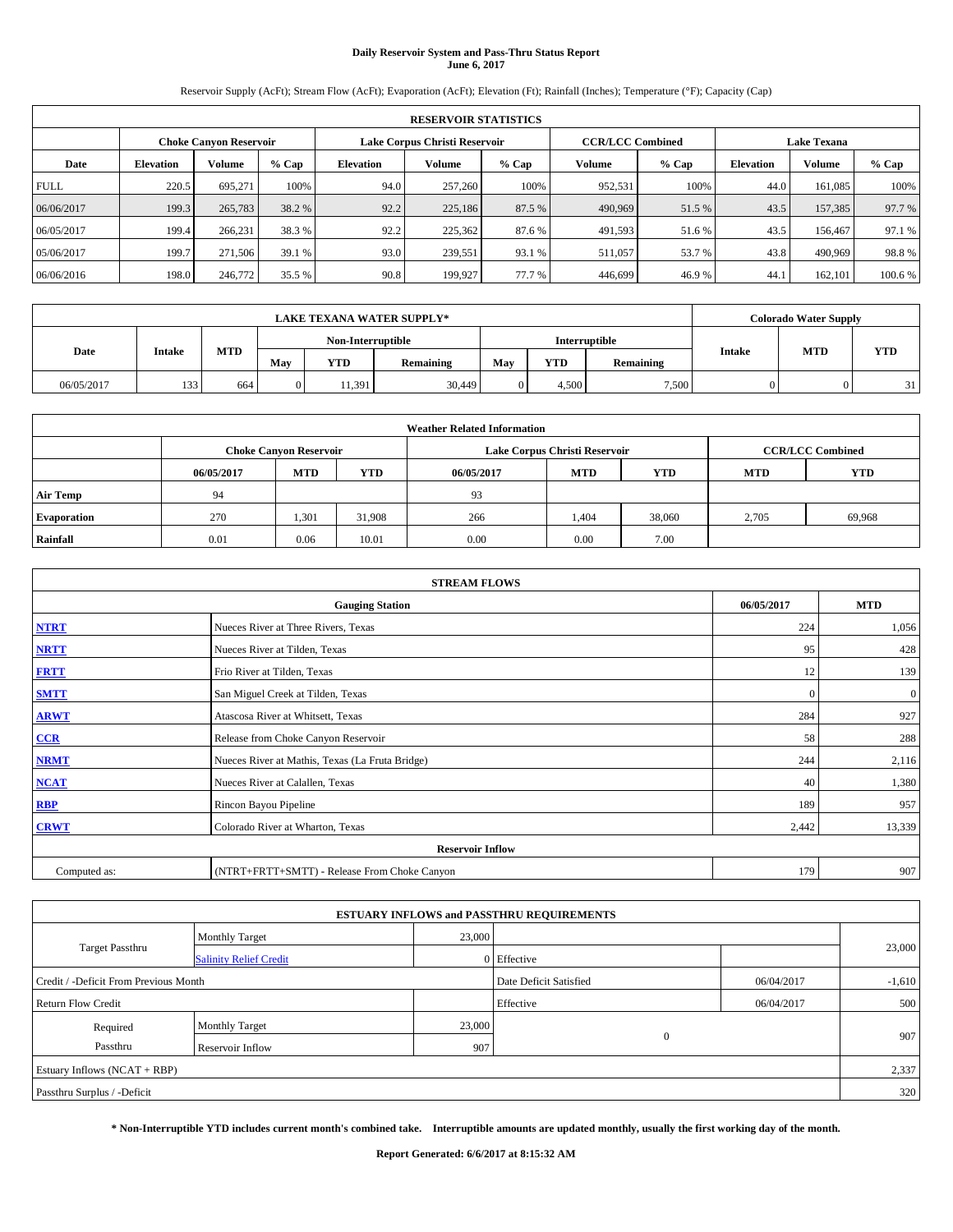# **Daily Reservoir System and Pass-Thru Status Report June 6, 2017**

Reservoir Supply (AcFt); Stream Flow (AcFt); Evaporation (AcFt); Elevation (Ft); Rainfall (Inches); Temperature (°F); Capacity (Cap)

|             | <b>RESERVOIR STATISTICS</b> |                               |         |           |                               |         |                                               |         |                  |               |         |  |
|-------------|-----------------------------|-------------------------------|---------|-----------|-------------------------------|---------|-----------------------------------------------|---------|------------------|---------------|---------|--|
|             |                             | <b>Choke Canyon Reservoir</b> |         |           | Lake Corpus Christi Reservoir |         | <b>CCR/LCC Combined</b><br><b>Lake Texana</b> |         |                  |               |         |  |
| Date        | <b>Elevation</b>            | Volume                        | $%$ Cap | Elevation | Volume                        | $%$ Cap | Volume                                        | $%$ Cap | <b>Elevation</b> | <b>Volume</b> | % Cap   |  |
| <b>FULL</b> | 220.5                       | 695.271                       | 100%    | 94.0      | 257,260                       | 100%    | 952,531                                       | 100%    | 44.0             | 161.085       | 100%    |  |
| 06/06/2017  | 199.3                       | 265,783                       | 38.2 %  | 92.2      | 225,186                       | 87.5 %  | 490,969                                       | 51.5 %  | 43.5             | 157,385       | 97.7 %  |  |
| 06/05/2017  | 199.4                       | 266.231                       | 38.3 %  | 92.2      | 225.362                       | 87.6 %  | 491,593                                       | 51.6 %  | 43.5             | 156,467       | 97.1 %  |  |
| 05/06/2017  | 199.7                       | 271,506                       | 39.1 %  | 93.0      | 239.551                       | 93.1 %  | 511,057                                       | 53.7 %  | 43.8             | 490,969       | 98.8%   |  |
| 06/06/2016  | 198.0                       | 246,772                       | 35.5 %  | 90.8      | 199.927                       | 77.7 %  | 446,699                                       | 46.9%   | 44.              | 162,101       | 100.6 % |  |

|            | <b>LAKE TEXANA WATER SUPPLY*</b> |            |                   |            |           |               |       |           |        | <b>Colorado Water Supply</b> |            |
|------------|----------------------------------|------------|-------------------|------------|-----------|---------------|-------|-----------|--------|------------------------------|------------|
|            |                                  |            | Non-Interruptible |            |           | Interruptible |       |           |        |                              |            |
| Date       | Intake                           | <b>MTD</b> | May               | <b>YTD</b> | Remaining | May           | YTD   | Remaining | Intake | <b>MTD</b>                   | <b>YTD</b> |
| 06/05/2017 | 133                              | 664        | 0                 | 1.391      | 30,449    |               | 4.500 | 7,500     |        |                              | 31         |

| <b>Weather Related Information</b> |            |                                                                                  |        |                               |       |                         |       |        |  |  |
|------------------------------------|------------|----------------------------------------------------------------------------------|--------|-------------------------------|-------|-------------------------|-------|--------|--|--|
|                                    |            | <b>Choke Canyon Reservoir</b>                                                    |        | Lake Corpus Christi Reservoir |       | <b>CCR/LCC Combined</b> |       |        |  |  |
|                                    | 06/05/2017 | <b>YTD</b><br><b>MTD</b><br><b>MTD</b><br>06/05/2017<br><b>YTD</b><br><b>MTD</b> |        |                               |       |                         |       |        |  |  |
| <b>Air Temp</b>                    | 94         |                                                                                  |        | 93                            |       |                         |       |        |  |  |
| <b>Evaporation</b>                 | 270        | 1,301                                                                            | 31,908 | 266                           | 1,404 | 38,060                  | 2,705 | 69,968 |  |  |
| Rainfall                           | 0.01       | 0.06                                                                             | 10.01  | 0.00                          | 0.00  | 7.00                    |       |        |  |  |

|              | <b>STREAM FLOWS</b>                             |              |              |  |  |  |  |  |  |  |  |
|--------------|-------------------------------------------------|--------------|--------------|--|--|--|--|--|--|--|--|
|              | <b>Gauging Station</b>                          | 06/05/2017   | <b>MTD</b>   |  |  |  |  |  |  |  |  |
| <b>NTRT</b>  | Nueces River at Three Rivers, Texas             | 224          | 1,056        |  |  |  |  |  |  |  |  |
| <b>NRTT</b>  | Nueces River at Tilden, Texas                   | 95           | 428          |  |  |  |  |  |  |  |  |
| <b>FRTT</b>  | Frio River at Tilden, Texas                     | 12           | 139          |  |  |  |  |  |  |  |  |
| <b>SMTT</b>  | San Miguel Creek at Tilden, Texas               | $\mathbf{0}$ | $\mathbf{0}$ |  |  |  |  |  |  |  |  |
| <b>ARWT</b>  | Atascosa River at Whitsett, Texas               | 284          | 927          |  |  |  |  |  |  |  |  |
| $CCR$        | Release from Choke Canyon Reservoir             | 58           | 288          |  |  |  |  |  |  |  |  |
| <b>NRMT</b>  | Nueces River at Mathis, Texas (La Fruta Bridge) | 244          | 2,116        |  |  |  |  |  |  |  |  |
| <b>NCAT</b>  | Nueces River at Calallen, Texas                 | 40           | 1,380        |  |  |  |  |  |  |  |  |
| RBP          | Rincon Bayou Pipeline                           | 189          | 957          |  |  |  |  |  |  |  |  |
| <b>CRWT</b>  | Colorado River at Wharton, Texas                | 2,442        | 13,339       |  |  |  |  |  |  |  |  |
|              | <b>Reservoir Inflow</b>                         |              |              |  |  |  |  |  |  |  |  |
| Computed as: | (NTRT+FRTT+SMTT) - Release From Choke Canyon    | 179          | 907          |  |  |  |  |  |  |  |  |

| <b>ESTUARY INFLOWS and PASSTHRU REQUIREMENTS</b> |                               |           |                        |            |          |  |  |  |  |  |
|--------------------------------------------------|-------------------------------|-----------|------------------------|------------|----------|--|--|--|--|--|
|                                                  | <b>Monthly Target</b>         | 23,000    |                        |            |          |  |  |  |  |  |
| Target Passthru                                  | <b>Salinity Relief Credit</b> |           | 0 Effective            |            | 23,000   |  |  |  |  |  |
| Credit / -Deficit From Previous Month            |                               |           | Date Deficit Satisfied | 06/04/2017 | $-1,610$ |  |  |  |  |  |
| Return Flow Credit                               |                               | Effective | 06/04/2017             | 500        |          |  |  |  |  |  |
| Required                                         | <b>Monthly Target</b>         | 23,000    |                        |            |          |  |  |  |  |  |
| Passthru                                         | Reservoir Inflow              | 907       | $\Omega$               |            | 907      |  |  |  |  |  |
| Estuary Inflows (NCAT + RBP)                     |                               |           |                        |            |          |  |  |  |  |  |
| Passthru Surplus / -Deficit                      |                               |           |                        |            |          |  |  |  |  |  |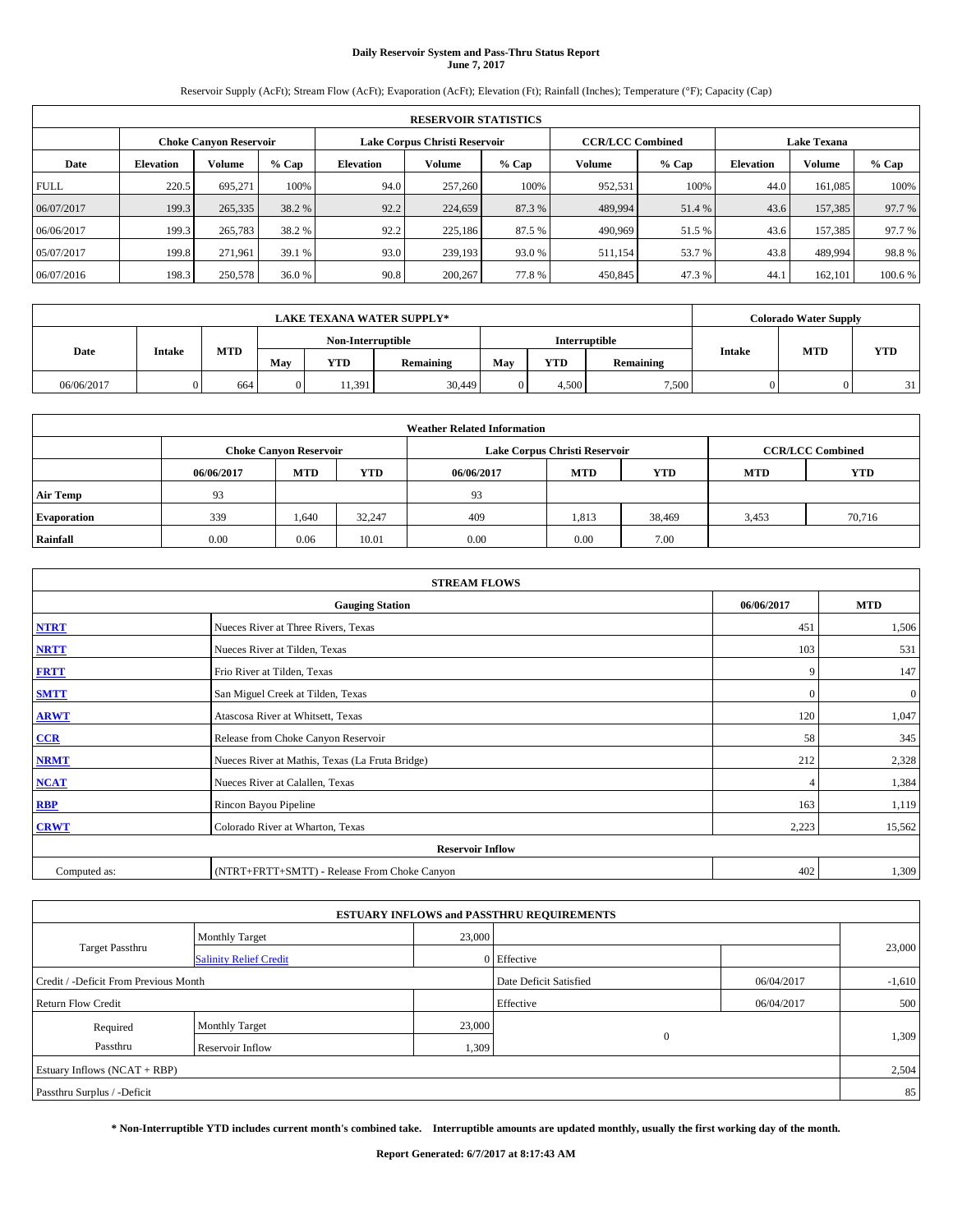# **Daily Reservoir System and Pass-Thru Status Report June 7, 2017**

Reservoir Supply (AcFt); Stream Flow (AcFt); Evaporation (AcFt); Elevation (Ft); Rainfall (Inches); Temperature (°F); Capacity (Cap)

|             | <b>RESERVOIR STATISTICS</b> |                        |         |                  |                               |         |                                               |         |                  |               |        |  |
|-------------|-----------------------------|------------------------|---------|------------------|-------------------------------|---------|-----------------------------------------------|---------|------------------|---------------|--------|--|
|             |                             | Choke Canvon Reservoir |         |                  | Lake Corpus Christi Reservoir |         | <b>CCR/LCC Combined</b><br><b>Lake Texana</b> |         |                  |               |        |  |
| Date        | <b>Elevation</b>            | Volume                 | $%$ Cap | <b>Elevation</b> | <b>Volume</b>                 | $%$ Cap | Volume                                        | $%$ Cap | <b>Elevation</b> | <b>Volume</b> | % Cap  |  |
| <b>FULL</b> | 220.5                       | 695,271                | 100%    | 94.0             | 257,260                       | 100%    | 952,531                                       | 100%    | 44.0             | 161.085       | 100%   |  |
| 06/07/2017  | 199.3                       | 265,335                | 38.2 %  | 92.2             | 224,659                       | 87.3 %  | 489,994                                       | 51.4 %  | 43.6             | 157,385       | 97.7 % |  |
| 06/06/2017  | 199.3                       | 265,783                | 38.2 %  | 92.2             | 225,186                       | 87.5 %  | 490,969                                       | 51.5 %  | 43.6             | 157.385       | 97.7 % |  |
| 05/07/2017  | 199.8                       | 271.961                | 39.1 %  | 93.0             | 239,193                       | 93.0 %  | 511,154                                       | 53.7 %  | 43.8             | 489.994       | 98.8%  |  |
| 06/07/2016  | 198.3                       | 250,578                | 36.0 %  | 90.8             | 200,267                       | 77.8%   | 450,845                                       | 47.3 %  | 44.              | 162,101       | 100.6% |  |

|            | <b>LAKE TEXANA WATER SUPPLY*</b> |            |     |            |                   |               |       |           |        | <b>Colorado Water Supply</b> |            |
|------------|----------------------------------|------------|-----|------------|-------------------|---------------|-------|-----------|--------|------------------------------|------------|
|            |                                  |            |     |            | Non-Interruptible | Interruptible |       |           |        |                              |            |
| Date       | Intake                           | <b>MTD</b> | May | <b>YTD</b> | <b>Remaining</b>  | May           | YTD   | Remaining | Intake | <b>MTD</b>                   | <b>YTD</b> |
| 06/06/2017 |                                  | 664        | 0   | 1.391      | 30,449            |               | 4.500 | 7,500     |        |                              | 31         |

| <b>Weather Related Information</b> |            |                                                                                  |        |      |                               |                         |       |        |  |  |
|------------------------------------|------------|----------------------------------------------------------------------------------|--------|------|-------------------------------|-------------------------|-------|--------|--|--|
|                                    |            | <b>Choke Canyon Reservoir</b>                                                    |        |      | Lake Corpus Christi Reservoir | <b>CCR/LCC Combined</b> |       |        |  |  |
|                                    | 06/06/2017 | <b>YTD</b><br><b>MTD</b><br><b>MTD</b><br>06/06/2017<br><b>YTD</b><br><b>MTD</b> |        |      |                               |                         |       |        |  |  |
| <b>Air Temp</b>                    | 93         |                                                                                  |        | 93   |                               |                         |       |        |  |  |
| <b>Evaporation</b>                 | 339        | 1,640                                                                            | 32,247 | 409  | 1,813                         | 38,469                  | 3,453 | 70,716 |  |  |
| Rainfall                           | 0.00       | 0.06                                                                             | 10.01  | 0.00 | 0.00                          | 7.00                    |       |        |  |  |

|              | <b>STREAM FLOWS</b>                             |              |              |
|--------------|-------------------------------------------------|--------------|--------------|
|              | <b>Gauging Station</b>                          | 06/06/2017   | <b>MTD</b>   |
| <b>NTRT</b>  | Nueces River at Three Rivers, Texas             | 451          | 1,506        |
| <b>NRTT</b>  | Nueces River at Tilden, Texas                   | 103          | 531          |
| <b>FRTT</b>  | Frio River at Tilden, Texas                     | 9            | 147          |
| <b>SMTT</b>  | San Miguel Creek at Tilden, Texas               | $\mathbf{0}$ | $\mathbf{0}$ |
| <b>ARWT</b>  | Atascosa River at Whitsett, Texas               | 120          | 1,047        |
| $CCR$        | Release from Choke Canyon Reservoir             | 58           | 345          |
| <b>NRMT</b>  | Nueces River at Mathis, Texas (La Fruta Bridge) | 212          | 2,328        |
| <b>NCAT</b>  | Nueces River at Calallen, Texas                 |              | 1,384        |
| RBP          | Rincon Bayou Pipeline                           | 163          | 1,119        |
| <b>CRWT</b>  | Colorado River at Wharton, Texas                | 2,223        | 15,562       |
|              | <b>Reservoir Inflow</b>                         |              |              |
| Computed as: | (NTRT+FRTT+SMTT) - Release From Choke Canyon    | 402          | 1,309        |

| <b>ESTUARY INFLOWS and PASSTHRU REQUIREMENTS</b> |                               |        |                        |            |          |  |  |  |  |  |
|--------------------------------------------------|-------------------------------|--------|------------------------|------------|----------|--|--|--|--|--|
|                                                  | <b>Monthly Target</b>         | 23,000 |                        |            |          |  |  |  |  |  |
| <b>Target Passthru</b>                           | <b>Salinity Relief Credit</b> |        | 0 Effective            |            | 23,000   |  |  |  |  |  |
| Credit / -Deficit From Previous Month            |                               |        | Date Deficit Satisfied | 06/04/2017 | $-1,610$ |  |  |  |  |  |
| <b>Return Flow Credit</b>                        |                               |        | Effective              | 06/04/2017 | 500      |  |  |  |  |  |
| Required                                         | Monthly Target                | 23,000 |                        |            |          |  |  |  |  |  |
| Passthru                                         | <b>Reservoir Inflow</b>       | 1,309  | $\Omega$               |            | 1,309    |  |  |  |  |  |
| Estuary Inflows (NCAT + RBP)                     |                               |        |                        |            |          |  |  |  |  |  |
| Passthru Surplus / -Deficit                      |                               |        |                        |            |          |  |  |  |  |  |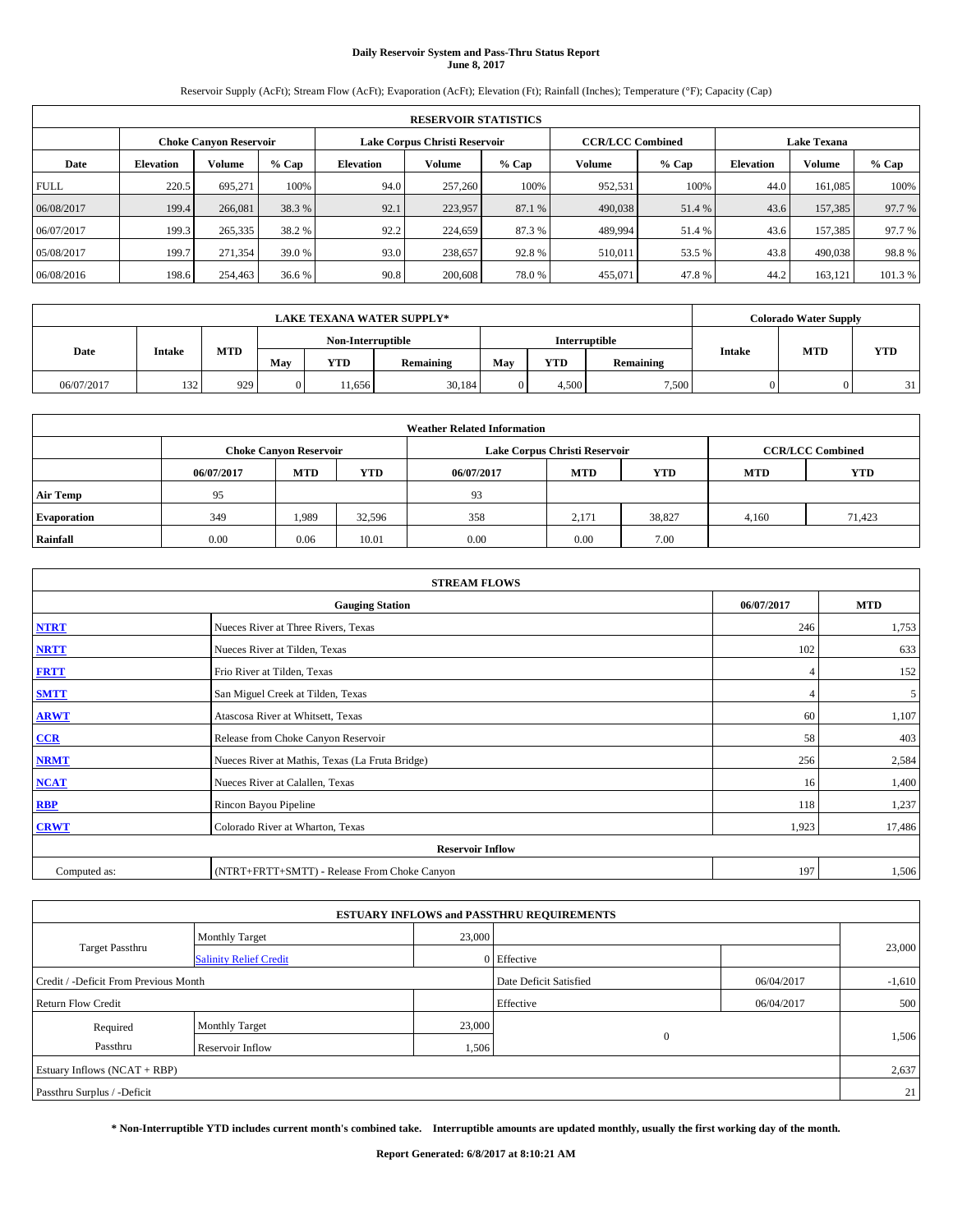# **Daily Reservoir System and Pass-Thru Status Report June 8, 2017**

Reservoir Supply (AcFt); Stream Flow (AcFt); Evaporation (AcFt); Elevation (Ft); Rainfall (Inches); Temperature (°F); Capacity (Cap)

|             | <b>RESERVOIR STATISTICS</b> |                               |         |           |                               |         |                                               |         |                  |               |         |  |
|-------------|-----------------------------|-------------------------------|---------|-----------|-------------------------------|---------|-----------------------------------------------|---------|------------------|---------------|---------|--|
|             |                             | <b>Choke Canyon Reservoir</b> |         |           | Lake Corpus Christi Reservoir |         | <b>CCR/LCC Combined</b><br><b>Lake Texana</b> |         |                  |               |         |  |
| Date        | <b>Elevation</b>            | Volume                        | $%$ Cap | Elevation | Volume                        | $%$ Cap | Volume                                        | $%$ Cap | <b>Elevation</b> | <b>Volume</b> | % Cap   |  |
| <b>FULL</b> | 220.5                       | 695.271                       | 100%    | 94.0      | 257,260                       | 100%    | 952,531                                       | 100%    | 44.0             | 161.085       | 100%    |  |
| 06/08/2017  | 199.4                       | 266,081                       | 38.3 %  | 92.1      | 223,957                       | 87.1 %  | 490,038                                       | 51.4 %  | 43.6             | 157,385       | 97.7 %  |  |
| 06/07/2017  | 199.3                       | 265,335                       | 38.2 %  | 92.2      | 224,659                       | 87.3 %  | 489,994                                       | 51.4%   | 43.6             | 157.385       | 97.7 %  |  |
| 05/08/2017  | 199.7                       | 271,354                       | 39.0 %  | 93.0      | 238,657                       | 92.8%   | 510,011                                       | 53.5 %  | 43.8             | 490,038       | 98.8%   |  |
| 06/08/2016  | 198.6                       | 254,463                       | 36.6 %  | 90.8      | 200,608                       | 78.0%   | 455,071                                       | 47.8%   | 44.2             | 163,121       | 101.3 % |  |

|            | <b>LAKE TEXANA WATER SUPPLY*</b> |            |     |                   |           |               |       |           |        | <b>Colorado Water Supply</b> |            |
|------------|----------------------------------|------------|-----|-------------------|-----------|---------------|-------|-----------|--------|------------------------------|------------|
|            |                                  |            |     | Non-Interruptible |           | Interruptible |       |           |        |                              |            |
| Date       | Intake                           | <b>MTD</b> | May | <b>YTD</b>        | Remaining | May           | YTD   | Remaining | Intake | <b>MTD</b>                   | <b>YTD</b> |
| 06/07/2017 | 132                              | 929        | 0   | 1.656             | 30,184    |               | 4.500 | 7,500     |        |                              | 31         |

|                    | <b>Weather Related Information</b> |                               |            |            |                               |                         |       |        |  |  |  |  |
|--------------------|------------------------------------|-------------------------------|------------|------------|-------------------------------|-------------------------|-------|--------|--|--|--|--|
|                    |                                    | <b>Choke Canyon Reservoir</b> |            |            | Lake Corpus Christi Reservoir | <b>CCR/LCC Combined</b> |       |        |  |  |  |  |
|                    | 06/07/2017                         | <b>MTD</b>                    | <b>YTD</b> | 06/07/2017 | <b>MTD</b>                    | <b>YTD</b>              |       |        |  |  |  |  |
| <b>Air Temp</b>    | 95                                 |                               |            | 93         |                               |                         |       |        |  |  |  |  |
| <b>Evaporation</b> | 349                                | 1,989                         | 32,596     | 358        | 2,171                         | 38,827                  | 4,160 | 71,423 |  |  |  |  |
| Rainfall           | 0.00                               | 0.06                          | 10.01      | 0.00       | 0.00                          | 7.00                    |       |        |  |  |  |  |

| <b>STREAM FLOWS</b> |                                                 |            |            |  |  |  |  |  |
|---------------------|-------------------------------------------------|------------|------------|--|--|--|--|--|
|                     | <b>Gauging Station</b>                          | 06/07/2017 | <b>MTD</b> |  |  |  |  |  |
| <b>NTRT</b>         | Nueces River at Three Rivers, Texas             | 246        | 1,753      |  |  |  |  |  |
| <b>NRTT</b>         | Nueces River at Tilden, Texas                   | 102        | 633        |  |  |  |  |  |
| <b>FRTT</b>         | Frio River at Tilden, Texas                     |            | 152        |  |  |  |  |  |
| <b>SMTT</b>         | San Miguel Creek at Tilden, Texas               |            | 5          |  |  |  |  |  |
| <b>ARWT</b>         | Atascosa River at Whitsett, Texas               | 60         | 1,107      |  |  |  |  |  |
| $CCR$               | Release from Choke Canyon Reservoir             | 58         | 403        |  |  |  |  |  |
| <b>NRMT</b>         | Nueces River at Mathis, Texas (La Fruta Bridge) | 256        | 2,584      |  |  |  |  |  |
| <b>NCAT</b>         | Nueces River at Calallen, Texas                 | 16         | 1,400      |  |  |  |  |  |
| RBP                 | Rincon Bayou Pipeline                           | 118        | 1,237      |  |  |  |  |  |
| <b>CRWT</b>         | Colorado River at Wharton, Texas                | 1,923      | 17,486     |  |  |  |  |  |
|                     | <b>Reservoir Inflow</b>                         |            |            |  |  |  |  |  |
| Computed as:        | (NTRT+FRTT+SMTT) - Release From Choke Canyon    |            |            |  |  |  |  |  |

|                                       |                               |        | <b>ESTUARY INFLOWS and PASSTHRU REQUIREMENTS</b> |            |          |  |
|---------------------------------------|-------------------------------|--------|--------------------------------------------------|------------|----------|--|
|                                       | <b>Monthly Target</b>         | 23,000 |                                                  |            |          |  |
| <b>Target Passthru</b>                | <b>Salinity Relief Credit</b> |        | 0 Effective                                      |            | 23,000   |  |
| Credit / -Deficit From Previous Month |                               |        | Date Deficit Satisfied                           | 06/04/2017 | $-1,610$ |  |
| <b>Return Flow Credit</b>             |                               |        | Effective                                        | 06/04/2017 | 500      |  |
| Required                              | <b>Monthly Target</b>         | 23,000 |                                                  |            |          |  |
| Passthru                              | <b>Reservoir Inflow</b>       | 1,506  | $\Omega$                                         |            | 1,506    |  |
| Estuary Inflows $(NCAT + RBP)$        |                               |        |                                                  |            | 2,637    |  |
| Passthru Surplus / -Deficit           |                               |        |                                                  |            | 21       |  |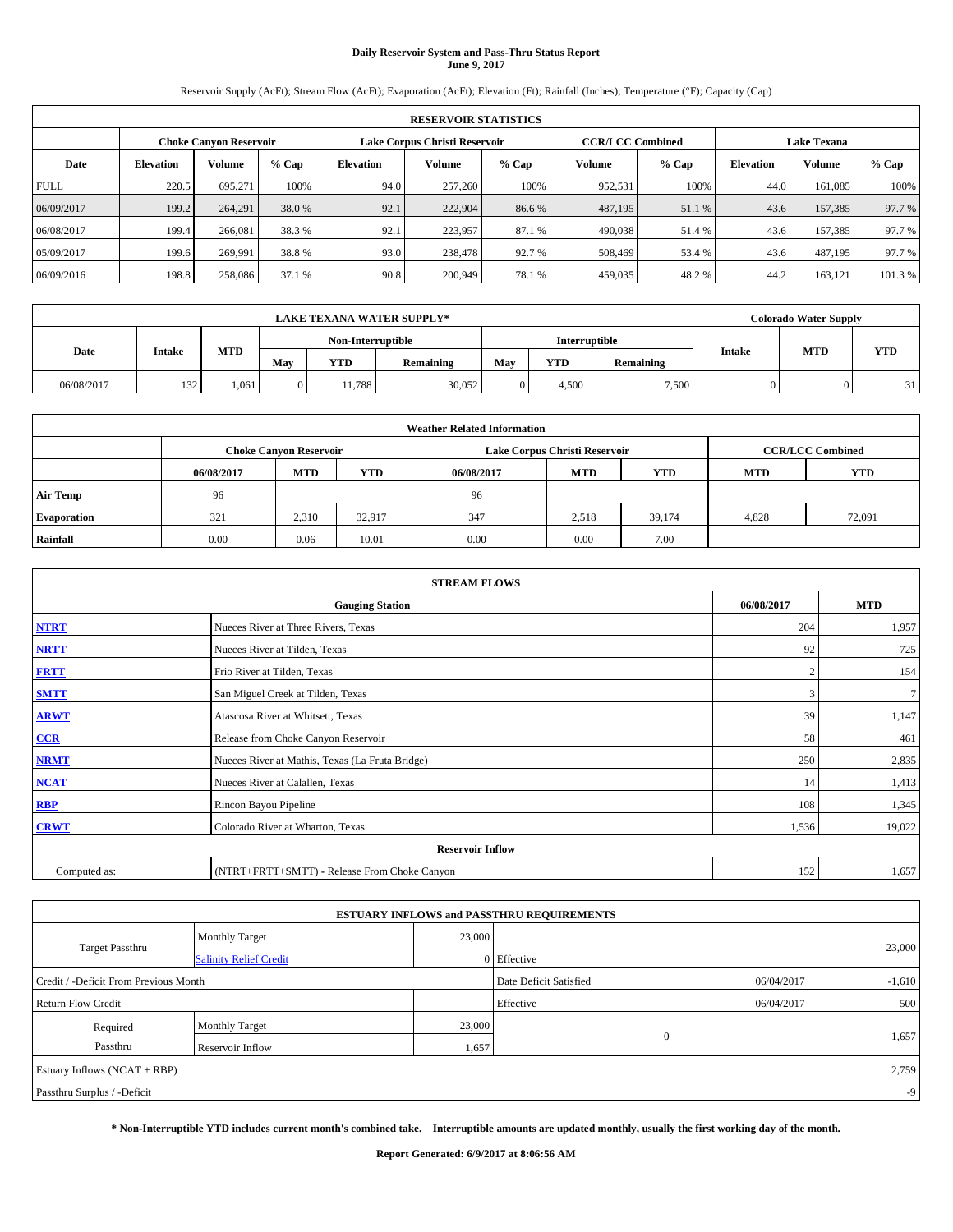# **Daily Reservoir System and Pass-Thru Status Report June 9, 2017**

Reservoir Supply (AcFt); Stream Flow (AcFt); Evaporation (AcFt); Elevation (Ft); Rainfall (Inches); Temperature (°F); Capacity (Cap)

|             | <b>RESERVOIR STATISTICS</b> |                               |         |           |                               |         |                         |         |                    |               |         |  |  |
|-------------|-----------------------------|-------------------------------|---------|-----------|-------------------------------|---------|-------------------------|---------|--------------------|---------------|---------|--|--|
|             |                             | <b>Choke Canyon Reservoir</b> |         |           | Lake Corpus Christi Reservoir |         | <b>CCR/LCC Combined</b> |         | <b>Lake Texana</b> |               |         |  |  |
| Date        | <b>Elevation</b>            | Volume                        | $%$ Cap | Elevation | Volume                        | $%$ Cap | Volume                  | $%$ Cap | <b>Elevation</b>   | <b>Volume</b> | % Cap   |  |  |
| <b>FULL</b> | 220.5                       | 695.271                       | 100%    | 94.0      | 257,260                       | 100%    | 952,531                 | 100%    | 44.0               | 161.085       | 100%    |  |  |
| 06/09/2017  | 199.2                       | 264.291                       | 38.0 %  | 92.1      | 222,904                       | 86.6 %  | 487,195                 | 51.1 %  | 43.6               | 157,385       | 97.7 %  |  |  |
| 06/08/2017  | 199.4                       | 266,081                       | 38.3 %  | 92.1      | 223,957                       | 87.1 %  | 490,038                 | 51.4%   | 43.6               | 157.385       | 97.7 %  |  |  |
| 05/09/2017  | 199.6                       | 269.991                       | 38.8%   | 93.0      | 238,478                       | 92.7 %  | 508,469                 | 53.4 %  | 43.6               | 487,195       | 97.7 %  |  |  |
| 06/09/2016  | 198.8                       | 258,086                       | 37.1 %  | 90.8      | 200,949                       | 78.1 %  | 459,035                 | 48.2%   | 44.2               | 163,121       | 101.3 % |  |  |

|            | <b>LAKE TEXANA WATER SUPPLY*</b> |            |                |                   |           |               |       |           |               | <b>Colorado Water Supply</b> |            |
|------------|----------------------------------|------------|----------------|-------------------|-----------|---------------|-------|-----------|---------------|------------------------------|------------|
|            |                                  |            |                | Non-Interruptible |           | Interruptible |       |           |               |                              |            |
| Date       | Intake                           | <b>MTD</b> | May            | <b>YTD</b>        | Remaining | May           | YTD   | Remaining | <b>Intake</b> | <b>MTD</b>                   | <b>YTD</b> |
| 06/08/2017 | 132                              | 1,061      | $\overline{0}$ | 11.788            | 30,052    |               | 4.500 | 7,500     |               |                              | 31         |

|                    | <b>Weather Related Information</b> |                               |            |            |                               |                         |       |        |  |  |  |  |
|--------------------|------------------------------------|-------------------------------|------------|------------|-------------------------------|-------------------------|-------|--------|--|--|--|--|
|                    |                                    | <b>Choke Canyon Reservoir</b> |            |            | Lake Corpus Christi Reservoir | <b>CCR/LCC Combined</b> |       |        |  |  |  |  |
|                    | 06/08/2017                         | <b>MTD</b>                    | <b>YTD</b> | 06/08/2017 | <b>MTD</b>                    | <b>YTD</b>              |       |        |  |  |  |  |
| <b>Air Temp</b>    | 96                                 |                               |            | 96         |                               |                         |       |        |  |  |  |  |
| <b>Evaporation</b> | 321                                | 2,310                         | 32,917     | 347        | 2.518                         | 39,174                  | 4,828 | 72,091 |  |  |  |  |
| Rainfall           | 0.00                               | 0.06                          | 10.01      | 0.00       | 0.00                          | 7.00                    |       |        |  |  |  |  |

| <b>STREAM FLOWS</b> |                                                    |       |        |  |  |  |  |  |
|---------------------|----------------------------------------------------|-------|--------|--|--|--|--|--|
|                     | <b>MTD</b><br><b>Gauging Station</b><br>06/08/2017 |       |        |  |  |  |  |  |
| <b>NTRT</b>         | Nueces River at Three Rivers, Texas                | 204   | 1,957  |  |  |  |  |  |
| <b>NRTT</b>         | Nueces River at Tilden, Texas                      | 92    | 725    |  |  |  |  |  |
| <b>FRTT</b>         | Frio River at Tilden, Texas                        |       | 154    |  |  |  |  |  |
| <b>SMTT</b>         | San Miguel Creek at Tilden, Texas                  | 3     | $\tau$ |  |  |  |  |  |
| <b>ARWT</b>         | Atascosa River at Whitsett, Texas                  | 39    | 1,147  |  |  |  |  |  |
| $CCR$               | Release from Choke Canyon Reservoir                | 58    | 461    |  |  |  |  |  |
| <b>NRMT</b>         | Nueces River at Mathis, Texas (La Fruta Bridge)    | 250   | 2,835  |  |  |  |  |  |
| <b>NCAT</b>         | Nueces River at Calallen, Texas                    | 14    | 1,413  |  |  |  |  |  |
| RBP                 | Rincon Bayou Pipeline                              | 108   | 1,345  |  |  |  |  |  |
| <b>CRWT</b>         | Colorado River at Wharton, Texas                   | 1,536 | 19,022 |  |  |  |  |  |
|                     | <b>Reservoir Inflow</b>                            |       |        |  |  |  |  |  |
| Computed as:        | (NTRT+FRTT+SMTT) - Release From Choke Canyon       | 152   | 1,657  |  |  |  |  |  |

|                                       |                               |        | <b>ESTUARY INFLOWS and PASSTHRU REQUIREMENTS</b> |            |          |
|---------------------------------------|-------------------------------|--------|--------------------------------------------------|------------|----------|
|                                       | <b>Monthly Target</b>         | 23,000 |                                                  |            |          |
| Target Passthru                       | <b>Salinity Relief Credit</b> |        | 0 Effective                                      |            | 23,000   |
| Credit / -Deficit From Previous Month |                               |        | Date Deficit Satisfied                           | 06/04/2017 | $-1,610$ |
| <b>Return Flow Credit</b>             |                               |        | Effective                                        | 06/04/2017 | 500      |
| Required                              | Monthly Target                | 23,000 |                                                  |            |          |
| Passthru                              | <b>Reservoir Inflow</b>       | 1,657  | $\Omega$                                         |            | 1,657    |
| Estuary Inflows (NCAT + RBP)          |                               |        |                                                  |            | 2,759    |
| Passthru Surplus / -Deficit           |                               |        |                                                  |            | $-9$     |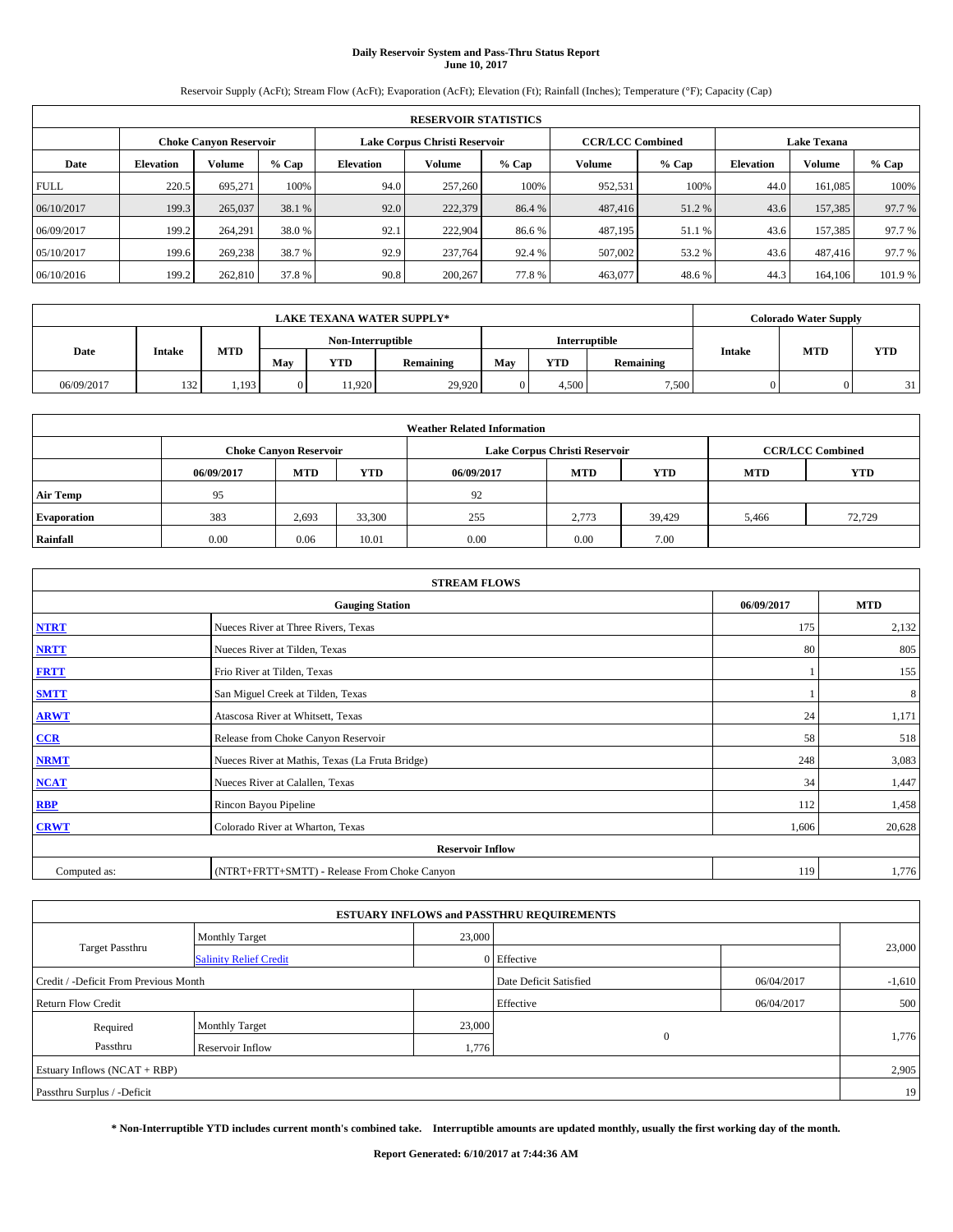# **Daily Reservoir System and Pass-Thru Status Report June 10, 2017**

Reservoir Supply (AcFt); Stream Flow (AcFt); Evaporation (AcFt); Elevation (Ft); Rainfall (Inches); Temperature (°F); Capacity (Cap)

|             | <b>RESERVOIR STATISTICS</b>                                    |         |         |           |         |         |                         |         |                    |               |         |  |  |
|-------------|----------------------------------------------------------------|---------|---------|-----------|---------|---------|-------------------------|---------|--------------------|---------------|---------|--|--|
|             | Lake Corpus Christi Reservoir<br><b>Choke Canyon Reservoir</b> |         |         |           |         |         | <b>CCR/LCC Combined</b> |         | <b>Lake Texana</b> |               |         |  |  |
| Date        | <b>Elevation</b>                                               | Volume  | $%$ Cap | Elevation | Volume  | $%$ Cap | Volume                  | $%$ Cap | <b>Elevation</b>   | <b>Volume</b> | % Cap   |  |  |
| <b>FULL</b> | 220.5                                                          | 695.271 | 100%    | 94.0      | 257,260 | 100%    | 952,531                 | 100%    | 44.0               | 161.085       | 100%    |  |  |
| 06/10/2017  | 199.3                                                          | 265,037 | 38.1 %  | 92.0      | 222,379 | 86.4 %  | 487,416                 | 51.2 %  | 43.6               | 157,385       | 97.7 %  |  |  |
| 06/09/2017  | 199.2                                                          | 264,291 | 38.0 %  | 92.1      | 222,904 | 86.6 %  | 487,195                 | 51.1 %  | 43.6               | 157.385       | 97.7 %  |  |  |
| 05/10/2017  | 199.6                                                          | 269,238 | 38.7 %  | 92.9      | 237,764 | 92.4 %  | 507,002                 | 53.2 %  | 43.6               | 487,416       | 97.7 %  |  |  |
| 06/10/2016  | 199.2                                                          | 262,810 | 37.8 %  | 90.8      | 200,267 | 77.8%   | 463,077                 | 48.6%   | 44.3               | 164,106       | 101.9 % |  |  |

|            | <b>LAKE TEXANA WATER SUPPLY*</b> |            |                   |            |           |               |       |           |               | <b>Colorado Water Supply</b> |            |
|------------|----------------------------------|------------|-------------------|------------|-----------|---------------|-------|-----------|---------------|------------------------------|------------|
|            |                                  |            | Non-Interruptible |            |           | Interruptible |       |           |               |                              |            |
| Date       | Intake                           | <b>MTD</b> | May               | <b>YTD</b> | Remaining | May           | YTD   | Remaining | <b>Intake</b> | <b>MTD</b>                   | <b>YTD</b> |
| 06/09/2017 | 132                              | 1.193      | $\overline{0}$    | 11.920     | 29.920    |               | 4.500 | 7,500     |               |                              | 31         |

|                    | <b>Weather Related Information</b> |                               |            |            |                               |                         |       |        |  |  |  |  |
|--------------------|------------------------------------|-------------------------------|------------|------------|-------------------------------|-------------------------|-------|--------|--|--|--|--|
|                    |                                    | <b>Choke Canyon Reservoir</b> |            |            | Lake Corpus Christi Reservoir | <b>CCR/LCC Combined</b> |       |        |  |  |  |  |
|                    | 06/09/2017                         | <b>MTD</b>                    | <b>YTD</b> | 06/09/2017 | <b>MTD</b>                    | <b>YTD</b>              |       |        |  |  |  |  |
| <b>Air Temp</b>    | 95                                 |                               |            | 92         |                               |                         |       |        |  |  |  |  |
| <b>Evaporation</b> | 383                                | 2,693                         | 33,300     | 255        | 2,773                         | 39.429                  | 5,466 | 72,729 |  |  |  |  |
| Rainfall           | 0.00                               | 0.06                          | 10.01      | 0.00       | 0.00                          | 7.00                    |       |        |  |  |  |  |

| <b>STREAM FLOWS</b> |                                                 |            |            |  |  |  |  |  |  |
|---------------------|-------------------------------------------------|------------|------------|--|--|--|--|--|--|
|                     | <b>Gauging Station</b>                          | 06/09/2017 | <b>MTD</b> |  |  |  |  |  |  |
| <b>NTRT</b>         | Nueces River at Three Rivers, Texas             | 175        | 2,132      |  |  |  |  |  |  |
| <b>NRTT</b>         | Nueces River at Tilden, Texas                   | 80         | 805        |  |  |  |  |  |  |
| <b>FRTT</b>         | Frio River at Tilden, Texas                     |            | 155        |  |  |  |  |  |  |
| <b>SMTT</b>         | San Miguel Creek at Tilden, Texas               |            | 8          |  |  |  |  |  |  |
| <b>ARWT</b>         | Atascosa River at Whitsett, Texas               | 24         | 1,171      |  |  |  |  |  |  |
| $CCR$               | Release from Choke Canyon Reservoir             | 58         | 518        |  |  |  |  |  |  |
| <b>NRMT</b>         | Nueces River at Mathis, Texas (La Fruta Bridge) | 248        | 3,083      |  |  |  |  |  |  |
| <b>NCAT</b>         | Nueces River at Calallen, Texas                 | 34         | 1,447      |  |  |  |  |  |  |
| RBP                 | Rincon Bayou Pipeline                           | 112        | 1,458      |  |  |  |  |  |  |
| <b>CRWT</b>         | Colorado River at Wharton, Texas                | 1,606      | 20,628     |  |  |  |  |  |  |
|                     | <b>Reservoir Inflow</b>                         |            |            |  |  |  |  |  |  |
| Computed as:        | (NTRT+FRTT+SMTT) - Release From Choke Canyon    | 119        | 1,776      |  |  |  |  |  |  |

| <b>ESTUARY INFLOWS and PASSTHRU REQUIREMENTS</b> |                               |        |                        |            |          |  |  |  |  |  |
|--------------------------------------------------|-------------------------------|--------|------------------------|------------|----------|--|--|--|--|--|
|                                                  | <b>Monthly Target</b>         | 23,000 |                        |            |          |  |  |  |  |  |
| <b>Target Passthru</b>                           | <b>Salinity Relief Credit</b> |        | 0 Effective            |            | 23,000   |  |  |  |  |  |
| Credit / -Deficit From Previous Month            |                               |        | Date Deficit Satisfied | 06/04/2017 | $-1,610$ |  |  |  |  |  |
| <b>Return Flow Credit</b>                        |                               |        | Effective              | 06/04/2017 | 500      |  |  |  |  |  |
| Required                                         | Monthly Target                | 23,000 |                        |            |          |  |  |  |  |  |
| Passthru<br><b>Reservoir Inflow</b>              |                               | 1,776  | $\Omega$               |            | 1,776    |  |  |  |  |  |
| Estuary Inflows (NCAT + RBP)                     |                               |        |                        |            |          |  |  |  |  |  |
| Passthru Surplus / -Deficit                      |                               |        |                        |            | 19       |  |  |  |  |  |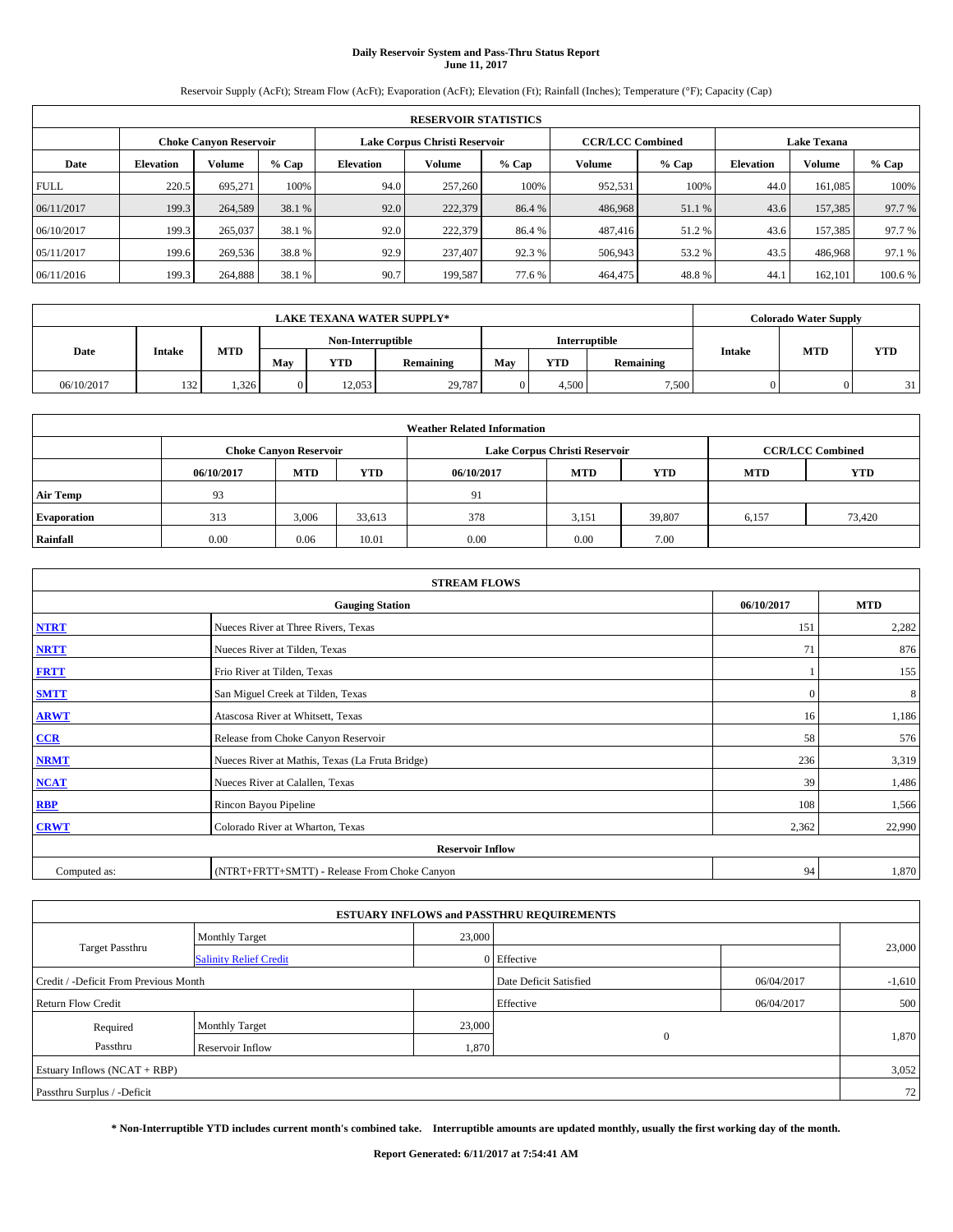# **Daily Reservoir System and Pass-Thru Status Report June 11, 2017**

Reservoir Supply (AcFt); Stream Flow (AcFt); Evaporation (AcFt); Elevation (Ft); Rainfall (Inches); Temperature (°F); Capacity (Cap)

|             | <b>RESERVOIR STATISTICS</b> |                               |         |           |                               |         |                         |         |                  |                    |         |  |
|-------------|-----------------------------|-------------------------------|---------|-----------|-------------------------------|---------|-------------------------|---------|------------------|--------------------|---------|--|
|             |                             | <b>Choke Canyon Reservoir</b> |         |           | Lake Corpus Christi Reservoir |         | <b>CCR/LCC Combined</b> |         |                  | <b>Lake Texana</b> |         |  |
| Date        | <b>Elevation</b>            | Volume                        | $%$ Cap | Elevation | Volume                        | $%$ Cap | Volume                  | $%$ Cap | <b>Elevation</b> | <b>Volume</b>      | % Cap   |  |
| <b>FULL</b> | 220.5                       | 695.271                       | 100%    | 94.0      | 257,260                       | 100%    | 952,531                 | 100%    | 44.0             | 161.085            | 100%    |  |
| 06/11/2017  | 199.3                       | 264,589                       | 38.1 %  | 92.0      | 222,379                       | 86.4 %  | 486,968                 | 51.1 %  | 43.6             | 157,385            | 97.7 %  |  |
| 06/10/2017  | 199.3                       | 265,037                       | 38.1 %  | 92.0      | 222,379                       | 86.4 %  | 487,416                 | 51.2%   | 43.6             | 157.385            | 97.7 %  |  |
| 05/11/2017  | 199.6                       | 269,536                       | 38.8%   | 92.9      | 237,407                       | 92.3 %  | 506,943                 | 53.2 %  | 43.5             | 486,968            | 97.1 %  |  |
| 06/11/2016  | 199.3                       | 264,888                       | 38.1 %  | 90.7      | 199,587                       | 77.6 %  | 464,475                 | 48.8%   | 44.              | 162,101            | 100.6 % |  |

| <b>LAKE TEXANA WATER SUPPLY*</b> |                   |      |                |               |        |            | <b>Colorado Water Supply</b> |       |     |           |               |            |            |
|----------------------------------|-------------------|------|----------------|---------------|--------|------------|------------------------------|-------|-----|-----------|---------------|------------|------------|
|                                  | Non-Interruptible |      |                | Interruptible |        |            |                              |       |     |           |               |            |            |
| Date                             | Intake            |      |                | <b>MTD</b>    | May    | <b>YTD</b> | Remaining                    | May   | YTD | Remaining | <b>Intake</b> | <b>MTD</b> | <b>YTD</b> |
| 06/10/2017                       | 132               | .326 | $\overline{0}$ | 12.053        | 29,787 |            | 4.500                        | 7,500 |     |           | 21            |            |            |

| <b>Weather Related Information</b> |            |                               |            |            |                               |                         |            |            |  |  |
|------------------------------------|------------|-------------------------------|------------|------------|-------------------------------|-------------------------|------------|------------|--|--|
|                                    |            | <b>Choke Canyon Reservoir</b> |            |            | Lake Corpus Christi Reservoir | <b>CCR/LCC Combined</b> |            |            |  |  |
|                                    | 06/10/2017 | <b>MTD</b>                    | <b>YTD</b> | 06/10/2017 | <b>MTD</b>                    | <b>YTD</b>              | <b>MTD</b> | <b>YTD</b> |  |  |
| <b>Air Temp</b>                    | 93         |                               |            | 91         |                               |                         |            |            |  |  |
| <b>Evaporation</b>                 | 313        | 3,006                         | 33,613     | 378        | 3,151                         | 39,807                  | 6,157      | 73,420     |  |  |
| Rainfall                           | 0.00       | 0.06                          | 10.01      | 0.00       | 0.00                          | 7.00                    |            |            |  |  |

| <b>STREAM FLOWS</b> |                                                 |              |        |  |  |  |  |  |  |
|---------------------|-------------------------------------------------|--------------|--------|--|--|--|--|--|--|
|                     | <b>Gauging Station</b>                          |              |        |  |  |  |  |  |  |
| <b>NTRT</b>         | Nueces River at Three Rivers, Texas             | 151          | 2,282  |  |  |  |  |  |  |
| <b>NRTT</b>         | Nueces River at Tilden, Texas                   | 71           | 876    |  |  |  |  |  |  |
| <b>FRTT</b>         | Frio River at Tilden, Texas                     |              | 155    |  |  |  |  |  |  |
| <b>SMTT</b>         | San Miguel Creek at Tilden, Texas               | $\mathbf{0}$ | 8      |  |  |  |  |  |  |
| <b>ARWT</b>         | Atascosa River at Whitsett, Texas               | 16           | 1,186  |  |  |  |  |  |  |
| $CCR$               | Release from Choke Canyon Reservoir             | 58           | 576    |  |  |  |  |  |  |
| <b>NRMT</b>         | Nueces River at Mathis, Texas (La Fruta Bridge) | 236          | 3,319  |  |  |  |  |  |  |
| <b>NCAT</b>         | Nueces River at Calallen, Texas                 | 39           | 1,486  |  |  |  |  |  |  |
| RBP                 | Rincon Bayou Pipeline                           | 108          | 1,566  |  |  |  |  |  |  |
| <b>CRWT</b>         | Colorado River at Wharton, Texas                | 2,362        | 22,990 |  |  |  |  |  |  |
|                     | <b>Reservoir Inflow</b>                         |              |        |  |  |  |  |  |  |
| Computed as:        | (NTRT+FRTT+SMTT) - Release From Choke Canyon    | 94           | 1,870  |  |  |  |  |  |  |

| <b>ESTUARY INFLOWS and PASSTHRU REQUIREMENTS</b> |                               |        |                        |            |          |  |  |  |  |  |
|--------------------------------------------------|-------------------------------|--------|------------------------|------------|----------|--|--|--|--|--|
|                                                  | <b>Monthly Target</b>         | 23,000 |                        |            |          |  |  |  |  |  |
| Target Passthru                                  | <b>Salinity Relief Credit</b> |        | 0 Effective            |            | 23,000   |  |  |  |  |  |
| Credit / -Deficit From Previous Month            |                               |        | Date Deficit Satisfied | 06/04/2017 | $-1,610$ |  |  |  |  |  |
| <b>Return Flow Credit</b>                        |                               |        | Effective              | 06/04/2017 | 500      |  |  |  |  |  |
| Required                                         | <b>Monthly Target</b>         | 23,000 |                        |            |          |  |  |  |  |  |
| Passthru                                         | <b>Reservoir Inflow</b>       | 1,870  | $\mathbf{0}$           |            | 1,870    |  |  |  |  |  |
| Estuary Inflows $(NCAT + RBP)$                   |                               |        |                        |            | 3,052    |  |  |  |  |  |
| Passthru Surplus / -Deficit                      |                               |        |                        |            | 72       |  |  |  |  |  |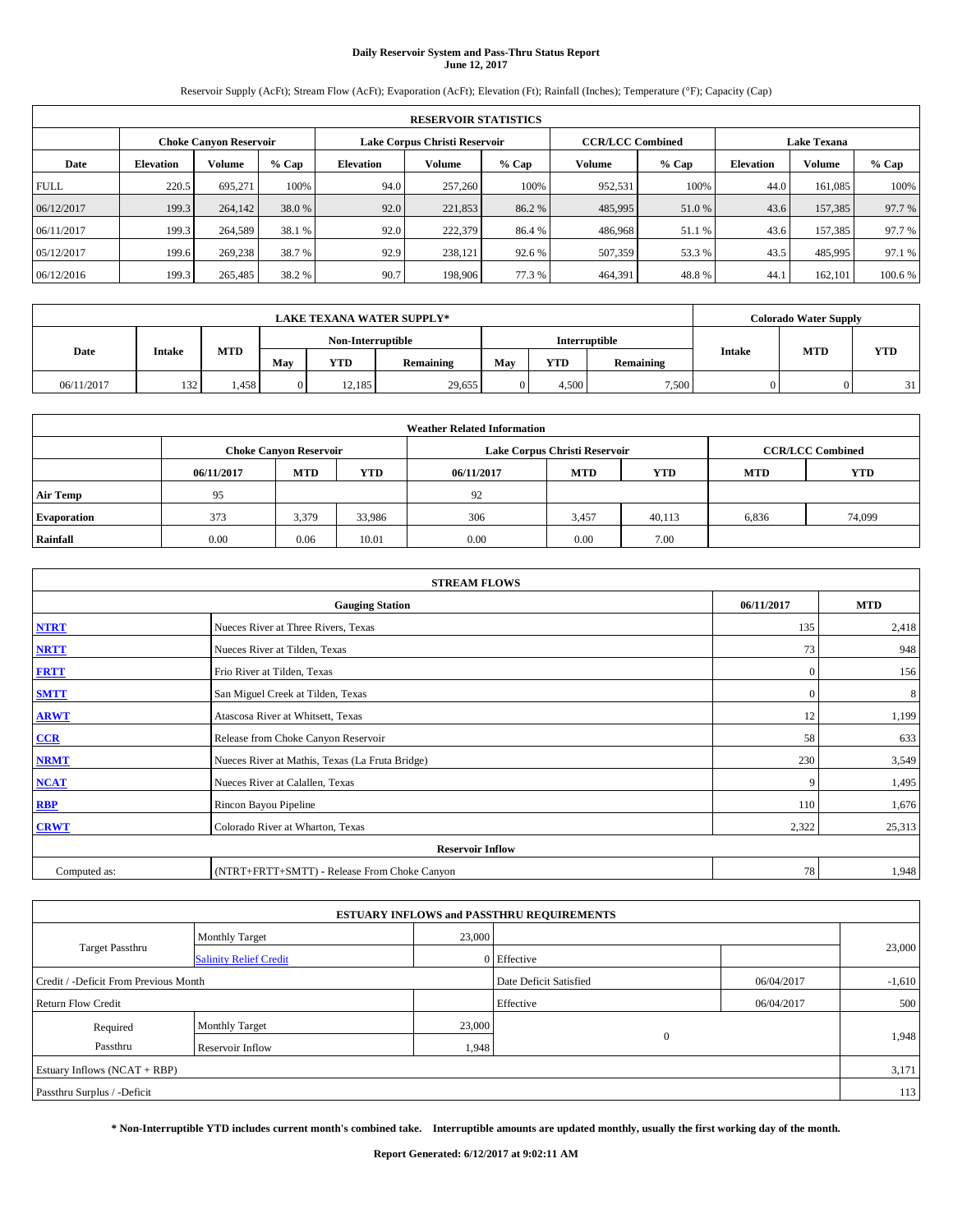# **Daily Reservoir System and Pass-Thru Status Report June 12, 2017**

Reservoir Supply (AcFt); Stream Flow (AcFt); Evaporation (AcFt); Elevation (Ft); Rainfall (Inches); Temperature (°F); Capacity (Cap)

|             | <b>RESERVOIR STATISTICS</b> |                               |        |                  |                               |         |                         |         |                  |                    |         |
|-------------|-----------------------------|-------------------------------|--------|------------------|-------------------------------|---------|-------------------------|---------|------------------|--------------------|---------|
|             |                             | <b>Choke Canyon Reservoir</b> |        |                  | Lake Corpus Christi Reservoir |         | <b>CCR/LCC Combined</b> |         |                  | <b>Lake Texana</b> |         |
| Date        | <b>Elevation</b>            | Volume                        | % Cap  | <b>Elevation</b> | <b>Volume</b>                 | $%$ Cap | Volume                  | $%$ Cap | <b>Elevation</b> | <b>Volume</b>      | % Cap   |
| <b>FULL</b> | 220.5                       | 695,271                       | 100%   | 94.0             | 257,260                       | 100%    | 952,531                 | 100%    | 44.0             | 161.085            | 100%    |
| 06/12/2017  | 199.3                       | 264,142                       | 38.0 % | 92.0             | 221,853                       | 86.2%   | 485,995                 | 51.0 %  | 43.6             | 157,385            | 97.7 %  |
| 06/11/2017  | 199.3                       | 264,589                       | 38.1 % | 92.0             | 222,379                       | 86.4 %  | 486,968                 | 51.1 %  | 43.6             | 157,385            | 97.7 %  |
| 05/12/2017  | 199.6                       | 269,238                       | 38.7 % | 92.9             | 238.121                       | 92.6 %  | 507,359                 | 53.3 %  | 43.5             | 485,995            | 97.1 %  |
| 06/12/2016  | 199.3                       | 265,485                       | 38.2 % | 90.7             | 198,906                       | 77.3 %  | 464,391                 | 48.8%   | 44.              | 162,101            | 100.6 % |

| <b>LAKE TEXANA WATER SUPPLY*</b> |        |      |                   |        |            |               | <b>Colorado Water Supply</b> |            |                  |               |            |            |
|----------------------------------|--------|------|-------------------|--------|------------|---------------|------------------------------|------------|------------------|---------------|------------|------------|
|                                  |        |      | Non-Interruptible |        |            | Interruptible |                              |            |                  |               |            |            |
| Date                             | Intake |      | <b>MTD</b>        | May    | <b>YTD</b> | Remaining     | May                          | <b>YTD</b> | <b>Remaining</b> | <b>Intake</b> | <b>MTD</b> | <b>YTD</b> |
| 06/11/2017                       | 132    | .458 | 0                 | 12.185 | 29,655     |               | 4.500                        | 7,500      |                  | $\Omega$      | 31         |            |

| <b>Weather Related Information</b> |            |                               |            |            |                               |                         |            |            |  |  |
|------------------------------------|------------|-------------------------------|------------|------------|-------------------------------|-------------------------|------------|------------|--|--|
|                                    |            | <b>Choke Canyon Reservoir</b> |            |            | Lake Corpus Christi Reservoir | <b>CCR/LCC Combined</b> |            |            |  |  |
|                                    | 06/11/2017 | <b>MTD</b>                    | <b>YTD</b> | 06/11/2017 | <b>MTD</b>                    | <b>YTD</b>              | <b>MTD</b> | <b>YTD</b> |  |  |
| <b>Air Temp</b>                    | 95         |                               |            | 92         |                               |                         |            |            |  |  |
| <b>Evaporation</b>                 | 373        | 3,379                         | 33,986     | 306        | 3,457                         | 40,113                  | 6,836      | 74,099     |  |  |
| Rainfall                           | 0.00       | 0.06                          | 10.01      | 0.00       | 0.00                          | 7.00                    |            |            |  |  |

| <b>STREAM FLOWS</b> |                                                 |              |        |  |  |  |  |  |  |
|---------------------|-------------------------------------------------|--------------|--------|--|--|--|--|--|--|
|                     | <b>Gauging Station</b>                          |              |        |  |  |  |  |  |  |
| <b>NTRT</b>         | Nueces River at Three Rivers, Texas             | 135          | 2,418  |  |  |  |  |  |  |
| <b>NRTT</b>         | Nueces River at Tilden, Texas                   | 73           | 948    |  |  |  |  |  |  |
| <b>FRTT</b>         | Frio River at Tilden, Texas                     | $\mathbf{0}$ | 156    |  |  |  |  |  |  |
| <b>SMTT</b>         | San Miguel Creek at Tilden, Texas               | $\mathbf{0}$ | 8      |  |  |  |  |  |  |
| <b>ARWT</b>         | Atascosa River at Whitsett, Texas               | 12           | 1,199  |  |  |  |  |  |  |
| $CCR$               | Release from Choke Canyon Reservoir             | 58           | 633    |  |  |  |  |  |  |
| <b>NRMT</b>         | Nueces River at Mathis, Texas (La Fruta Bridge) | 230          | 3,549  |  |  |  |  |  |  |
| <b>NCAT</b>         | Nueces River at Calallen, Texas                 | 9            | 1,495  |  |  |  |  |  |  |
| RBP                 | Rincon Bayou Pipeline                           | 110          | 1,676  |  |  |  |  |  |  |
| <b>CRWT</b>         | Colorado River at Wharton, Texas                | 2,322        | 25,313 |  |  |  |  |  |  |
|                     | <b>Reservoir Inflow</b>                         |              |        |  |  |  |  |  |  |
| Computed as:        | (NTRT+FRTT+SMTT) - Release From Choke Canyon    | 78           | 1,948  |  |  |  |  |  |  |

| <b>ESTUARY INFLOWS and PASSTHRU REQUIREMENTS</b> |                               |        |                        |            |          |  |  |  |  |  |
|--------------------------------------------------|-------------------------------|--------|------------------------|------------|----------|--|--|--|--|--|
|                                                  | <b>Monthly Target</b>         | 23,000 |                        |            |          |  |  |  |  |  |
| <b>Target Passthru</b>                           | <b>Salinity Relief Credit</b> |        | 0 Effective            |            | 23,000   |  |  |  |  |  |
| Credit / -Deficit From Previous Month            |                               |        | Date Deficit Satisfied | 06/04/2017 | $-1,610$ |  |  |  |  |  |
| <b>Return Flow Credit</b>                        |                               |        | Effective              | 06/04/2017 | 500      |  |  |  |  |  |
| Required                                         | Monthly Target                | 23,000 |                        |            |          |  |  |  |  |  |
| Passthru                                         | <b>Reservoir Inflow</b>       | 1,948  | $\Omega$               |            | 1,948    |  |  |  |  |  |
| Estuary Inflows (NCAT + RBP)                     |                               |        |                        |            |          |  |  |  |  |  |
| Passthru Surplus / -Deficit                      |                               |        |                        |            | 113      |  |  |  |  |  |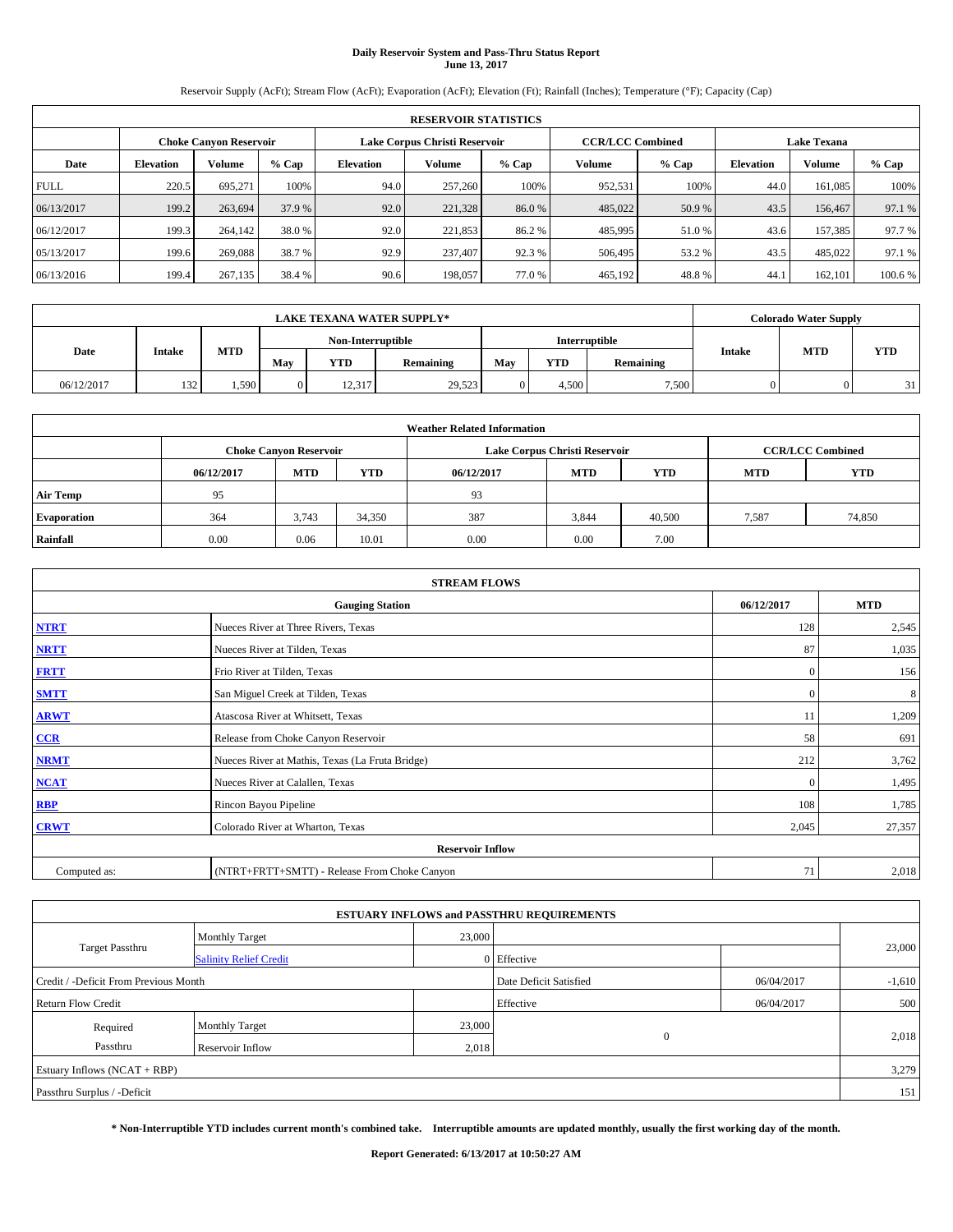## **Daily Reservoir System and Pass-Thru Status Report June 13, 2017**

Reservoir Supply (AcFt); Stream Flow (AcFt); Evaporation (AcFt); Elevation (Ft); Rainfall (Inches); Temperature (°F); Capacity (Cap)

| <b>RESERVOIR STATISTICS</b> |                  |                        |        |                                                          |               |         |         |         |                    |               |         |
|-----------------------------|------------------|------------------------|--------|----------------------------------------------------------|---------------|---------|---------|---------|--------------------|---------------|---------|
|                             |                  | Choke Canvon Reservoir |        | Lake Corpus Christi Reservoir<br><b>CCR/LCC Combined</b> |               |         |         |         | <b>Lake Texana</b> |               |         |
| Date                        | <b>Elevation</b> | Volume                 | % Cap  | <b>Elevation</b>                                         | <b>Volume</b> | $%$ Cap | Volume  | $%$ Cap | <b>Elevation</b>   | <b>Volume</b> | % Cap   |
| <b>FULL</b>                 | 220.5            | 695,271                | 100%   | 94.0                                                     | 257,260       | 100%    | 952,531 | 100%    | 44.0               | 161.085       | 100%    |
| 06/13/2017                  | 199.2            | 263,694                | 37.9 % | 92.0                                                     | 221,328       | 86.0%   | 485,022 | 50.9 %  | 43.5               | 156,467       | 97.1 %  |
| 06/12/2017                  | 199.3            | 264,142                | 38.0%  | 92.0                                                     | 221,853       | 86.2%   | 485,995 | 51.0 %  | 43.6               | 157,385       | 97.7 %  |
| 05/13/2017                  | 199.6            | 269,088                | 38.7 % | 92.9                                                     | 237,407       | 92.3%   | 506,495 | 53.2 %  | 43.5               | 485.022       | 97.1 %  |
| 06/13/2016                  | 199.4            | 267,135                | 38.4 % | 90.6                                                     | 198,057       | 77.0%   | 465,192 | 48.8%   | 44.                | 162,101       | 100.6 % |

|            | <b>LAKE TEXANA WATER SUPPLY*</b> |            |              |                   |           |     |            |               |        |            | <b>Colorado Water Supply</b> |  |  |
|------------|----------------------------------|------------|--------------|-------------------|-----------|-----|------------|---------------|--------|------------|------------------------------|--|--|
|            |                                  |            |              | Non-Interruptible |           |     |            | Interruptible |        |            |                              |  |  |
| Date       | Intake                           | <b>MTD</b> | May          | <b>YTD</b>        | Remaining | May | <b>YTD</b> | Remaining     | Intake | <b>MTD</b> | <b>YTD</b>                   |  |  |
| 06/12/2017 | 132                              | .,590      | $\mathbf{0}$ | 12,317            | 29,523    |     | 4.500      | 7,500         |        |            | 31                           |  |  |

| <b>Weather Related Information</b> |            |                                                                                  |        |      |                               |                         |       |        |  |  |
|------------------------------------|------------|----------------------------------------------------------------------------------|--------|------|-------------------------------|-------------------------|-------|--------|--|--|
|                                    |            | <b>Choke Canyon Reservoir</b>                                                    |        |      | Lake Corpus Christi Reservoir | <b>CCR/LCC Combined</b> |       |        |  |  |
|                                    | 06/12/2017 | <b>YTD</b><br><b>MTD</b><br><b>MTD</b><br><b>YTD</b><br>06/12/2017<br><b>MTD</b> |        |      |                               |                         |       |        |  |  |
| <b>Air Temp</b>                    | 95         |                                                                                  |        | 93   |                               |                         |       |        |  |  |
| <b>Evaporation</b>                 | 364        | 3,743                                                                            | 34,350 | 387  | 3,844                         | 40,500                  | 7,587 | 74,850 |  |  |
| Rainfall                           | 0.00       | 0.06                                                                             | 10.01  | 0.00 | 0.00                          | 7.00                    |       |        |  |  |

| <b>STREAM FLOWS</b> |                                                 |              |            |  |  |  |  |  |  |
|---------------------|-------------------------------------------------|--------------|------------|--|--|--|--|--|--|
|                     | <b>Gauging Station</b>                          | 06/12/2017   | <b>MTD</b> |  |  |  |  |  |  |
| <b>NTRT</b>         | Nueces River at Three Rivers, Texas             | 128          | 2,545      |  |  |  |  |  |  |
| <b>NRTT</b>         | 87                                              | 1,035        |            |  |  |  |  |  |  |
| <b>FRTT</b>         | Frio River at Tilden, Texas                     | $\mathbf{0}$ | 156        |  |  |  |  |  |  |
| <b>SMTT</b>         | San Miguel Creek at Tilden, Texas               | $\mathbf{0}$ | 8          |  |  |  |  |  |  |
| <b>ARWT</b>         | Atascosa River at Whitsett, Texas               | 11           | 1,209      |  |  |  |  |  |  |
| $CCR$               | Release from Choke Canyon Reservoir             | 58           | 691        |  |  |  |  |  |  |
| <b>NRMT</b>         | Nueces River at Mathis, Texas (La Fruta Bridge) | 212          | 3,762      |  |  |  |  |  |  |
| <b>NCAT</b>         | Nueces River at Calallen, Texas                 | $\Omega$     | 1,495      |  |  |  |  |  |  |
| RBP                 | Rincon Bayou Pipeline                           | 108          | 1,785      |  |  |  |  |  |  |
| <b>CRWT</b>         | Colorado River at Wharton, Texas                | 2,045        | 27,357     |  |  |  |  |  |  |
|                     | <b>Reservoir Inflow</b>                         |              |            |  |  |  |  |  |  |
| Computed as:        | (NTRT+FRTT+SMTT) - Release From Choke Canyon    |              |            |  |  |  |  |  |  |

| <b>ESTUARY INFLOWS and PASSTHRU REQUIREMENTS</b> |                               |                        |             |          |        |  |  |  |  |  |
|--------------------------------------------------|-------------------------------|------------------------|-------------|----------|--------|--|--|--|--|--|
|                                                  | <b>Monthly Target</b>         | 23,000                 |             |          |        |  |  |  |  |  |
| <b>Target Passthru</b>                           | <b>Salinity Relief Credit</b> |                        | 0 Effective |          | 23,000 |  |  |  |  |  |
| Credit / -Deficit From Previous Month            |                               | Date Deficit Satisfied | 06/04/2017  | $-1,610$ |        |  |  |  |  |  |
| <b>Return Flow Credit</b>                        |                               | Effective              | 06/04/2017  | 500      |        |  |  |  |  |  |
| Required                                         | <b>Monthly Target</b>         | 23,000                 |             |          |        |  |  |  |  |  |
| Passthru                                         | <b>Reservoir Inflow</b>       | 2,018                  | $\Omega$    |          | 2,018  |  |  |  |  |  |
| Estuary Inflows $(NCAT + RBP)$                   |                               |                        |             |          |        |  |  |  |  |  |
| Passthru Surplus / -Deficit                      |                               |                        |             |          |        |  |  |  |  |  |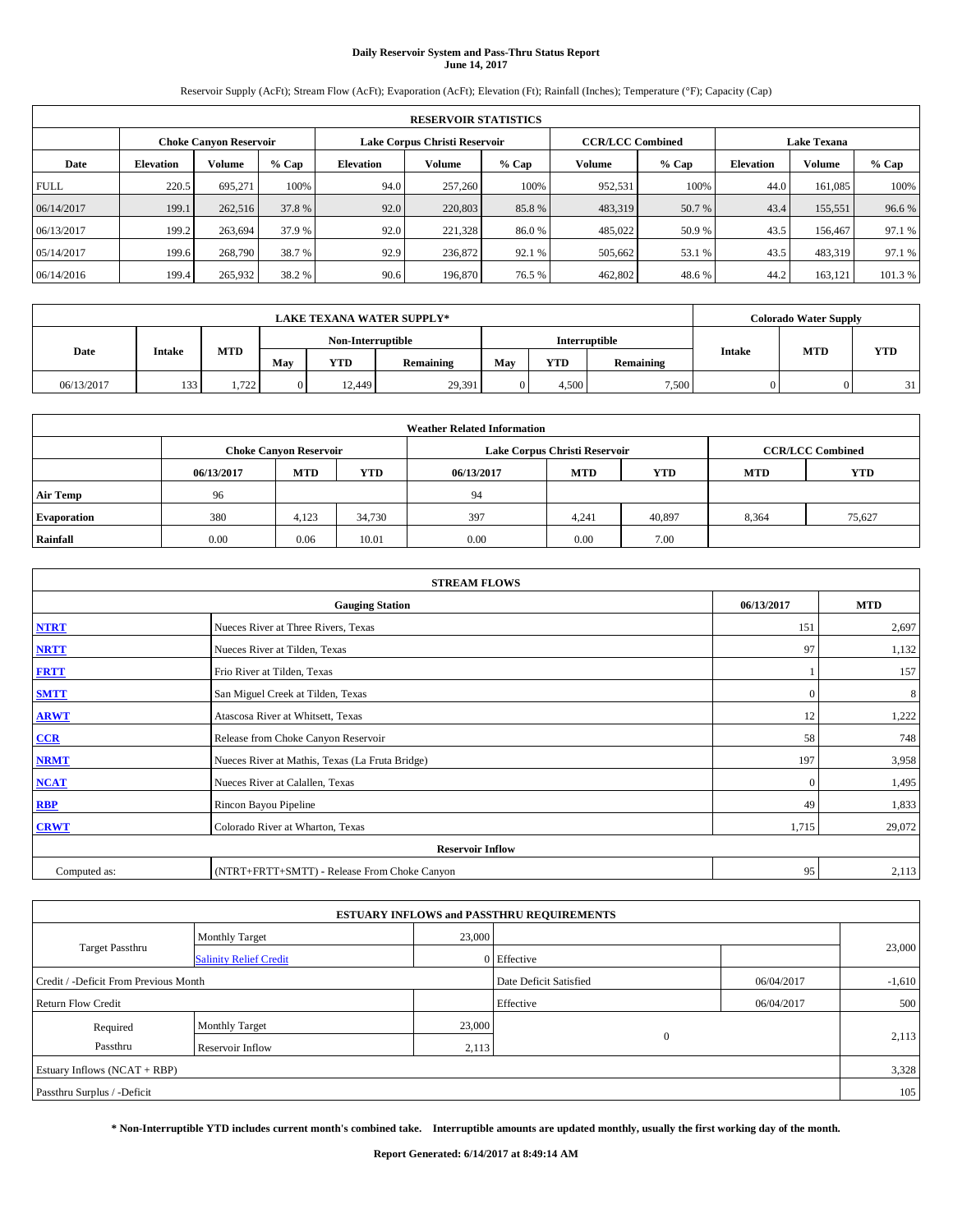# **Daily Reservoir System and Pass-Thru Status Report June 14, 2017**

Reservoir Supply (AcFt); Stream Flow (AcFt); Evaporation (AcFt); Elevation (Ft); Rainfall (Inches); Temperature (°F); Capacity (Cap)

| <b>RESERVOIR STATISTICS</b> |                  |                               |         |                  |                                                          |         |         |         |                  |                    |         |  |
|-----------------------------|------------------|-------------------------------|---------|------------------|----------------------------------------------------------|---------|---------|---------|------------------|--------------------|---------|--|
|                             |                  | <b>Choke Canyon Reservoir</b> |         |                  | <b>CCR/LCC Combined</b><br>Lake Corpus Christi Reservoir |         |         |         |                  | <b>Lake Texana</b> |         |  |
| Date                        | <b>Elevation</b> | Volume                        | $%$ Cap | <b>Elevation</b> | Volume                                                   | $%$ Cap | Volume  | $%$ Cap | <b>Elevation</b> | <b>Volume</b>      | % Cap   |  |
| <b>FULL</b>                 | 220.5            | 695.271                       | 100%    | 94.0             | 257,260                                                  | 100%    | 952,531 | 100%    | 44.0             | 161.085            | 100%    |  |
| 06/14/2017                  | 199.1            | 262,516                       | 37.8 %  | 92.0             | 220,803                                                  | 85.8%   | 483,319 | 50.7 %  | 43.4             | 155,551            | 96.6%   |  |
| 06/13/2017                  | 199.2            | 263,694                       | 37.9 %  | 92.0             | 221.328                                                  | 86.0%   | 485,022 | 50.9 %  | 43.5             | 156,467            | 97.1 %  |  |
| 05/14/2017                  | 199.6            | 268,790                       | 38.7 %  | 92.9             | 236,872                                                  | 92.1 %  | 505,662 | 53.1 %  | 43.5             | 483,319            | 97.1 %  |  |
| 06/14/2016                  | 199.4            | 265,932                       | 38.2 %  | 90.6             | 196,870                                                  | 76.5 %  | 462,802 | 48.6%   | 44.2             | 163,121            | 101.3 % |  |

|            | <b>LAKE TEXANA WATER SUPPLY*</b> |            |                |                   |           |               |       |           |               |            | <b>Colorado Water Supply</b> |  |  |
|------------|----------------------------------|------------|----------------|-------------------|-----------|---------------|-------|-----------|---------------|------------|------------------------------|--|--|
|            |                                  |            |                | Non-Interruptible |           | Interruptible |       |           |               |            |                              |  |  |
| Date       | Intake                           | <b>MTD</b> | May            | <b>YTD</b>        | Remaining | May           | YTD   | Remaining | <b>Intake</b> | <b>MTD</b> | <b>YTD</b>                   |  |  |
| 06/13/2017 | 133                              | 1.722      | $\overline{0}$ | 12.449            | 29,391    |               | 4.500 | 7,500     |               |            | 21                           |  |  |

| <b>Weather Related Information</b> |            |                                                                                  |        |      |                               |                         |       |        |  |  |  |
|------------------------------------|------------|----------------------------------------------------------------------------------|--------|------|-------------------------------|-------------------------|-------|--------|--|--|--|
|                                    |            | <b>Choke Canyon Reservoir</b>                                                    |        |      | Lake Corpus Christi Reservoir | <b>CCR/LCC Combined</b> |       |        |  |  |  |
|                                    | 06/13/2017 | <b>YTD</b><br><b>MTD</b><br><b>MTD</b><br><b>YTD</b><br>06/13/2017<br><b>MTD</b> |        |      |                               |                         |       |        |  |  |  |
| <b>Air Temp</b>                    | 96         |                                                                                  |        | 94   |                               |                         |       |        |  |  |  |
| <b>Evaporation</b>                 | 380        | 4,123                                                                            | 34,730 | 397  | 4,241                         | 40,897                  | 8,364 | 75,627 |  |  |  |
| Rainfall                           | 0.00       | 0.06                                                                             | 10.01  | 0.00 | 0.00                          | 7.00                    |       |        |  |  |  |

| <b>STREAM FLOWS</b> |                                                 |              |            |  |  |  |  |  |  |
|---------------------|-------------------------------------------------|--------------|------------|--|--|--|--|--|--|
|                     | <b>Gauging Station</b>                          | 06/13/2017   | <b>MTD</b> |  |  |  |  |  |  |
| <b>NTRT</b>         | Nueces River at Three Rivers, Texas             | 151          | 2,697      |  |  |  |  |  |  |
| <b>NRTT</b>         | Nueces River at Tilden, Texas                   | 97           | 1,132      |  |  |  |  |  |  |
| <b>FRTT</b>         | Frio River at Tilden, Texas                     |              | 157        |  |  |  |  |  |  |
| <b>SMTT</b>         | San Miguel Creek at Tilden, Texas               | $\mathbf{0}$ | 8          |  |  |  |  |  |  |
| <b>ARWT</b>         | Atascosa River at Whitsett, Texas               | 12           | 1,222      |  |  |  |  |  |  |
| $CCR$               | Release from Choke Canyon Reservoir             | 58           | 748        |  |  |  |  |  |  |
| <b>NRMT</b>         | Nueces River at Mathis, Texas (La Fruta Bridge) | 197          | 3,958      |  |  |  |  |  |  |
| <b>NCAT</b>         | Nueces River at Calallen, Texas                 | $\mathbf{0}$ | 1,495      |  |  |  |  |  |  |
| RBP                 | Rincon Bayou Pipeline                           | 49           | 1,833      |  |  |  |  |  |  |
| <b>CRWT</b>         | Colorado River at Wharton, Texas                | 1,715        | 29,072     |  |  |  |  |  |  |
|                     | <b>Reservoir Inflow</b>                         |              |            |  |  |  |  |  |  |
| Computed as:        | (NTRT+FRTT+SMTT) - Release From Choke Canyon    |              |            |  |  |  |  |  |  |

| <b>ESTUARY INFLOWS and PASSTHRU REQUIREMENTS</b> |                               |                        |             |            |        |  |  |  |  |  |
|--------------------------------------------------|-------------------------------|------------------------|-------------|------------|--------|--|--|--|--|--|
|                                                  | <b>Monthly Target</b>         | 23,000                 |             |            |        |  |  |  |  |  |
| <b>Target Passthru</b>                           | <b>Salinity Relief Credit</b> |                        | 0 Effective |            | 23,000 |  |  |  |  |  |
| Credit / -Deficit From Previous Month            |                               | Date Deficit Satisfied | 06/04/2017  | $-1,610$   |        |  |  |  |  |  |
| <b>Return Flow Credit</b>                        |                               |                        | Effective   | 06/04/2017 | 500    |  |  |  |  |  |
| Required                                         | Monthly Target                | 23,000                 |             |            |        |  |  |  |  |  |
| Passthru                                         | <b>Reservoir Inflow</b>       | 2,113                  | $\Omega$    |            | 2,113  |  |  |  |  |  |
| Estuary Inflows (NCAT + RBP)                     |                               |                        |             |            |        |  |  |  |  |  |
| Passthru Surplus / -Deficit                      |                               |                        |             |            |        |  |  |  |  |  |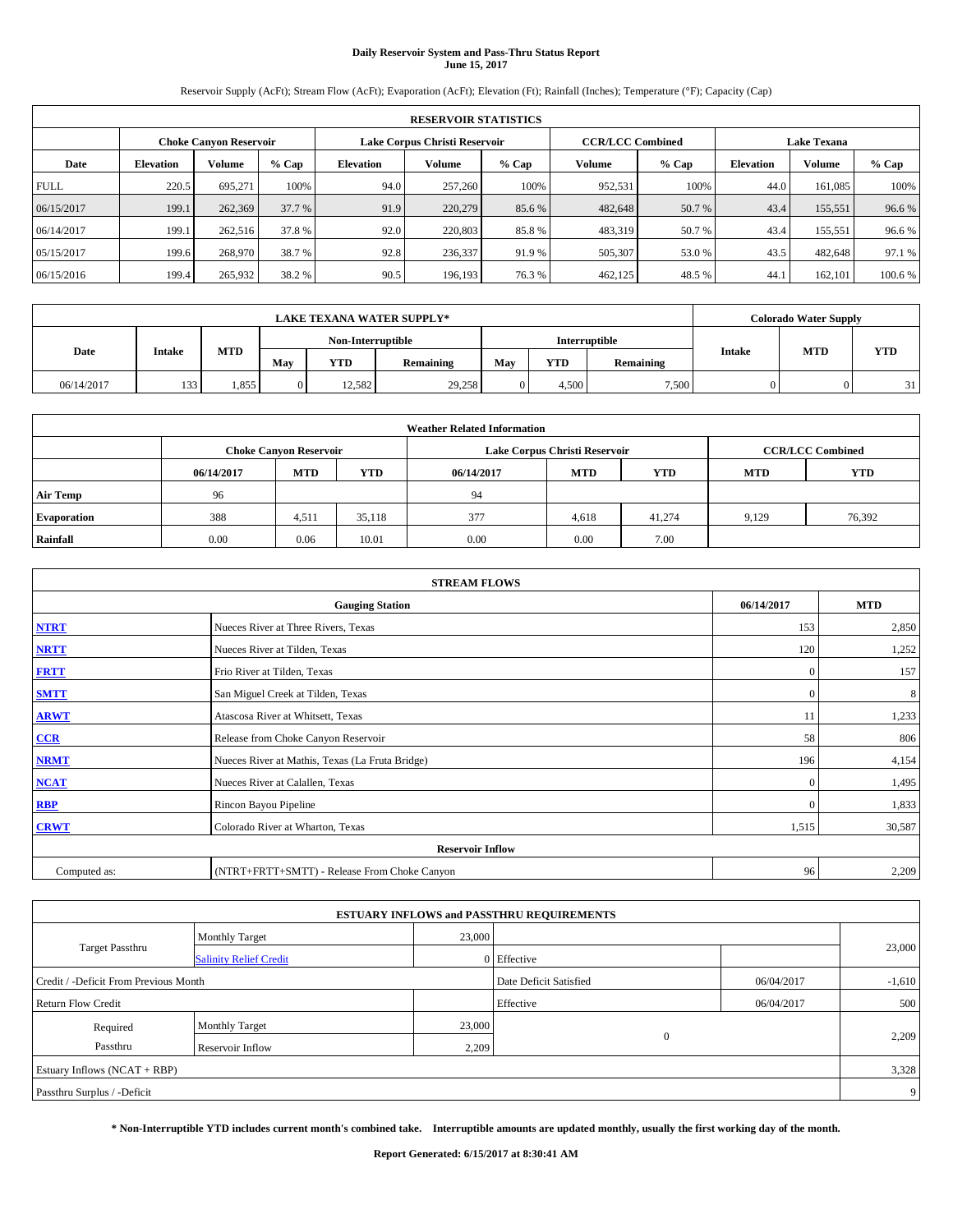# **Daily Reservoir System and Pass-Thru Status Report June 15, 2017**

Reservoir Supply (AcFt); Stream Flow (AcFt); Evaporation (AcFt); Elevation (Ft); Rainfall (Inches); Temperature (°F); Capacity (Cap)

|             | <b>RESERVOIR STATISTICS</b> |                               |         |           |                               |         |                         |         |                    |               |         |
|-------------|-----------------------------|-------------------------------|---------|-----------|-------------------------------|---------|-------------------------|---------|--------------------|---------------|---------|
|             |                             | <b>Choke Canyon Reservoir</b> |         |           | Lake Corpus Christi Reservoir |         | <b>CCR/LCC Combined</b> |         | <b>Lake Texana</b> |               |         |
| Date        | <b>Elevation</b>            | Volume                        | $%$ Cap | Elevation | Volume                        | $%$ Cap | Volume                  | $%$ Cap | <b>Elevation</b>   | <b>Volume</b> | % Cap   |
| <b>FULL</b> | 220.5                       | 695.271                       | 100%    | 94.0      | 257,260                       | 100%    | 952,531                 | 100%    | 44.0               | 161.085       | 100%    |
| 06/15/2017  | 199.1                       | 262,369                       | 37.7 %  | 91.9      | 220,279                       | 85.6 %  | 482,648                 | 50.7 %  | 43.4               | 155,551       | 96.6%   |
| 06/14/2017  | 199.1                       | 262,516                       | 37.8%   | 92.0      | 220,803                       | 85.8%   | 483,319                 | 50.7 %  | 43.4               | 155,551       | 96.6%   |
| 05/15/2017  | 199.6                       | 268,970                       | 38.7 %  | 92.8      | 236,337                       | 91.9 %  | 505,307                 | 53.0 %  | 43.5               | 482,648       | 97.1 %  |
| 06/15/2016  | 199.4                       | 265,932                       | 38.2 %  | 90.5      | 196,193                       | 76.3 %  | 462,125                 | 48.5%   | 44.                | 162,101       | 100.6 % |

|            | <b>LAKE TEXANA WATER SUPPLY*</b> |            |                   |            |           |               |       |           |               |            | <b>Colorado Water Supply</b> |  |  |
|------------|----------------------------------|------------|-------------------|------------|-----------|---------------|-------|-----------|---------------|------------|------------------------------|--|--|
|            |                                  |            | Non-Interruptible |            |           | Interruptible |       |           |               |            |                              |  |  |
| Date       | Intake                           | <b>MTD</b> | May               | <b>YTD</b> | Remaining | May           | YTD   | Remaining | <b>Intake</b> | <b>MTD</b> | <b>YTD</b>                   |  |  |
| 06/14/2017 | 133                              | 1.855      | $\overline{0}$    | 12.582     | 29.258    |               | 4.500 | 7,500     |               |            | 21                           |  |  |

| <b>Weather Related Information</b> |            |                               |            |            |                               |                         |            |            |  |
|------------------------------------|------------|-------------------------------|------------|------------|-------------------------------|-------------------------|------------|------------|--|
|                                    |            | <b>Choke Canyon Reservoir</b> |            |            | Lake Corpus Christi Reservoir | <b>CCR/LCC Combined</b> |            |            |  |
|                                    | 06/14/2017 | <b>MTD</b>                    | <b>YTD</b> | 06/14/2017 | <b>MTD</b>                    | <b>YTD</b>              | <b>MTD</b> | <b>YTD</b> |  |
| <b>Air Temp</b>                    | 96         |                               |            | 94         |                               |                         |            |            |  |
| <b>Evaporation</b>                 | 388        | 4,511                         | 35,118     | 377        | 4,618                         | 41,274                  | 9,129      | 76,392     |  |
| Rainfall                           | 0.00       | 0.06                          | 10.01      | 0.00       | 0.00                          | 7.00                    |            |            |  |

| <b>STREAM FLOWS</b> |                                                 |              |        |  |  |  |  |  |  |
|---------------------|-------------------------------------------------|--------------|--------|--|--|--|--|--|--|
|                     | 06/14/2017                                      | <b>MTD</b>   |        |  |  |  |  |  |  |
| <b>NTRT</b>         | Nueces River at Three Rivers, Texas             | 153          | 2,850  |  |  |  |  |  |  |
| <b>NRTT</b>         | Nueces River at Tilden, Texas                   | 120          | 1,252  |  |  |  |  |  |  |
| <b>FRTT</b>         | Frio River at Tilden, Texas                     | $\mathbf{0}$ | 157    |  |  |  |  |  |  |
| <b>SMTT</b>         | San Miguel Creek at Tilden, Texas               | $\mathbf{0}$ | 8      |  |  |  |  |  |  |
| <b>ARWT</b>         | Atascosa River at Whitsett, Texas               | 11           | 1,233  |  |  |  |  |  |  |
| $CCR$               | Release from Choke Canyon Reservoir             | 58           | 806    |  |  |  |  |  |  |
| <b>NRMT</b>         | Nueces River at Mathis, Texas (La Fruta Bridge) | 196          | 4,154  |  |  |  |  |  |  |
| <b>NCAT</b>         | Nueces River at Calallen, Texas                 | $\mathbf{0}$ | 1,495  |  |  |  |  |  |  |
| RBP                 | Rincon Bayou Pipeline                           | $\Omega$     | 1,833  |  |  |  |  |  |  |
| <b>CRWT</b>         | Colorado River at Wharton, Texas                | 1,515        | 30,587 |  |  |  |  |  |  |
|                     |                                                 |              |        |  |  |  |  |  |  |
| Computed as:        | 96                                              | 2,209        |        |  |  |  |  |  |  |

|                                       |                               |        | <b>ESTUARY INFLOWS and PASSTHRU REQUIREMENTS</b> |            |          |  |  |  |  |
|---------------------------------------|-------------------------------|--------|--------------------------------------------------|------------|----------|--|--|--|--|
|                                       | <b>Monthly Target</b>         | 23,000 |                                                  |            |          |  |  |  |  |
| <b>Target Passthru</b>                | <b>Salinity Relief Credit</b> |        | 0 Effective                                      |            | 23,000   |  |  |  |  |
| Credit / -Deficit From Previous Month |                               |        | Date Deficit Satisfied                           | 06/04/2017 | $-1,610$ |  |  |  |  |
| <b>Return Flow Credit</b>             |                               |        | Effective                                        | 06/04/2017 | 500      |  |  |  |  |
| Required                              | Monthly Target                | 23,000 |                                                  |            |          |  |  |  |  |
| Passthru                              | <b>Reservoir Inflow</b>       | 2,209  | $\Omega$                                         |            | 2,209    |  |  |  |  |
| Estuary Inflows (NCAT + RBP)          |                               |        |                                                  |            |          |  |  |  |  |
| Passthru Surplus / -Deficit           |                               |        |                                                  |            |          |  |  |  |  |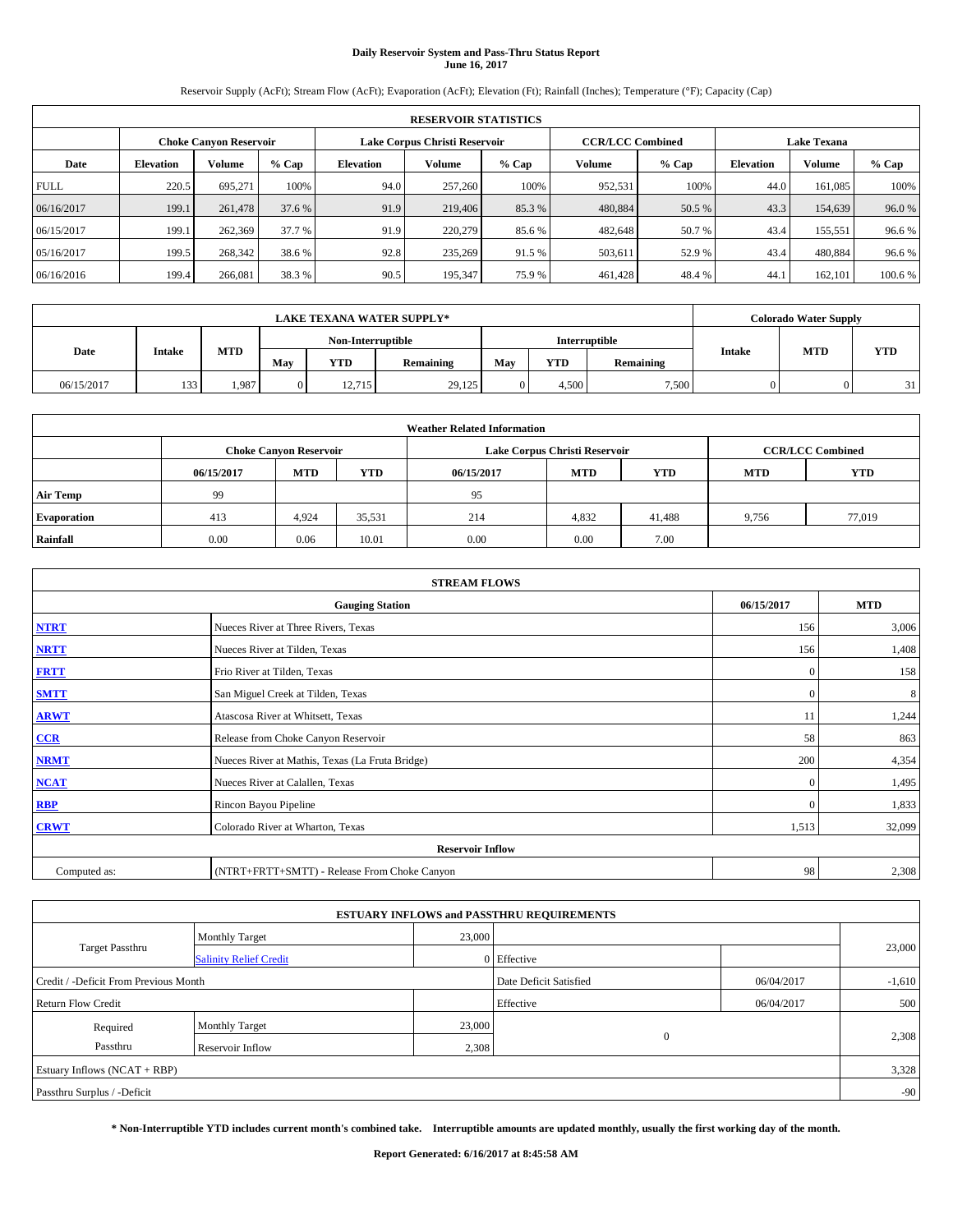# **Daily Reservoir System and Pass-Thru Status Report June 16, 2017**

Reservoir Supply (AcFt); Stream Flow (AcFt); Evaporation (AcFt); Elevation (Ft); Rainfall (Inches); Temperature (°F); Capacity (Cap)

|             | <b>RESERVOIR STATISTICS</b> |                               |         |           |                               |         |                         |         |                  |                    |         |
|-------------|-----------------------------|-------------------------------|---------|-----------|-------------------------------|---------|-------------------------|---------|------------------|--------------------|---------|
|             |                             | <b>Choke Canyon Reservoir</b> |         |           | Lake Corpus Christi Reservoir |         | <b>CCR/LCC Combined</b> |         |                  | <b>Lake Texana</b> |         |
| Date        | <b>Elevation</b>            | Volume                        | $%$ Cap | Elevation | Volume                        | $%$ Cap | Volume                  | $%$ Cap | <b>Elevation</b> | <b>Volume</b>      | % Cap   |
| <b>FULL</b> | 220.5                       | 695.271                       | 100%    | 94.0      | 257,260                       | 100%    | 952,531                 | 100%    | 44.0             | 161.085            | 100%    |
| 06/16/2017  | 199.1                       | 261,478                       | 37.6 %  | 91.9      | 219,406                       | 85.3 %  | 480,884                 | 50.5 %  | 43.3             | 154,639            | 96.0%   |
| 06/15/2017  | 199.1                       | 262,369                       | 37.7 %  | 91.9      | 220,279                       | 85.6 %  | 482,648                 | 50.7 %  | 43.4             | 155,551            | 96.6%   |
| 05/16/2017  | 199.5                       | 268,342                       | 38.6 %  | 92.8      | 235,269                       | 91.5 %  | 503,611                 | 52.9 %  | 43.4             | 480.884            | 96.6%   |
| 06/16/2016  | 199.4                       | 266,081                       | 38.3%   | 90.5      | 195,347                       | 75.9%   | 461,428                 | 48.4%   | 44.              | 162,101            | 100.6 % |

| <b>LAKE TEXANA WATER SUPPLY*</b> |        |            |                |                   |           |     |       |               |                             | <b>Colorado Water Supply</b> |            |
|----------------------------------|--------|------------|----------------|-------------------|-----------|-----|-------|---------------|-----------------------------|------------------------------|------------|
|                                  |        |            |                | Non-Interruptible |           |     |       | Interruptible |                             |                              |            |
| Date                             | Intake | <b>MTD</b> | May            | <b>YTD</b>        | Remaining | May | YTD   | Remaining     | <b>MTD</b><br><b>Intake</b> |                              | <b>YTD</b> |
| 06/15/2017                       | 133    | 1,987      | $\overline{0}$ | 12.715            | 29,125    |     | 4.500 | 7,500         |                             |                              | 21         |

| <b>Weather Related Information</b> |            |                               |            |            |                               |                         |            |            |  |
|------------------------------------|------------|-------------------------------|------------|------------|-------------------------------|-------------------------|------------|------------|--|
|                                    |            | <b>Choke Canyon Reservoir</b> |            |            | Lake Corpus Christi Reservoir | <b>CCR/LCC Combined</b> |            |            |  |
|                                    | 06/15/2017 | <b>MTD</b>                    | <b>YTD</b> | 06/15/2017 | <b>MTD</b>                    | <b>YTD</b>              | <b>MTD</b> | <b>YTD</b> |  |
| <b>Air Temp</b>                    | 99         |                               |            | 95         |                               |                         |            |            |  |
| <b>Evaporation</b>                 | 413        | 4.924                         | 35,531     | 214        | 4,832                         | 41.488                  | 9,756      | 77,019     |  |
| Rainfall                           | 0.00       | 0.06                          | 10.01      | 0.00       | 0.00                          | 7.00                    |            |            |  |

| <b>STREAM FLOWS</b> |                                                 |              |        |  |  |  |  |  |
|---------------------|-------------------------------------------------|--------------|--------|--|--|--|--|--|
|                     | 06/15/2017                                      | <b>MTD</b>   |        |  |  |  |  |  |
| <b>NTRT</b>         | Nueces River at Three Rivers, Texas             | 156          | 3,006  |  |  |  |  |  |
| <b>NRTT</b>         | Nueces River at Tilden, Texas                   | 156          | 1,408  |  |  |  |  |  |
| <b>FRTT</b>         | Frio River at Tilden, Texas                     | $\mathbf{0}$ | 158    |  |  |  |  |  |
| <b>SMTT</b>         | San Miguel Creek at Tilden, Texas               | $\mathbf{0}$ | 8      |  |  |  |  |  |
| <b>ARWT</b>         | Atascosa River at Whitsett, Texas               | 11           | 1,244  |  |  |  |  |  |
| $CCR$               | Release from Choke Canyon Reservoir             | 58           | 863    |  |  |  |  |  |
| <b>NRMT</b>         | Nueces River at Mathis, Texas (La Fruta Bridge) | 200          | 4,354  |  |  |  |  |  |
| <b>NCAT</b>         | Nueces River at Calallen, Texas                 | $\mathbf{0}$ | 1,495  |  |  |  |  |  |
| RBP                 | Rincon Bayou Pipeline                           | $\Omega$     | 1,833  |  |  |  |  |  |
| <b>CRWT</b>         | Colorado River at Wharton, Texas                | 1,513        | 32,099 |  |  |  |  |  |
|                     | <b>Reservoir Inflow</b>                         |              |        |  |  |  |  |  |
| Computed as:        | (NTRT+FRTT+SMTT) - Release From Choke Canyon    | 98           | 2,308  |  |  |  |  |  |

|                                       |                               |        | <b>ESTUARY INFLOWS and PASSTHRU REQUIREMENTS</b> |            |          |  |  |  |  |
|---------------------------------------|-------------------------------|--------|--------------------------------------------------|------------|----------|--|--|--|--|
|                                       | <b>Monthly Target</b>         | 23,000 |                                                  |            |          |  |  |  |  |
| <b>Target Passthru</b>                | <b>Salinity Relief Credit</b> |        | 0 Effective                                      |            | 23,000   |  |  |  |  |
| Credit / -Deficit From Previous Month |                               |        | Date Deficit Satisfied                           | 06/04/2017 | $-1,610$ |  |  |  |  |
| <b>Return Flow Credit</b>             |                               |        | Effective                                        | 06/04/2017 | 500      |  |  |  |  |
| Required                              | Monthly Target                | 23,000 |                                                  |            |          |  |  |  |  |
| Passthru                              | <b>Reservoir Inflow</b>       | 2,308  | $\Omega$                                         |            | 2,308    |  |  |  |  |
| Estuary Inflows (NCAT + RBP)          |                               |        |                                                  |            |          |  |  |  |  |
| Passthru Surplus / -Deficit           |                               |        |                                                  |            |          |  |  |  |  |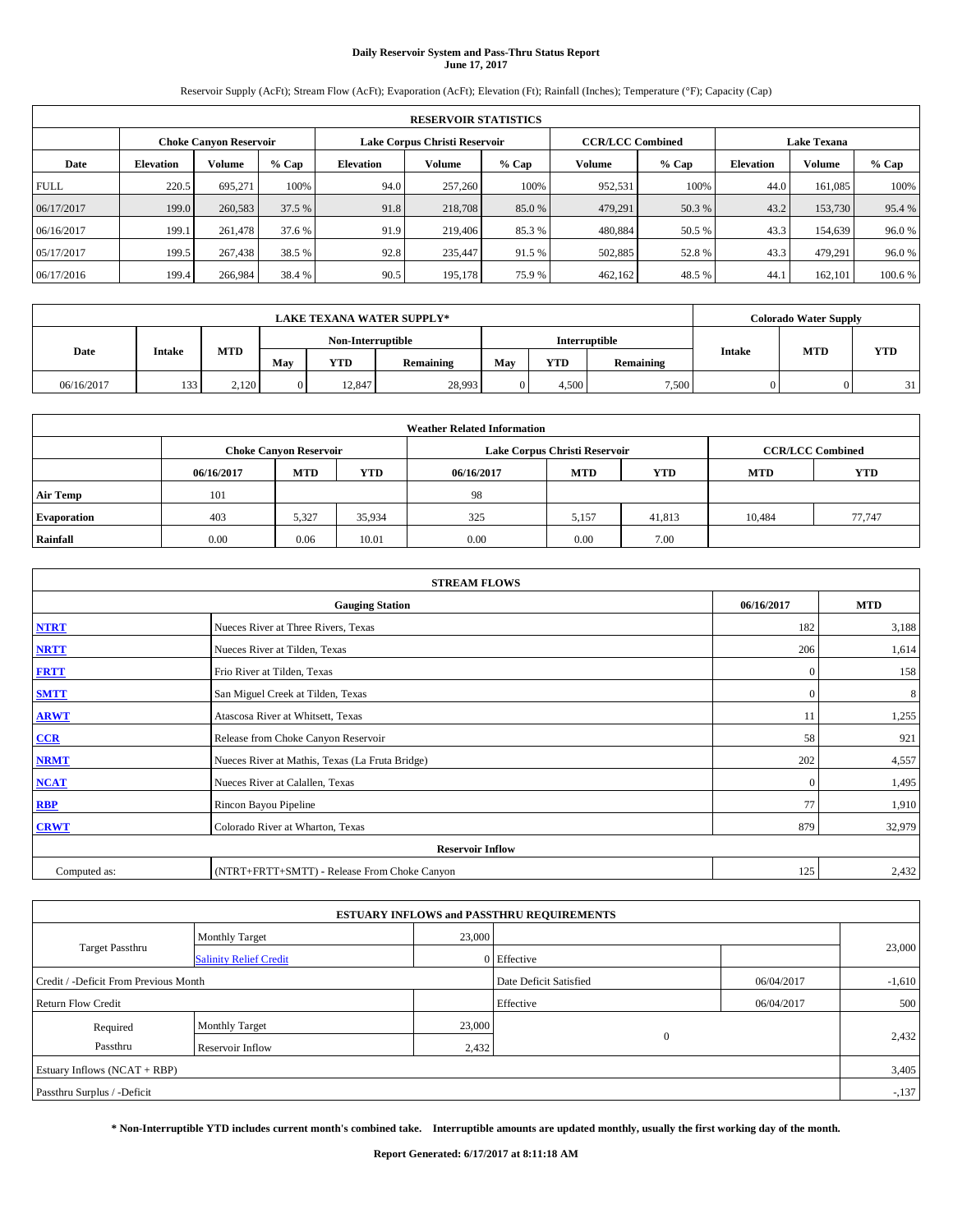## **Daily Reservoir System and Pass-Thru Status Report June 17, 2017**

Reservoir Supply (AcFt); Stream Flow (AcFt); Evaporation (AcFt); Elevation (Ft); Rainfall (Inches); Temperature (°F); Capacity (Cap)

| <b>RESERVOIR STATISTICS</b> |                  |                        |        |                  |                               |         |                         |         |                  |                    |         |
|-----------------------------|------------------|------------------------|--------|------------------|-------------------------------|---------|-------------------------|---------|------------------|--------------------|---------|
|                             |                  | Choke Canvon Reservoir |        |                  | Lake Corpus Christi Reservoir |         | <b>CCR/LCC Combined</b> |         |                  | <b>Lake Texana</b> |         |
| Date                        | <b>Elevation</b> | Volume                 | % Cap  | <b>Elevation</b> | <b>Volume</b>                 | $%$ Cap | Volume                  | $%$ Cap | <b>Elevation</b> | <b>Volume</b>      | % Cap   |
| <b>FULL</b>                 | 220.5            | 695,271                | 100%   | 94.0             | 257,260                       | 100%    | 952,531                 | 100%    | 44.0             | 161.085            | 100%    |
| 06/17/2017                  | 199.0            | 260,583                | 37.5 % | 91.8             | 218,708                       | 85.0%   | 479,291                 | 50.3 %  | 43.2             | 153,730            | 95.4 %  |
| 06/16/2017                  | 199.1            | 261,478                | 37.6 % | 91.9             | 219,406                       | 85.3%   | 480,884                 | 50.5 %  | 43.3             | 154,639            | 96.0%   |
| 05/17/2017                  | 199.5            | 267,438                | 38.5 % | 92.8             | 235,447                       | 91.5 %  | 502,885                 | 52.8%   | 43.3             | 479.291            | 96.0%   |
| 06/17/2016                  | 199.4            | 266,984                | 38.4 % | 90.5             | 195.178                       | 75.9%   | 462,162                 | 48.5 %  | 44.              | 162,101            | 100.6 % |

| <b>LAKE TEXANA WATER SUPPLY*</b> |        |            |              |                   |           |     |            |               |               | <b>Colorado Water Supply</b> |    |  |            |
|----------------------------------|--------|------------|--------------|-------------------|-----------|-----|------------|---------------|---------------|------------------------------|----|--|------------|
|                                  |        |            |              | Non-Interruptible |           |     |            | Interruptible |               |                              |    |  | <b>YTD</b> |
| Date                             | Intake | <b>MTD</b> | May          | <b>YTD</b>        | Remaining | May | <b>YTD</b> | Remaining     | <b>Intake</b> | <b>MTD</b>                   |    |  |            |
| 06/16/2017                       | 133    | 2.120      | $\mathbf{0}$ | 12.847            | 28,993    |     | 4.500      | 7,500         |               |                              | 31 |  |            |

| <b>Weather Related Information</b> |            |                               |            |            |                                        |                         |        |        |  |  |  |
|------------------------------------|------------|-------------------------------|------------|------------|----------------------------------------|-------------------------|--------|--------|--|--|--|
|                                    |            | <b>Choke Canyon Reservoir</b> |            |            | Lake Corpus Christi Reservoir          | <b>CCR/LCC Combined</b> |        |        |  |  |  |
|                                    | 06/16/2017 | <b>MTD</b>                    | <b>YTD</b> | 06/16/2017 | <b>MTD</b><br><b>YTD</b><br><b>MTD</b> |                         |        |        |  |  |  |
| <b>Air Temp</b>                    | 101        |                               |            | 98         |                                        |                         |        |        |  |  |  |
| <b>Evaporation</b>                 | 403        | 5,327                         | 35,934     | 325        | 5,157                                  | 41,813                  | 10,484 | 77,747 |  |  |  |
| Rainfall                           | 0.00       | 0.06                          | 10.01      | 0.00       | 0.00                                   | 7.00                    |        |        |  |  |  |

| <b>STREAM FLOWS</b>                                |                                                 |              |        |  |  |  |  |  |  |
|----------------------------------------------------|-------------------------------------------------|--------------|--------|--|--|--|--|--|--|
| <b>MTD</b><br><b>Gauging Station</b><br>06/16/2017 |                                                 |              |        |  |  |  |  |  |  |
| <b>NTRT</b>                                        | Nueces River at Three Rivers, Texas             | 182          | 3,188  |  |  |  |  |  |  |
| <b>NRTT</b>                                        | Nueces River at Tilden, Texas                   | 206          | 1,614  |  |  |  |  |  |  |
| <b>FRTT</b>                                        | Frio River at Tilden, Texas                     | $\mathbf{0}$ | 158    |  |  |  |  |  |  |
| <b>SMTT</b>                                        | San Miguel Creek at Tilden, Texas               | $\mathbf{0}$ | 8      |  |  |  |  |  |  |
| <b>ARWT</b>                                        | Atascosa River at Whitsett, Texas               | 11           | 1,255  |  |  |  |  |  |  |
| $CCR$                                              | Release from Choke Canyon Reservoir             | 58           | 921    |  |  |  |  |  |  |
| <b>NRMT</b>                                        | Nueces River at Mathis, Texas (La Fruta Bridge) | 202          | 4,557  |  |  |  |  |  |  |
| <b>NCAT</b>                                        | Nueces River at Calallen, Texas                 | $\mathbf{0}$ | 1,495  |  |  |  |  |  |  |
| RBP                                                | Rincon Bayou Pipeline                           | 77           | 1,910  |  |  |  |  |  |  |
| <b>CRWT</b>                                        | Colorado River at Wharton, Texas                | 879          | 32,979 |  |  |  |  |  |  |
|                                                    | <b>Reservoir Inflow</b>                         |              |        |  |  |  |  |  |  |
| Computed as:                                       | (NTRT+FRTT+SMTT) - Release From Choke Canyon    | 125          | 2,432  |  |  |  |  |  |  |

| <b>ESTUARY INFLOWS and PASSTHRU REQUIREMENTS</b> |                               |        |                        |            |          |  |  |  |  |
|--------------------------------------------------|-------------------------------|--------|------------------------|------------|----------|--|--|--|--|
|                                                  | <b>Monthly Target</b>         | 23,000 |                        |            |          |  |  |  |  |
| Target Passthru                                  | <b>Salinity Relief Credit</b> |        | 0 Effective            |            | 23,000   |  |  |  |  |
| Credit / -Deficit From Previous Month            |                               |        | Date Deficit Satisfied | 06/04/2017 | $-1,610$ |  |  |  |  |
| <b>Return Flow Credit</b>                        |                               |        | Effective              | 06/04/2017 | 500      |  |  |  |  |
| Required                                         | Monthly Target                | 23,000 |                        |            |          |  |  |  |  |
| Passthru                                         | <b>Reservoir Inflow</b>       | 2,432  | $\Omega$               |            | 2,432    |  |  |  |  |
| Estuary Inflows (NCAT + RBP)                     |                               |        |                        |            |          |  |  |  |  |
| Passthru Surplus / -Deficit                      |                               |        |                        |            |          |  |  |  |  |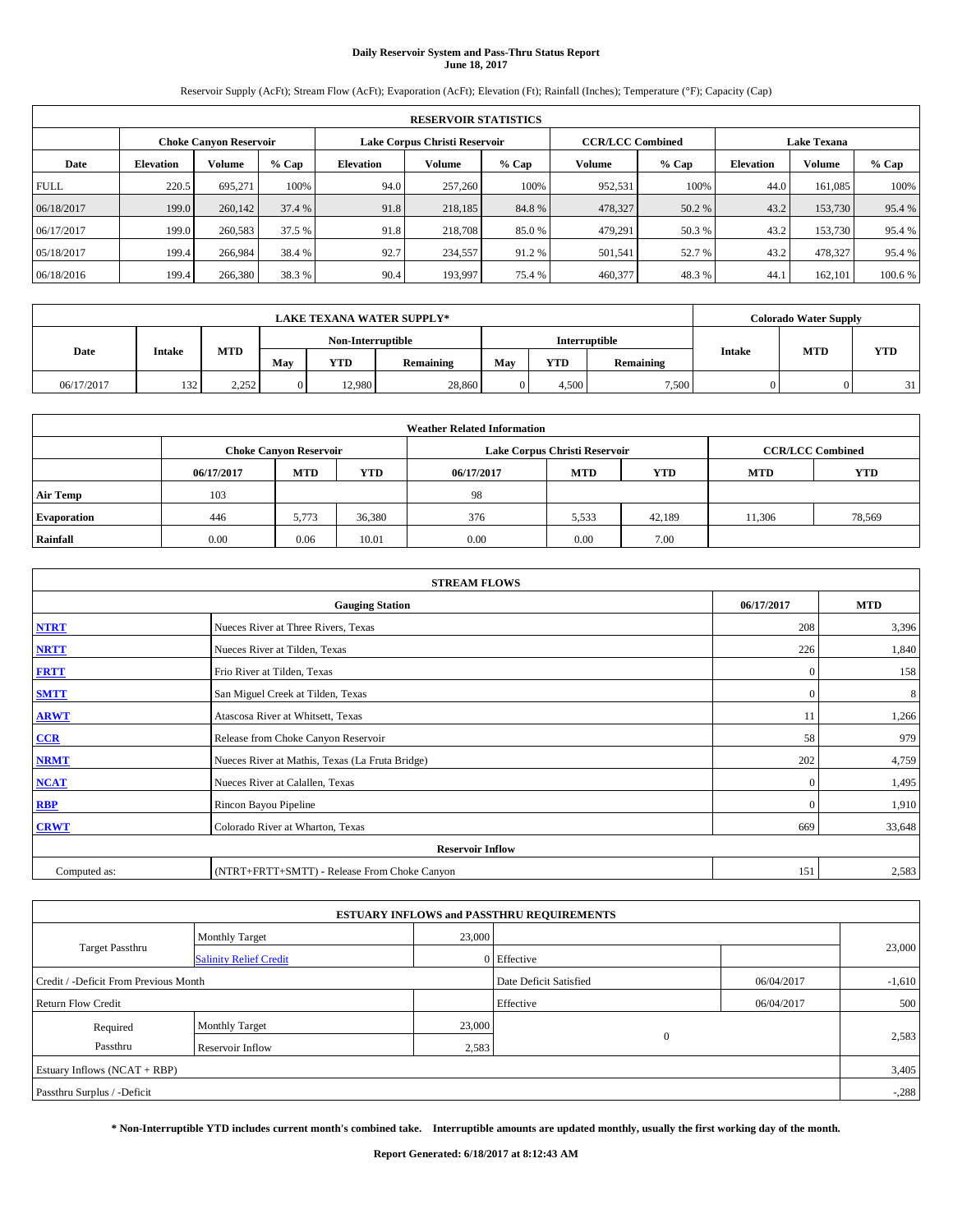# **Daily Reservoir System and Pass-Thru Status Report June 18, 2017**

Reservoir Supply (AcFt); Stream Flow (AcFt); Evaporation (AcFt); Elevation (Ft); Rainfall (Inches); Temperature (°F); Capacity (Cap)

|             | <b>RESERVOIR STATISTICS</b> |                               |         |                  |                               |         |                         |         |                  |                    |         |
|-------------|-----------------------------|-------------------------------|---------|------------------|-------------------------------|---------|-------------------------|---------|------------------|--------------------|---------|
|             |                             | <b>Choke Canyon Reservoir</b> |         |                  | Lake Corpus Christi Reservoir |         | <b>CCR/LCC Combined</b> |         |                  | <b>Lake Texana</b> |         |
| Date        | <b>Elevation</b>            | Volume                        | $%$ Cap | <b>Elevation</b> | <b>Volume</b>                 | $%$ Cap | Volume                  | $%$ Cap | <b>Elevation</b> | <b>Volume</b>      | % Cap   |
| <b>FULL</b> | 220.5                       | 695,271                       | 100%    | 94.0             | 257,260                       | 100%    | 952,531                 | 100%    | 44.0             | 161.085            | 100%    |
| 06/18/2017  | 199.0                       | 260,142                       | 37.4 %  | 91.8             | 218,185                       | 84.8%   | 478,327                 | 50.2 %  | 43.2             | 153,730            | 95.4 %  |
| 06/17/2017  | 199.0                       | 260,583                       | 37.5 %  | 91.8             | 218,708                       | 85.0%   | 479.291                 | 50.3 %  | 43.2             | 153,730            | 95.4 %  |
| 05/18/2017  | 199.4                       | 266,984                       | 38.4 %  | 92.7             | 234,557                       | 91.2%   | 501,541                 | 52.7 %  | 43.2             | 478.327            | 95.4 %  |
| 06/18/2016  | 199.4                       | 266,380                       | 38.3 %  | 90.4             | 193.997                       | 75.4 %  | 460,377                 | 48.3%   | 44.              | 162,101            | 100.6 % |

|            | <b>LAKE TEXANA WATER SUPPLY*</b> |            |                   |            |               |     |       |           | <b>Colorado Water Supply</b> |            |            |
|------------|----------------------------------|------------|-------------------|------------|---------------|-----|-------|-----------|------------------------------|------------|------------|
|            |                                  |            | Non-Interruptible |            | Interruptible |     |       |           |                              |            |            |
| Date       | <b>Intake</b>                    | <b>MTD</b> | May               | <b>YTD</b> | Remaining     | May | YTD   | Remaining | <b>Intake</b>                | <b>MTD</b> | <b>YTD</b> |
| 06/17/2017 | 132                              | 2.252      | $\overline{0}$    | 12.980     | 28,860        |     | 4.500 | 7,500     |                              |            | 31         |

| <b>Weather Related Information</b> |            |                                                                                  |        |      |                               |        |                         |        |  |  |
|------------------------------------|------------|----------------------------------------------------------------------------------|--------|------|-------------------------------|--------|-------------------------|--------|--|--|
|                                    |            | <b>Choke Canyon Reservoir</b>                                                    |        |      | Lake Corpus Christi Reservoir |        | <b>CCR/LCC Combined</b> |        |  |  |
|                                    | 06/17/2017 | <b>YTD</b><br><b>MTD</b><br><b>MTD</b><br><b>YTD</b><br><b>MTD</b><br>06/17/2017 |        |      |                               |        |                         |        |  |  |
| <b>Air Temp</b>                    | 103        |                                                                                  |        | 98   |                               |        |                         |        |  |  |
| <b>Evaporation</b>                 | 446        | 5,773                                                                            | 36,380 | 376  | 5,533                         | 42,189 | 11,306                  | 78,569 |  |  |
| Rainfall                           | 0.00       | 0.06                                                                             | 10.01  | 0.00 | 0.00                          | 7.00   |                         |        |  |  |

|              | <b>STREAM FLOWS</b>                             |              |            |  |  |  |  |  |  |  |
|--------------|-------------------------------------------------|--------------|------------|--|--|--|--|--|--|--|
|              | <b>Gauging Station</b>                          | 06/17/2017   | <b>MTD</b> |  |  |  |  |  |  |  |
| <b>NTRT</b>  | Nueces River at Three Rivers, Texas             | 208          | 3,396      |  |  |  |  |  |  |  |
| <b>NRTT</b>  | Nueces River at Tilden, Texas                   | 226          | 1,840      |  |  |  |  |  |  |  |
| <b>FRTT</b>  | Frio River at Tilden, Texas                     | $\mathbf{0}$ | 158        |  |  |  |  |  |  |  |
| <b>SMTT</b>  | San Miguel Creek at Tilden, Texas               | $\mathbf{0}$ | 8          |  |  |  |  |  |  |  |
| <b>ARWT</b>  | Atascosa River at Whitsett, Texas               | 11           | 1,266      |  |  |  |  |  |  |  |
| $CCR$        | Release from Choke Canyon Reservoir             | 58           | 979        |  |  |  |  |  |  |  |
| <b>NRMT</b>  | Nueces River at Mathis, Texas (La Fruta Bridge) | 202          | 4,759      |  |  |  |  |  |  |  |
| <b>NCAT</b>  | Nueces River at Calallen, Texas                 | $\mathbf{0}$ | 1,495      |  |  |  |  |  |  |  |
| RBP          | Rincon Bayou Pipeline                           | $\Omega$     | 1,910      |  |  |  |  |  |  |  |
| <b>CRWT</b>  | Colorado River at Wharton, Texas                | 669          | 33,648     |  |  |  |  |  |  |  |
|              | <b>Reservoir Inflow</b>                         |              |            |  |  |  |  |  |  |  |
| Computed as: | (NTRT+FRTT+SMTT) - Release From Choke Canyon    | 151          | 2,583      |  |  |  |  |  |  |  |

| <b>ESTUARY INFLOWS and PASSTHRU REQUIREMENTS</b> |                               |        |                        |            |          |  |  |  |  |
|--------------------------------------------------|-------------------------------|--------|------------------------|------------|----------|--|--|--|--|
|                                                  | <b>Monthly Target</b>         | 23,000 |                        |            |          |  |  |  |  |
| Target Passthru                                  | <b>Salinity Relief Credit</b> |        | 0 Effective            |            | 23,000   |  |  |  |  |
| Credit / -Deficit From Previous Month            |                               |        | Date Deficit Satisfied | 06/04/2017 | $-1,610$ |  |  |  |  |
| <b>Return Flow Credit</b>                        |                               |        | Effective              | 06/04/2017 | 500      |  |  |  |  |
| Required                                         | Monthly Target                | 23,000 |                        |            |          |  |  |  |  |
| Passthru                                         | <b>Reservoir Inflow</b>       | 2,583  | $\Omega$               |            | 2,583    |  |  |  |  |
| Estuary Inflows (NCAT + RBP)                     |                               |        |                        |            |          |  |  |  |  |
| Passthru Surplus / -Deficit                      |                               |        |                        |            |          |  |  |  |  |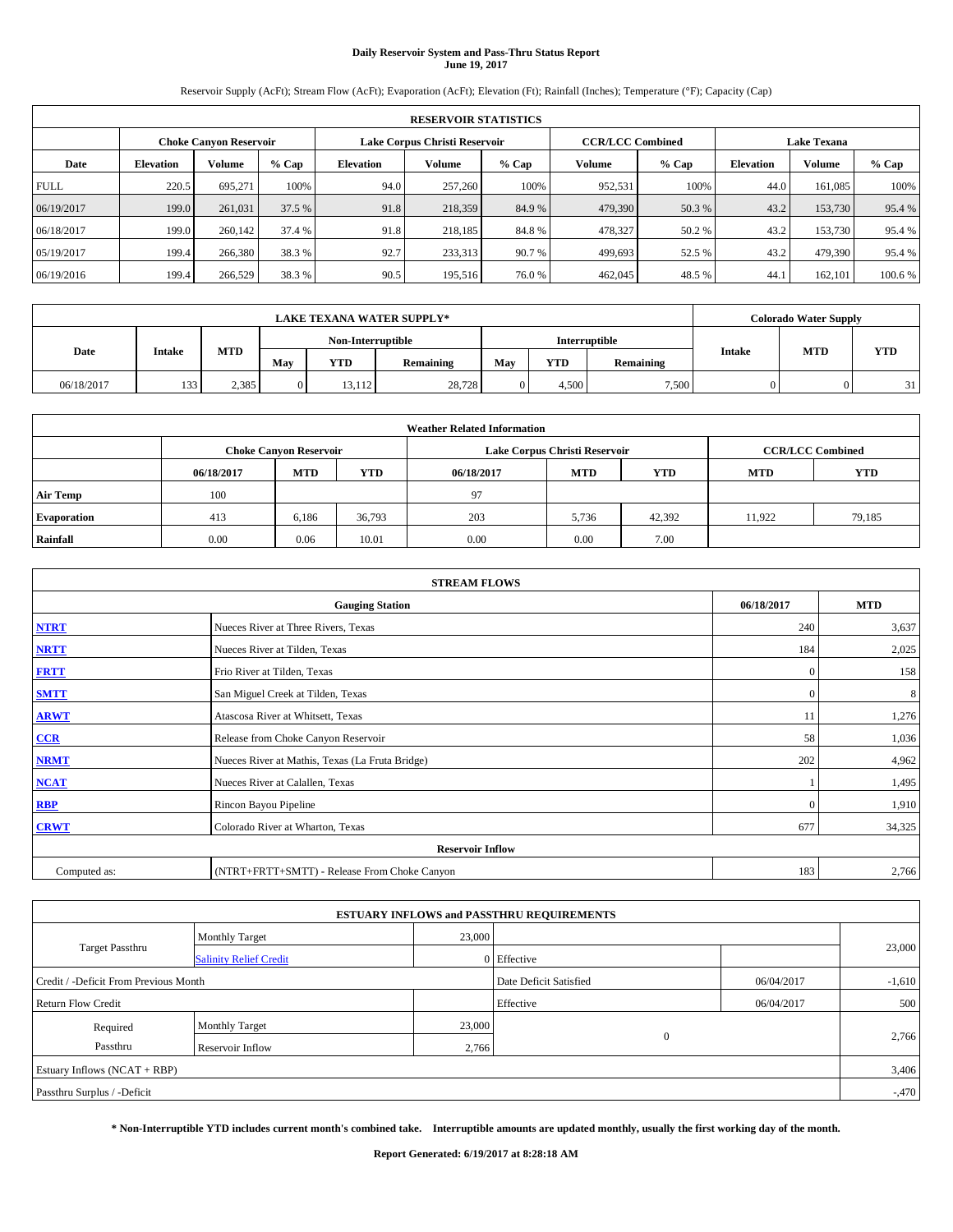## **Daily Reservoir System and Pass-Thru Status Report June 19, 2017**

Reservoir Supply (AcFt); Stream Flow (AcFt); Evaporation (AcFt); Elevation (Ft); Rainfall (Inches); Temperature (°F); Capacity (Cap)

|             | <b>RESERVOIR STATISTICS</b> |                               |         |           |                               |         |                                               |         |                  |               |         |  |
|-------------|-----------------------------|-------------------------------|---------|-----------|-------------------------------|---------|-----------------------------------------------|---------|------------------|---------------|---------|--|
|             |                             | <b>Choke Canyon Reservoir</b> |         |           | Lake Corpus Christi Reservoir |         | <b>CCR/LCC Combined</b><br><b>Lake Texana</b> |         |                  |               |         |  |
| Date        | <b>Elevation</b>            | Volume                        | $%$ Cap | Elevation | Volume                        | $%$ Cap | Volume                                        | $%$ Cap | <b>Elevation</b> | <b>Volume</b> | % Cap   |  |
| <b>FULL</b> | 220.5                       | 695.271                       | 100%    | 94.0      | 257,260                       | 100%    | 952,531                                       | 100%    | 44.0             | 161.085       | 100%    |  |
| 06/19/2017  | 199.0                       | 261,031                       | 37.5 %  | 91.8      | 218,359                       | 84.9%   | 479,390                                       | 50.3 %  | 43.2             | 153,730       | 95.4 %  |  |
| 06/18/2017  | 199.0                       | 260,142                       | 37.4 %  | 91.8      | 218,185                       | 84.8%   | 478,327                                       | 50.2%   | 43.2             | 153,730       | 95.4 %  |  |
| 05/19/2017  | 199.4                       | 266,380                       | 38.3 %  | 92.7      | 233,313                       | 90.7 %  | 499,693                                       | 52.5 %  | 43.2             | 479.390       | 95.4 %  |  |
| 06/19/2016  | 199.4                       | 266,529                       | 38.3%   | 90.5      | 195,516                       | 76.0%   | 462,045                                       | 48.5 %  | 44.              | 162,101       | 100.6 % |  |

|            | <b>LAKE TEXANA WATER SUPPLY*</b> |            |                   |            |               |     |       |           |               | <b>Colorado Water Supply</b> |            |
|------------|----------------------------------|------------|-------------------|------------|---------------|-----|-------|-----------|---------------|------------------------------|------------|
|            |                                  |            | Non-Interruptible |            | Interruptible |     |       |           |               |                              |            |
| Date       | Intake                           | <b>MTD</b> | May               | <b>YTD</b> | Remaining     | May | YTD   | Remaining | <b>Intake</b> | <b>MTD</b>                   | <b>YTD</b> |
| 06/18/2017 | 133                              | 2,385      | $\overline{0}$    | 13.112     | 28,728        |     | 4.500 | 7,500     |               |                              | 31         |

| <b>Weather Related Information</b> |            |                               |                                                                    |      |                               |        |                         |        |  |  |
|------------------------------------|------------|-------------------------------|--------------------------------------------------------------------|------|-------------------------------|--------|-------------------------|--------|--|--|
|                                    |            | <b>Choke Canyon Reservoir</b> |                                                                    |      | Lake Corpus Christi Reservoir |        | <b>CCR/LCC Combined</b> |        |  |  |
|                                    | 06/18/2017 | <b>MTD</b>                    | <b>YTD</b><br><b>MTD</b><br><b>YTD</b><br><b>MTD</b><br>06/18/2017 |      |                               |        |                         |        |  |  |
| <b>Air Temp</b>                    | 100        |                               |                                                                    | 97   |                               |        |                         |        |  |  |
| <b>Evaporation</b>                 | 413        | 6,186                         | 36,793                                                             | 203  | 5,736                         | 42,392 | 11.922                  | 79,185 |  |  |
| Rainfall                           | 0.00       | 0.06                          | 10.01                                                              | 0.00 | 0.00                          | 7.00   |                         |        |  |  |

|              | <b>STREAM FLOWS</b>                             |              |            |  |  |  |  |  |  |  |
|--------------|-------------------------------------------------|--------------|------------|--|--|--|--|--|--|--|
|              | <b>Gauging Station</b>                          | 06/18/2017   | <b>MTD</b> |  |  |  |  |  |  |  |
| <b>NTRT</b>  | Nueces River at Three Rivers, Texas             | 240          | 3,637      |  |  |  |  |  |  |  |
| <b>NRTT</b>  | Nueces River at Tilden, Texas                   | 184          | 2,025      |  |  |  |  |  |  |  |
| <b>FRTT</b>  | Frio River at Tilden, Texas                     | $\mathbf{0}$ | 158        |  |  |  |  |  |  |  |
| <b>SMTT</b>  | San Miguel Creek at Tilden, Texas               | $\mathbf{0}$ | 8          |  |  |  |  |  |  |  |
| <b>ARWT</b>  | Atascosa River at Whitsett, Texas               | 11           | 1,276      |  |  |  |  |  |  |  |
| $CCR$        | Release from Choke Canyon Reservoir             | 58           | 1,036      |  |  |  |  |  |  |  |
| <b>NRMT</b>  | Nueces River at Mathis, Texas (La Fruta Bridge) | 202          | 4,962      |  |  |  |  |  |  |  |
| <b>NCAT</b>  | Nueces River at Calallen, Texas                 |              | 1,495      |  |  |  |  |  |  |  |
| RBP          | Rincon Bayou Pipeline                           | $\mathbf{0}$ | 1,910      |  |  |  |  |  |  |  |
| <b>CRWT</b>  | Colorado River at Wharton, Texas                | 677          | 34,325     |  |  |  |  |  |  |  |
|              | <b>Reservoir Inflow</b>                         |              |            |  |  |  |  |  |  |  |
| Computed as: | (NTRT+FRTT+SMTT) - Release From Choke Canyon    | 183          | 2,766      |  |  |  |  |  |  |  |

| <b>ESTUARY INFLOWS and PASSTHRU REQUIREMENTS</b> |                               |           |                        |            |          |  |  |  |  |  |
|--------------------------------------------------|-------------------------------|-----------|------------------------|------------|----------|--|--|--|--|--|
|                                                  | <b>Monthly Target</b>         | 23,000    |                        |            |          |  |  |  |  |  |
| <b>Target Passthru</b>                           | <b>Salinity Relief Credit</b> |           | 0 Effective            |            | 23,000   |  |  |  |  |  |
| Credit / -Deficit From Previous Month            |                               |           | Date Deficit Satisfied | 06/04/2017 | $-1,610$ |  |  |  |  |  |
| <b>Return Flow Credit</b>                        |                               | Effective | 06/04/2017             | 500        |          |  |  |  |  |  |
| Required                                         | <b>Monthly Target</b>         | 23,000    |                        |            |          |  |  |  |  |  |
| Passthru                                         | <b>Reservoir Inflow</b>       | 2,766     | $\Omega$               |            | 2,766    |  |  |  |  |  |
| Estuary Inflows $(NCAT + RBP)$                   |                               |           |                        |            |          |  |  |  |  |  |
| Passthru Surplus / -Deficit                      |                               |           |                        |            |          |  |  |  |  |  |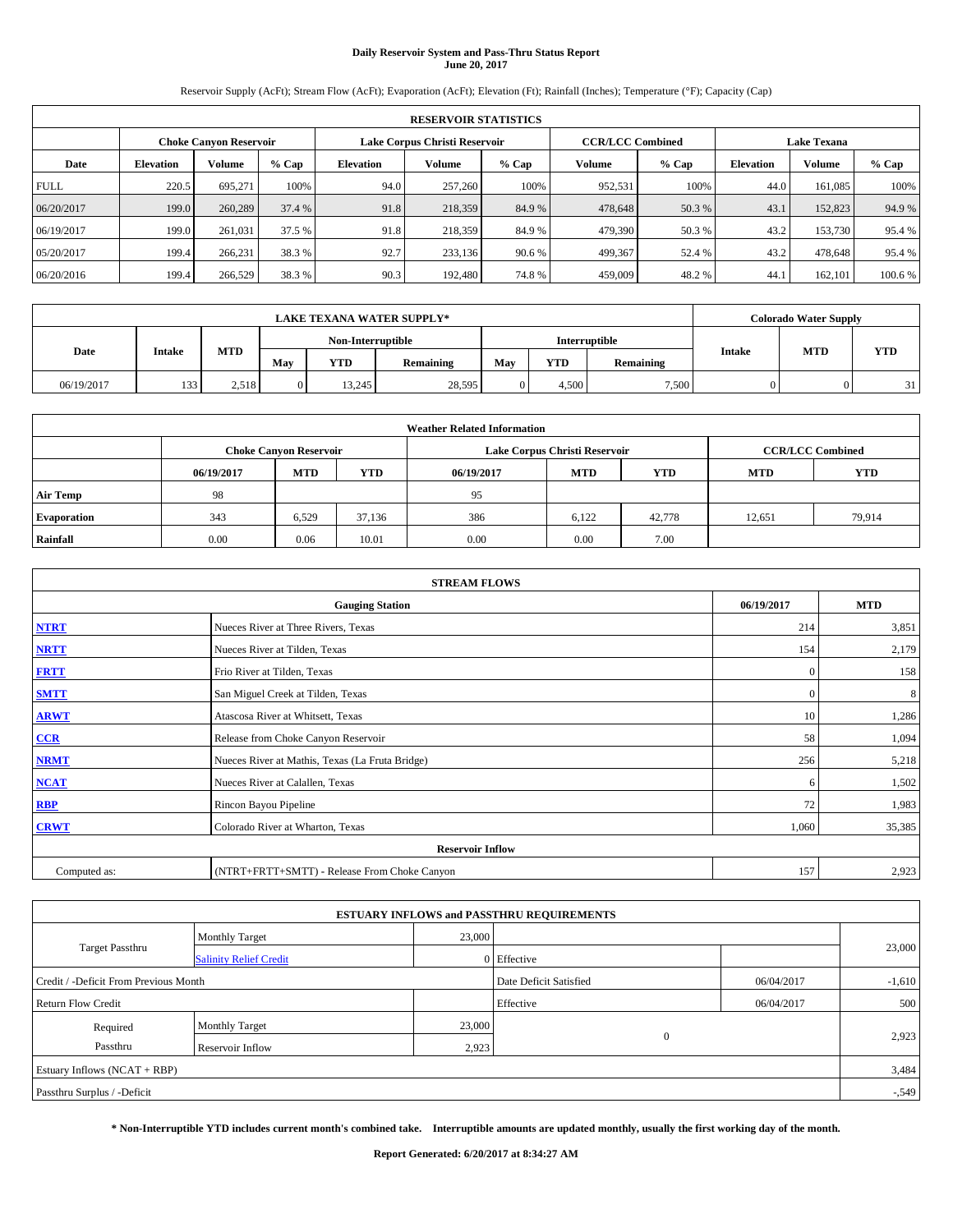## **Daily Reservoir System and Pass-Thru Status Report June 20, 2017**

Reservoir Supply (AcFt); Stream Flow (AcFt); Evaporation (AcFt); Elevation (Ft); Rainfall (Inches); Temperature (°F); Capacity (Cap)

|             | <b>RESERVOIR STATISTICS</b> |                               |         |           |                               |         |                         |         |                  |                    |        |  |
|-------------|-----------------------------|-------------------------------|---------|-----------|-------------------------------|---------|-------------------------|---------|------------------|--------------------|--------|--|
|             |                             | <b>Choke Canyon Reservoir</b> |         |           | Lake Corpus Christi Reservoir |         | <b>CCR/LCC Combined</b> |         |                  | <b>Lake Texana</b> |        |  |
| Date        | <b>Elevation</b>            | Volume                        | $%$ Cap | Elevation | Volume                        | $%$ Cap | Volume                  | $%$ Cap | <b>Elevation</b> | <b>Volume</b>      | % Cap  |  |
| <b>FULL</b> | 220.5                       | 695.271                       | 100%    | 94.0      | 257,260                       | 100%    | 952,531                 | 100%    | 44.0             | 161.085            | 100%   |  |
| 06/20/2017  | 199.0                       | 260,289                       | 37.4 %  | 91.8      | 218,359                       | 84.9%   | 478,648                 | 50.3 %  | 43.1             | 152,823            | 94.9%  |  |
| 06/19/2017  | 199.0                       | 261,031                       | 37.5 %  | 91.8      | 218,359                       | 84.9%   | 479,390                 | 50.3 %  | 43.2             | 153,730            | 95.4 % |  |
| 05/20/2017  | 199.4                       | 266,231                       | 38.3 %  | 92.7      | 233,136                       | 90.6 %  | 499,367                 | 52.4 %  | 43.2             | 478,648            | 95.4 % |  |
| 06/20/2016  | 199.4                       | 266,529                       | 38.3%   | 90.3      | 192,480                       | 74.8%   | 459,009                 | 48.2%   | 44.              | 162,101            | 100.6% |  |

|            | <b>LAKE TEXANA WATER SUPPLY*</b> |            |                   |            |           |     |               |           |               | <b>Colorado Water Supply</b> |            |
|------------|----------------------------------|------------|-------------------|------------|-----------|-----|---------------|-----------|---------------|------------------------------|------------|
|            |                                  |            | Non-Interruptible |            |           |     | Interruptible |           |               |                              |            |
| Date       | Intake                           | <b>MTD</b> | May               | <b>YTD</b> | Remaining | May | YTD           | Remaining | <b>Intake</b> | <b>MTD</b>                   | <b>YTD</b> |
| 06/19/2017 | 133                              | 2.518      | $\overline{0}$    | 13.245     | 28,595    |     | 4.500         | 7,500     |               |                              | 21         |

|                    | <b>Weather Related Information</b> |                                                                                  |        |      |                               |                         |        |        |  |  |  |  |
|--------------------|------------------------------------|----------------------------------------------------------------------------------|--------|------|-------------------------------|-------------------------|--------|--------|--|--|--|--|
|                    |                                    | <b>Choke Canyon Reservoir</b>                                                    |        |      | Lake Corpus Christi Reservoir | <b>CCR/LCC Combined</b> |        |        |  |  |  |  |
|                    | 06/19/2017                         | <b>YTD</b><br><b>MTD</b><br><b>MTD</b><br><b>YTD</b><br><b>MTD</b><br>06/19/2017 |        |      |                               |                         |        |        |  |  |  |  |
| <b>Air Temp</b>    | 98                                 |                                                                                  |        | 95   |                               |                         |        |        |  |  |  |  |
| <b>Evaporation</b> | 343                                | 6,529                                                                            | 37.136 | 386  | 6,122                         | 42,778                  | 12,651 | 79,914 |  |  |  |  |
| Rainfall           | 0.00                               | 0.06                                                                             | 10.01  | 0.00 | 0.00                          | 7.00                    |        |        |  |  |  |  |

| <b>STREAM FLOWS</b> |                                                 |              |            |  |  |  |  |  |
|---------------------|-------------------------------------------------|--------------|------------|--|--|--|--|--|
|                     | <b>Gauging Station</b>                          | 06/19/2017   | <b>MTD</b> |  |  |  |  |  |
| <b>NTRT</b>         | Nueces River at Three Rivers, Texas             | 214          | 3,851      |  |  |  |  |  |
| <b>NRTT</b>         | Nueces River at Tilden, Texas                   | 154          | 2,179      |  |  |  |  |  |
| <b>FRTT</b>         | Frio River at Tilden, Texas                     | $\mathbf{0}$ | 158        |  |  |  |  |  |
| <b>SMTT</b>         | San Miguel Creek at Tilden, Texas               | $\mathbf{0}$ | 8          |  |  |  |  |  |
| <b>ARWT</b>         | Atascosa River at Whitsett, Texas               | 10           | 1,286      |  |  |  |  |  |
| $CCR$               | Release from Choke Canyon Reservoir             | 58           | 1,094      |  |  |  |  |  |
| <b>NRMT</b>         | Nueces River at Mathis, Texas (La Fruta Bridge) | 256          | 5,218      |  |  |  |  |  |
| <b>NCAT</b>         | Nueces River at Calallen, Texas                 | 6            | 1,502      |  |  |  |  |  |
| RBP                 | Rincon Bayou Pipeline                           | 72           | 1,983      |  |  |  |  |  |
| <b>CRWT</b>         | Colorado River at Wharton, Texas                | 1,060        | 35,385     |  |  |  |  |  |
|                     | <b>Reservoir Inflow</b>                         |              |            |  |  |  |  |  |
| Computed as:        | (NTRT+FRTT+SMTT) - Release From Choke Canyon    | 157          | 2,923      |  |  |  |  |  |

|                                       |                               |        | <b>ESTUARY INFLOWS and PASSTHRU REQUIREMENTS</b> |            |          |  |
|---------------------------------------|-------------------------------|--------|--------------------------------------------------|------------|----------|--|
|                                       | <b>Monthly Target</b>         | 23,000 |                                                  |            |          |  |
| <b>Target Passthru</b>                | <b>Salinity Relief Credit</b> |        | 0 Effective                                      |            | 23,000   |  |
| Credit / -Deficit From Previous Month |                               |        | Date Deficit Satisfied                           | 06/04/2017 | $-1,610$ |  |
| <b>Return Flow Credit</b>             |                               |        | Effective                                        | 06/04/2017 | 500      |  |
| Required                              | Monthly Target                | 23,000 |                                                  |            |          |  |
| Passthru                              | <b>Reservoir Inflow</b>       | 2,923  | $\Omega$                                         |            | 2,923    |  |
| Estuary Inflows (NCAT + RBP)          |                               |        |                                                  |            | 3,484    |  |
| Passthru Surplus / -Deficit           |                               |        |                                                  |            | $-549$   |  |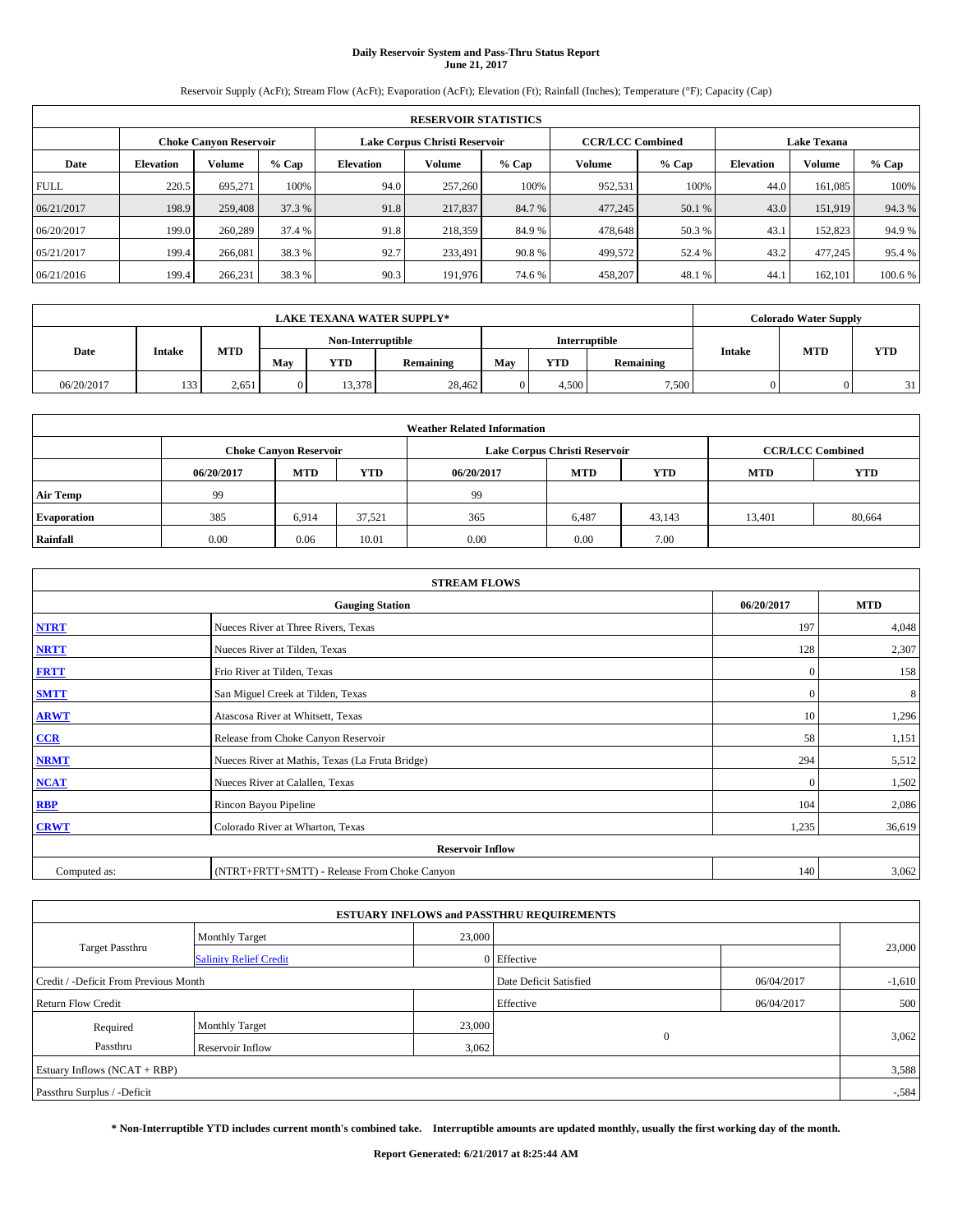## **Daily Reservoir System and Pass-Thru Status Report June 21, 2017**

Reservoir Supply (AcFt); Stream Flow (AcFt); Evaporation (AcFt); Elevation (Ft); Rainfall (Inches); Temperature (°F); Capacity (Cap)

|             | <b>RESERVOIR STATISTICS</b> |                               |         |                               |         |         |                         |         |                    |               |         |  |  |
|-------------|-----------------------------|-------------------------------|---------|-------------------------------|---------|---------|-------------------------|---------|--------------------|---------------|---------|--|--|
|             |                             | <b>Choke Canyon Reservoir</b> |         | Lake Corpus Christi Reservoir |         |         | <b>CCR/LCC Combined</b> |         | <b>Lake Texana</b> |               |         |  |  |
| Date        | <b>Elevation</b>            | Volume                        | $%$ Cap | Elevation                     | Volume  | $%$ Cap | Volume                  | $%$ Cap | <b>Elevation</b>   | <b>Volume</b> | % Cap   |  |  |
| <b>FULL</b> | 220.5                       | 695.271                       | 100%    | 94.0                          | 257,260 | 100%    | 952,531                 | 100%    | 44.0               | 161.085       | 100%    |  |  |
| 06/21/2017  | 198.9                       | 259,408                       | 37.3 %  | 91.8                          | 217,837 | 84.7 %  | 477,245                 | 50.1 %  | 43.0               | 151.919       | 94.3%   |  |  |
| 06/20/2017  | 199.0                       | 260,289                       | 37.4 %  | 91.8                          | 218,359 | 84.9%   | 478,648                 | 50.3 %  | 43.1               | 152,823       | 94.9%   |  |  |
| 05/21/2017  | 199.4                       | 266,081                       | 38.3 %  | 92.7                          | 233,491 | 90.8%   | 499,572                 | 52.4 %  | 43.2               | 477,245       | 95.4 %  |  |  |
| 06/21/2016  | 199.4                       | 266,231                       | 38.3%   | 90.3                          | 191,976 | 74.6 %  | 458,207                 | 48.1%   | 44.                | 162,101       | 100.6 % |  |  |

|            | <b>LAKE TEXANA WATER SUPPLY*</b> |            |                |                   |           |               |       |           |               | <b>Colorado Water Supply</b> |            |
|------------|----------------------------------|------------|----------------|-------------------|-----------|---------------|-------|-----------|---------------|------------------------------|------------|
|            |                                  |            |                | Non-Interruptible |           | Interruptible |       |           |               |                              |            |
| Date       | Intake                           | <b>MTD</b> | May            | <b>YTD</b>        | Remaining | May           | YTD   | Remaining | <b>Intake</b> | <b>MTD</b>                   | <b>YTD</b> |
| 06/20/2017 | 133                              | 2,651      | $\overline{0}$ | 13,378            | 28,462    |               | 4.500 | 7,500     |               |                              | 21         |

|                    | <b>Weather Related Information</b> |                                                                                  |        |      |                               |                         |        |        |  |  |  |  |
|--------------------|------------------------------------|----------------------------------------------------------------------------------|--------|------|-------------------------------|-------------------------|--------|--------|--|--|--|--|
|                    |                                    | <b>Choke Canyon Reservoir</b>                                                    |        |      | Lake Corpus Christi Reservoir | <b>CCR/LCC Combined</b> |        |        |  |  |  |  |
|                    | 06/20/2017                         | <b>YTD</b><br><b>MTD</b><br><b>MTD</b><br><b>YTD</b><br><b>MTD</b><br>06/20/2017 |        |      |                               |                         |        |        |  |  |  |  |
| <b>Air Temp</b>    | 99                                 |                                                                                  |        | 99   |                               |                         |        |        |  |  |  |  |
| <b>Evaporation</b> | 385                                | 6,914                                                                            | 37,521 | 365  | 6,487                         | 43,143                  | 13,401 | 80,664 |  |  |  |  |
| Rainfall           | 0.00                               | 0.06                                                                             | 10.01  | 0.00 | 0.00                          | 7.00                    |        |        |  |  |  |  |

| <b>STREAM FLOWS</b> |                                                 |              |            |  |  |  |  |  |
|---------------------|-------------------------------------------------|--------------|------------|--|--|--|--|--|
|                     | <b>Gauging Station</b>                          | 06/20/2017   | <b>MTD</b> |  |  |  |  |  |
| <b>NTRT</b>         | Nueces River at Three Rivers, Texas             | 197          | 4,048      |  |  |  |  |  |
| <b>NRTT</b>         | Nueces River at Tilden, Texas                   | 128          | 2,307      |  |  |  |  |  |
| <b>FRTT</b>         | Frio River at Tilden, Texas                     | $\mathbf{0}$ | 158        |  |  |  |  |  |
| <b>SMTT</b>         | San Miguel Creek at Tilden, Texas               | $\mathbf{0}$ | 8          |  |  |  |  |  |
| <b>ARWT</b>         | Atascosa River at Whitsett, Texas               | 10           | 1,296      |  |  |  |  |  |
| $CCR$               | Release from Choke Canyon Reservoir             | 58           | 1,151      |  |  |  |  |  |
| <b>NRMT</b>         | Nueces River at Mathis, Texas (La Fruta Bridge) | 294          | 5,512      |  |  |  |  |  |
| <b>NCAT</b>         | Nueces River at Calallen, Texas                 | $\mathbf{0}$ | 1,502      |  |  |  |  |  |
| RBP                 | Rincon Bayou Pipeline                           | 104          | 2,086      |  |  |  |  |  |
| <b>CRWT</b>         | Colorado River at Wharton, Texas                | 1,235        | 36,619     |  |  |  |  |  |
|                     | <b>Reservoir Inflow</b>                         |              |            |  |  |  |  |  |
| Computed as:        | (NTRT+FRTT+SMTT) - Release From Choke Canyon    | 140          | 3,062      |  |  |  |  |  |

|                                       |                               |        | <b>ESTUARY INFLOWS and PASSTHRU REQUIREMENTS</b> |            |          |  |
|---------------------------------------|-------------------------------|--------|--------------------------------------------------|------------|----------|--|
|                                       | <b>Monthly Target</b>         | 23,000 |                                                  |            |          |  |
| <b>Target Passthru</b>                | <b>Salinity Relief Credit</b> |        | 0 Effective                                      |            | 23,000   |  |
| Credit / -Deficit From Previous Month |                               |        | Date Deficit Satisfied                           | 06/04/2017 | $-1,610$ |  |
| <b>Return Flow Credit</b>             |                               |        | Effective                                        | 06/04/2017 | 500      |  |
| Required                              | Monthly Target                | 23,000 |                                                  |            |          |  |
| Passthru                              | <b>Reservoir Inflow</b>       | 3,062  | $\theta$                                         |            | 3,062    |  |
| Estuary Inflows (NCAT + RBP)          |                               |        |                                                  |            | 3,588    |  |
| Passthru Surplus / -Deficit           |                               |        |                                                  |            | $-584$   |  |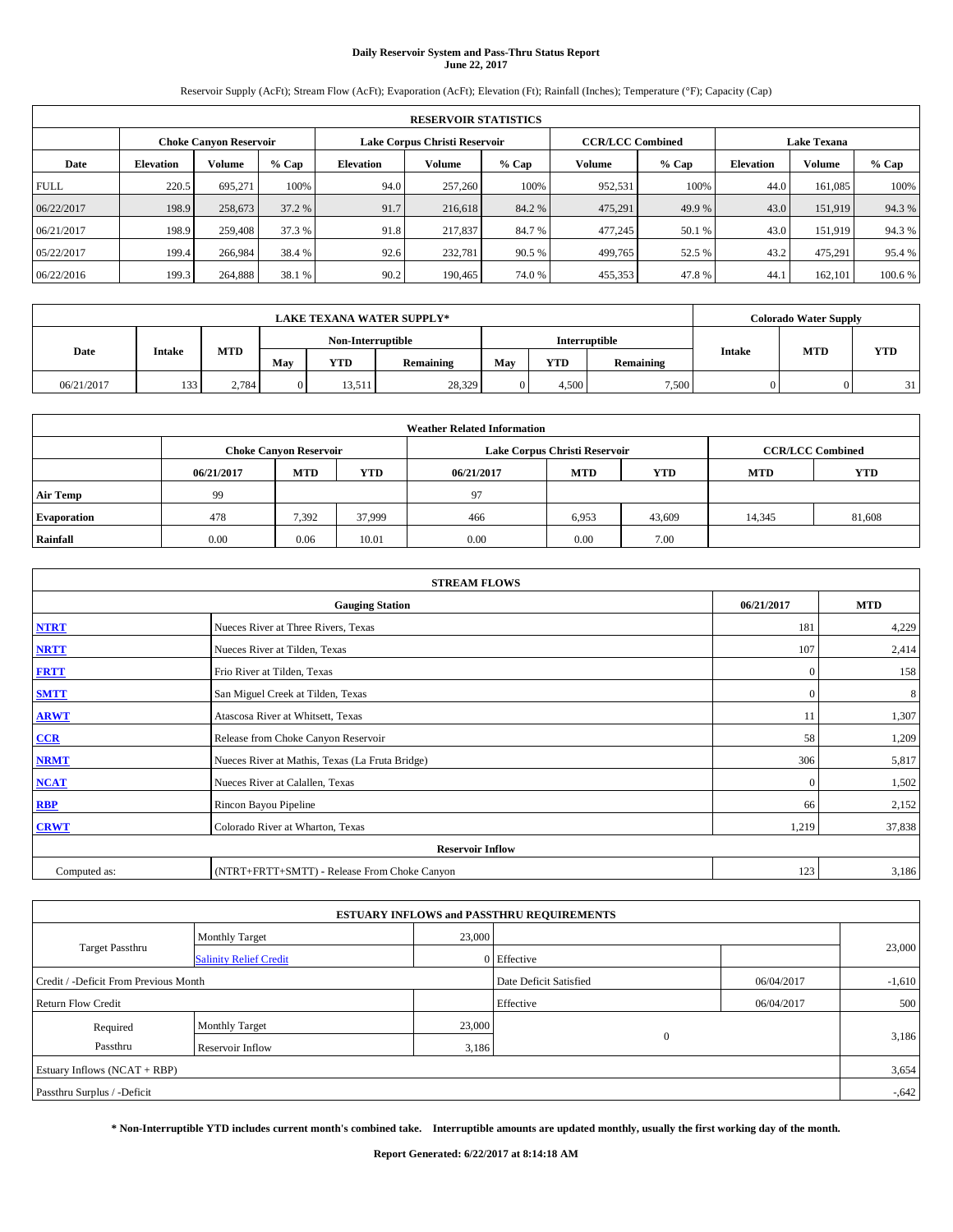# **Daily Reservoir System and Pass-Thru Status Report June 22, 2017**

Reservoir Supply (AcFt); Stream Flow (AcFt); Evaporation (AcFt); Elevation (Ft); Rainfall (Inches); Temperature (°F); Capacity (Cap)

|             | <b>RESERVOIR STATISTICS</b> |                               |         |           |                               |         |         |                         |                    |               |         |  |  |
|-------------|-----------------------------|-------------------------------|---------|-----------|-------------------------------|---------|---------|-------------------------|--------------------|---------------|---------|--|--|
|             |                             | <b>Choke Canyon Reservoir</b> |         |           | Lake Corpus Christi Reservoir |         |         | <b>CCR/LCC Combined</b> | <b>Lake Texana</b> |               |         |  |  |
| Date        | <b>Elevation</b>            | Volume                        | $%$ Cap | Elevation | Volume                        | $%$ Cap | Volume  | $%$ Cap                 | <b>Elevation</b>   | <b>Volume</b> | % Cap   |  |  |
| <b>FULL</b> | 220.5                       | 695.271                       | 100%    | 94.0      | 257,260                       | 100%    | 952,531 | 100%                    | 44.0               | 161.085       | 100%    |  |  |
| 06/22/2017  | 198.9                       | 258,673                       | 37.2 %  | 91.7      | 216,618                       | 84.2 %  | 475,291 | 49.9 %                  | 43.0               | 151.919       | 94.3%   |  |  |
| 06/21/2017  | 198.9                       | 259,408                       | 37.3 %  | 91.8      | 217,837                       | 84.7 %  | 477,245 | 50.1 %                  | 43.0               | 151.919       | 94.3%   |  |  |
| 05/22/2017  | 199.4                       | 266,984                       | 38.4 %  | 92.6      | 232,781                       | 90.5 %  | 499,765 | 52.5 %                  | 43.2               | 475.291       | 95.4 %  |  |  |
| 06/22/2016  | 199.3                       | 264,888                       | 38.1 %  | 90.2      | 190,465                       | 74.0%   | 455,353 | 47.8%                   | 44.                | 162,101       | 100.6 % |  |  |

|            | <b>LAKE TEXANA WATER SUPPLY*</b> |            |                   |            |           |     |               |           |               | <b>Colorado Water Supply</b> |            |
|------------|----------------------------------|------------|-------------------|------------|-----------|-----|---------------|-----------|---------------|------------------------------|------------|
|            |                                  |            | Non-Interruptible |            |           |     | Interruptible |           |               |                              |            |
| Date       | Intake                           | <b>MTD</b> | May               | <b>YTD</b> | Remaining | May | YTD           | Remaining | <b>Intake</b> | <b>MTD</b>                   | <b>YTD</b> |
| 06/21/2017 | 133                              | 2,784      | $\overline{0}$    | 13,511     | 28,329    |     | 4.500         | 7,500     |               |                              | 31         |

|                    | <b>Weather Related Information</b> |                                                                                  |        |      |                               |                         |        |        |  |  |  |  |
|--------------------|------------------------------------|----------------------------------------------------------------------------------|--------|------|-------------------------------|-------------------------|--------|--------|--|--|--|--|
|                    |                                    | <b>Choke Canyon Reservoir</b>                                                    |        |      | Lake Corpus Christi Reservoir | <b>CCR/LCC Combined</b> |        |        |  |  |  |  |
|                    | 06/21/2017                         | <b>YTD</b><br><b>MTD</b><br><b>MTD</b><br><b>YTD</b><br><b>MTD</b><br>06/21/2017 |        |      |                               |                         |        |        |  |  |  |  |
| <b>Air Temp</b>    | 99                                 |                                                                                  |        | 97   |                               |                         |        |        |  |  |  |  |
| <b>Evaporation</b> | 478                                | 7,392                                                                            | 37,999 | 466  | 6,953                         | 43,609                  | 14,345 | 81,608 |  |  |  |  |
| Rainfall           | 0.00                               | 0.06                                                                             | 10.01  | 0.00 | 0.00                          | 7.00                    |        |        |  |  |  |  |

| <b>STREAM FLOWS</b>     |                                                 |              |        |  |  |  |  |  |  |
|-------------------------|-------------------------------------------------|--------------|--------|--|--|--|--|--|--|
|                         | <b>Gauging Station</b>                          |              |        |  |  |  |  |  |  |
| <b>NTRT</b>             | Nueces River at Three Rivers, Texas             | 181          | 4,229  |  |  |  |  |  |  |
| <b>NRTT</b>             | Nueces River at Tilden, Texas                   | 107          | 2,414  |  |  |  |  |  |  |
| <b>FRTT</b>             | Frio River at Tilden, Texas                     | $\mathbf{0}$ | 158    |  |  |  |  |  |  |
| <b>SMTT</b>             | San Miguel Creek at Tilden, Texas               | $\mathbf{0}$ | 8      |  |  |  |  |  |  |
| <b>ARWT</b>             | Atascosa River at Whitsett, Texas               | 11           | 1,307  |  |  |  |  |  |  |
| $CCR$                   | Release from Choke Canyon Reservoir             | 58           | 1,209  |  |  |  |  |  |  |
| <b>NRMT</b>             | Nueces River at Mathis, Texas (La Fruta Bridge) | 306          | 5,817  |  |  |  |  |  |  |
| <b>NCAT</b>             | Nueces River at Calallen, Texas                 | $\mathbf{0}$ | 1,502  |  |  |  |  |  |  |
| RBP                     | Rincon Bayou Pipeline                           | 66           | 2,152  |  |  |  |  |  |  |
| <b>CRWT</b>             | Colorado River at Wharton, Texas                | 1,219        | 37,838 |  |  |  |  |  |  |
| <b>Reservoir Inflow</b> |                                                 |              |        |  |  |  |  |  |  |
| Computed as:            | (NTRT+FRTT+SMTT) - Release From Choke Canyon    | 123          | 3,186  |  |  |  |  |  |  |

| <b>ESTUARY INFLOWS and PASSTHRU REQUIREMENTS</b> |                               |                        |             |            |          |  |  |  |  |  |
|--------------------------------------------------|-------------------------------|------------------------|-------------|------------|----------|--|--|--|--|--|
|                                                  | <b>Monthly Target</b>         | 23,000                 |             |            |          |  |  |  |  |  |
| <b>Target Passthru</b>                           | <b>Salinity Relief Credit</b> |                        | 0 Effective |            | 23,000   |  |  |  |  |  |
| Credit / -Deficit From Previous Month            |                               | Date Deficit Satisfied | 06/04/2017  | $-1,610$   |          |  |  |  |  |  |
| <b>Return Flow Credit</b>                        |                               |                        | Effective   | 06/04/2017 | 500      |  |  |  |  |  |
| Required                                         | <b>Monthly Target</b>         | 23,000                 |             |            |          |  |  |  |  |  |
| Passthru                                         | <b>Reservoir Inflow</b>       | 3,186                  | $\Omega$    |            | 3,186    |  |  |  |  |  |
| Estuary Inflows (NCAT + RBP)                     |                               |                        |             |            |          |  |  |  |  |  |
| Passthru Surplus / -Deficit                      |                               |                        |             |            | $-0.642$ |  |  |  |  |  |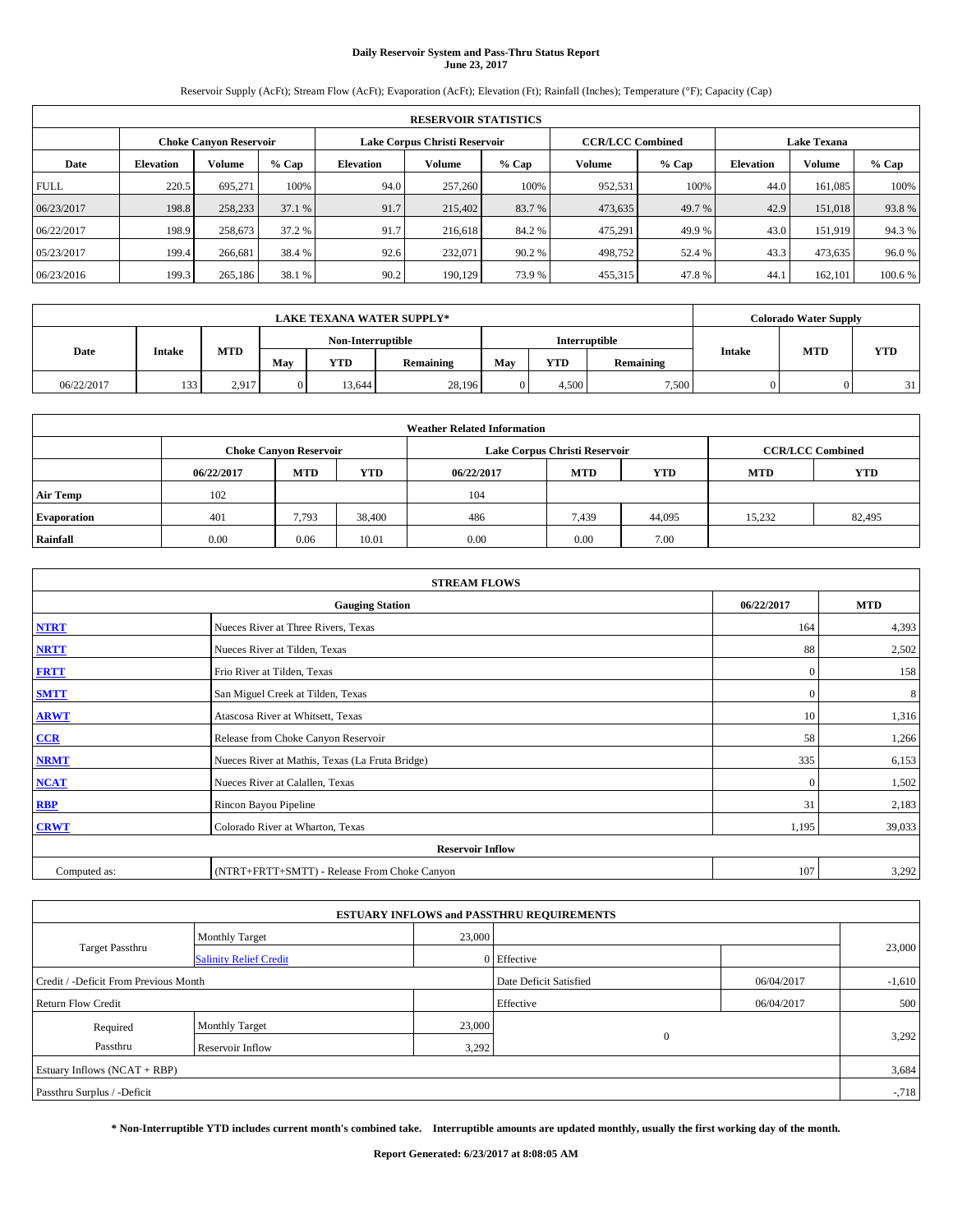## **Daily Reservoir System and Pass-Thru Status Report June 23, 2017**

Reservoir Supply (AcFt); Stream Flow (AcFt); Evaporation (AcFt); Elevation (Ft); Rainfall (Inches); Temperature (°F); Capacity (Cap)

|             | <b>RESERVOIR STATISTICS</b> |                               |         |           |                               |         |                         |         |                  |                    |         |  |
|-------------|-----------------------------|-------------------------------|---------|-----------|-------------------------------|---------|-------------------------|---------|------------------|--------------------|---------|--|
|             |                             | <b>Choke Canyon Reservoir</b> |         |           | Lake Corpus Christi Reservoir |         | <b>CCR/LCC Combined</b> |         |                  | <b>Lake Texana</b> |         |  |
| Date        | <b>Elevation</b>            | Volume                        | $%$ Cap | Elevation | Volume                        | $%$ Cap | Volume                  | $%$ Cap | <b>Elevation</b> | <b>Volume</b>      | % Cap   |  |
| <b>FULL</b> | 220.5                       | 695.271                       | 100%    | 94.0      | 257,260                       | 100%    | 952,531                 | 100%    | 44.0             | 161.085            | 100%    |  |
| 06/23/2017  | 198.8                       | 258,233                       | 37.1 %  | 91.7      | 215,402                       | 83.7 %  | 473,635                 | 49.7 %  | 42.9             | 151,018            | 93.8%   |  |
| 06/22/2017  | 198.9                       | 258,673                       | 37.2 %  | 91.7      | 216,618                       | 84.2 %  | 475,291                 | 49.9%   | 43.0             | 151.919            | 94.3%   |  |
| 05/23/2017  | 199.4                       | 266,681                       | 38.4 %  | 92.6      | 232,071                       | 90.2 %  | 498,752                 | 52.4 %  | 43.3             | 473,635            | 96.0%   |  |
| 06/23/2016  | 199.3                       | 265,186                       | 38.1 %  | 90.2      | 190.129                       | 73.9 %  | 455,315                 | 47.8%   | 44.              | 162,101            | 100.6 % |  |

| <b>LAKE TEXANA WATER SUPPLY*</b> |                   |            |                |               |           |     |       | <b>Colorado Water Supply</b> |               |            |            |
|----------------------------------|-------------------|------------|----------------|---------------|-----------|-----|-------|------------------------------|---------------|------------|------------|
|                                  | Non-Interruptible |            |                | Interruptible |           |     |       |                              |               |            |            |
| Date                             | Intake            | <b>MTD</b> | May            | <b>YTD</b>    | Remaining | May | YTD   | Remaining                    | <b>Intake</b> | <b>MTD</b> | <b>YTD</b> |
| 06/22/2017                       | 133               | 2.917      | $\overline{0}$ | 13,644        | 28,196    |     | 4.500 | 7,500                        |               |            | 21         |

| <b>Weather Related Information</b> |            |                               |            |            |                               |                         |            |            |  |  |  |
|------------------------------------|------------|-------------------------------|------------|------------|-------------------------------|-------------------------|------------|------------|--|--|--|
|                                    |            | <b>Choke Canyon Reservoir</b> |            |            | Lake Corpus Christi Reservoir | <b>CCR/LCC Combined</b> |            |            |  |  |  |
|                                    | 06/22/2017 | <b>MTD</b>                    | <b>YTD</b> | 06/22/2017 | <b>MTD</b>                    | <b>YTD</b>              | <b>MTD</b> | <b>YTD</b> |  |  |  |
| <b>Air Temp</b>                    | 102        |                               |            | 104        |                               |                         |            |            |  |  |  |
| <b>Evaporation</b>                 | 401        | 7,793                         | 38,400     | 486        | 7,439                         | 44,095                  | 15,232     | 82,495     |  |  |  |
| Rainfall                           | 0.00       | 0.06                          | 10.01      | 0.00       | 0.00                          | 7.00                    |            |            |  |  |  |

| <b>STREAM FLOWS</b> |                                                 |              |        |  |  |  |  |  |  |
|---------------------|-------------------------------------------------|--------------|--------|--|--|--|--|--|--|
|                     | <b>Gauging Station</b>                          |              |        |  |  |  |  |  |  |
| <b>NTRT</b>         | Nueces River at Three Rivers, Texas             | 164          | 4,393  |  |  |  |  |  |  |
| <b>NRTT</b>         | Nueces River at Tilden, Texas                   | 88           | 2,502  |  |  |  |  |  |  |
| <b>FRTT</b>         | Frio River at Tilden, Texas                     | $\mathbf{0}$ | 158    |  |  |  |  |  |  |
| <b>SMTT</b>         | San Miguel Creek at Tilden, Texas               | $\mathbf{0}$ | 8      |  |  |  |  |  |  |
| <b>ARWT</b>         | Atascosa River at Whitsett, Texas               | 10           | 1,316  |  |  |  |  |  |  |
| $CCR$               | Release from Choke Canyon Reservoir             | 58           | 1,266  |  |  |  |  |  |  |
| <b>NRMT</b>         | Nueces River at Mathis, Texas (La Fruta Bridge) | 335          | 6,153  |  |  |  |  |  |  |
| <b>NCAT</b>         | Nueces River at Calallen, Texas                 | $\mathbf{0}$ | 1,502  |  |  |  |  |  |  |
| RBP                 | Rincon Bayou Pipeline                           | 31           | 2,183  |  |  |  |  |  |  |
| <b>CRWT</b>         | Colorado River at Wharton, Texas                | 1,195        | 39,033 |  |  |  |  |  |  |
|                     | <b>Reservoir Inflow</b>                         |              |        |  |  |  |  |  |  |
| Computed as:        | (NTRT+FRTT+SMTT) - Release From Choke Canyon    | 107          | 3,292  |  |  |  |  |  |  |

| <b>ESTUARY INFLOWS and PASSTHRU REQUIREMENTS</b> |                               |                        |             |            |        |  |  |  |  |  |
|--------------------------------------------------|-------------------------------|------------------------|-------------|------------|--------|--|--|--|--|--|
|                                                  | <b>Monthly Target</b>         | 23,000                 |             |            |        |  |  |  |  |  |
| <b>Target Passthru</b>                           | <b>Salinity Relief Credit</b> |                        | 0 Effective |            | 23,000 |  |  |  |  |  |
| Credit / -Deficit From Previous Month            |                               | Date Deficit Satisfied | 06/04/2017  | $-1,610$   |        |  |  |  |  |  |
| <b>Return Flow Credit</b>                        |                               |                        | Effective   | 06/04/2017 | 500    |  |  |  |  |  |
| Required                                         | <b>Monthly Target</b>         | 23,000                 |             |            |        |  |  |  |  |  |
| Passthru                                         | <b>Reservoir Inflow</b>       | 3,292                  | $\Omega$    |            | 3,292  |  |  |  |  |  |
| Estuary Inflows $(NCAT + RBP)$                   |                               |                        |             |            |        |  |  |  |  |  |
| Passthru Surplus / -Deficit                      |                               |                        |             |            | $-718$ |  |  |  |  |  |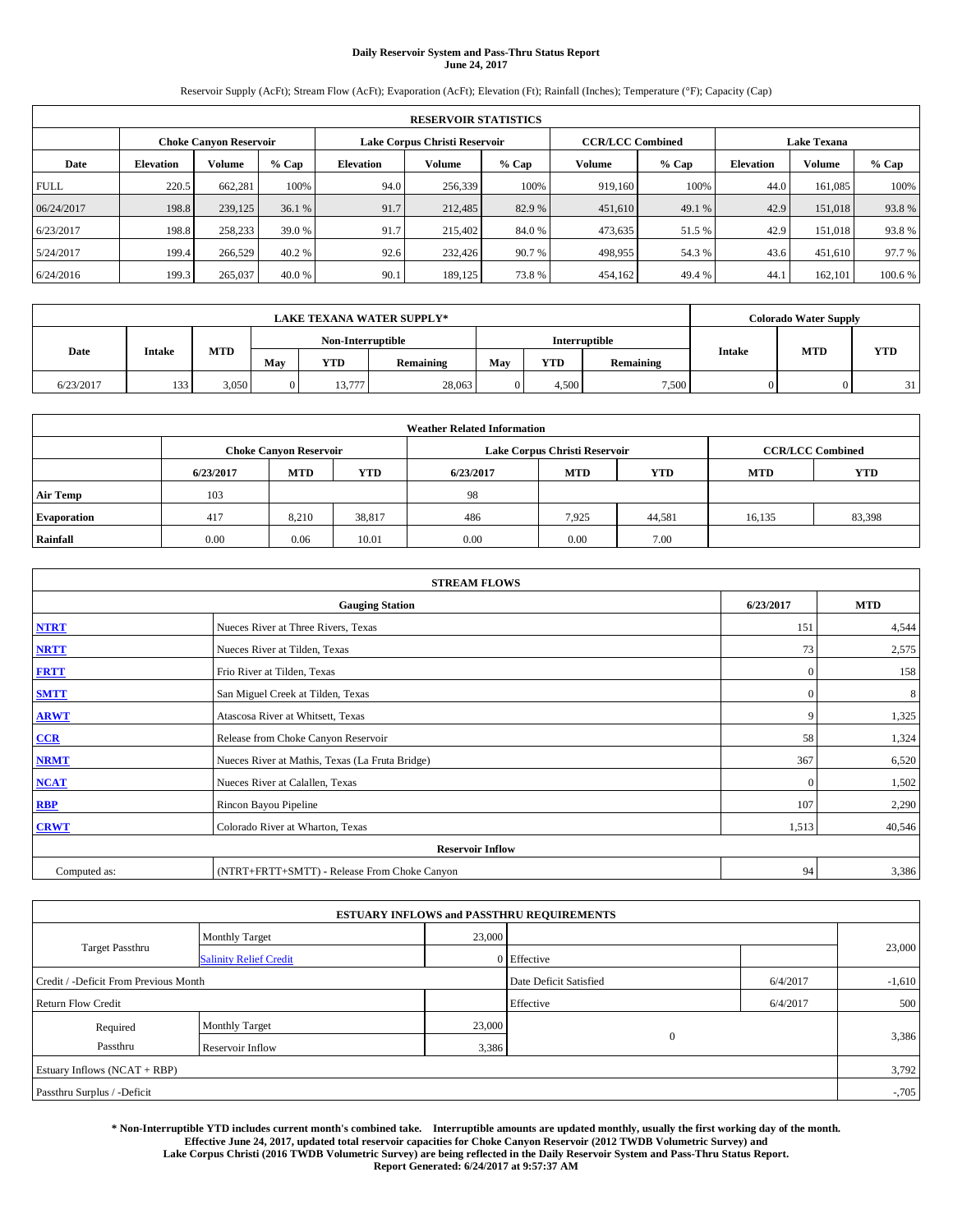# **Daily Reservoir System and Pass-Thru Status Report June 24, 2017**

Reservoir Supply (AcFt); Stream Flow (AcFt); Evaporation (AcFt); Elevation (Ft); Rainfall (Inches); Temperature (°F); Capacity (Cap)

|             | <b>RESERVOIR STATISTICS</b> |                               |         |           |                               |         |                         |         |                  |                    |         |  |  |
|-------------|-----------------------------|-------------------------------|---------|-----------|-------------------------------|---------|-------------------------|---------|------------------|--------------------|---------|--|--|
|             |                             | <b>Choke Canyon Reservoir</b> |         |           | Lake Corpus Christi Reservoir |         | <b>CCR/LCC Combined</b> |         |                  | <b>Lake Texana</b> |         |  |  |
| Date        | <b>Elevation</b>            | Volume                        | $%$ Cap | Elevation | Volume                        | $%$ Cap | Volume                  | $%$ Cap | <b>Elevation</b> | <b>Volume</b>      | % Cap   |  |  |
| <b>FULL</b> | 220.5                       | 662,281                       | 100%    | 94.0      | 256,339                       | 100%    | 919.160                 | 100%    | 44.0             | 161.085            | 100%    |  |  |
| 06/24/2017  | 198.8                       | 239,125                       | 36.1 %  | 91.7      | 212,485                       | 82.9 %  | 451,610                 | 49.1 %  | 42.9             | 151,018            | 93.8%   |  |  |
| 6/23/2017   | 198.8                       | 258,233                       | 39.0 %  | 91.7      | 215,402                       | 84.0 %  | 473,635                 | 51.5 %  | 42.9             | 151.018            | 93.8%   |  |  |
| 5/24/2017   | 199.4                       | 266,529                       | 40.2 %  | 92.6      | 232,426                       | 90.7 %  | 498,955                 | 54.3 %  | 43.6             | 451,610            | 97.7 %  |  |  |
| 6/24/2016   | 199.3                       | 265,037                       | 40.0 %  | 90.1      | 189.125                       | 73.8%   | 454,162                 | 49.4 %  | 44.              | 162,101            | 100.6 % |  |  |

| <b>LAKE TEXANA WATER SUPPLY*</b> |               |            |                   |                |           |               |            | <b>Colorado Water Supply</b> |               |            |            |
|----------------------------------|---------------|------------|-------------------|----------------|-----------|---------------|------------|------------------------------|---------------|------------|------------|
|                                  |               |            | Non-Interruptible |                |           | Interruptible |            |                              |               |            |            |
| Date                             | <b>Intake</b> | <b>MTD</b> | May               | <b>YTD</b>     | Remaining | May           | <b>YTD</b> | Remaining                    | <b>Intake</b> | <b>MTD</b> | <b>YTD</b> |
| 6/23/2017                        | 133           | 3,050      |                   | 0.777<br>13.77 | 28,063    |               | 4,500      | 7,500                        |               |            | 31         |

| <b>Weather Related Information</b> |           |                               |        |           |                               |                         |            |            |  |  |  |
|------------------------------------|-----------|-------------------------------|--------|-----------|-------------------------------|-------------------------|------------|------------|--|--|--|
|                                    |           | <b>Choke Canyon Reservoir</b> |        |           | Lake Corpus Christi Reservoir | <b>CCR/LCC Combined</b> |            |            |  |  |  |
|                                    | 6/23/2017 | <b>MTD</b>                    | YTD    | 6/23/2017 | <b>MTD</b>                    | YTD                     | <b>MTD</b> | <b>YTD</b> |  |  |  |
| <b>Air Temp</b>                    | 103       |                               |        | 98        |                               |                         |            |            |  |  |  |
| <b>Evaporation</b>                 | 417       | 8,210                         | 38,817 | 486       | 7.925                         | 44,581                  | 16,135     | 83,398     |  |  |  |
| Rainfall                           | 0.00      | 0.06                          | 10.01  | 0.00      | 0.00                          | 7.00                    |            |            |  |  |  |

| <b>STREAM FLOWS</b> |                                                 |              |        |  |  |  |  |  |  |
|---------------------|-------------------------------------------------|--------------|--------|--|--|--|--|--|--|
|                     | <b>Gauging Station</b>                          |              |        |  |  |  |  |  |  |
| <b>NTRT</b>         | Nueces River at Three Rivers, Texas             |              |        |  |  |  |  |  |  |
| <b>NRTT</b>         | Nueces River at Tilden, Texas                   | 73           | 2,575  |  |  |  |  |  |  |
| <b>FRTT</b>         | Frio River at Tilden, Texas                     | $\mathbf{0}$ | 158    |  |  |  |  |  |  |
| <b>SMTT</b>         | San Miguel Creek at Tilden, Texas               | 0            | 8      |  |  |  |  |  |  |
| <b>ARWT</b>         | Atascosa River at Whitsett, Texas               | 9            | 1,325  |  |  |  |  |  |  |
| $CCR$               | Release from Choke Canyon Reservoir             | 58           | 1,324  |  |  |  |  |  |  |
| <b>NRMT</b>         | Nueces River at Mathis, Texas (La Fruta Bridge) | 367          | 6,520  |  |  |  |  |  |  |
| <b>NCAT</b>         | Nueces River at Calallen, Texas                 | 0            | 1,502  |  |  |  |  |  |  |
| RBP                 | Rincon Bayou Pipeline                           | 107          | 2,290  |  |  |  |  |  |  |
| <b>CRWT</b>         | Colorado River at Wharton, Texas                | 1,513        | 40,546 |  |  |  |  |  |  |
|                     | <b>Reservoir Inflow</b>                         |              |        |  |  |  |  |  |  |
| Computed as:        | (NTRT+FRTT+SMTT) - Release From Choke Canyon    | 94           | 3,386  |  |  |  |  |  |  |

| <b>ESTUARY INFLOWS and PASSTHRU REQUIREMENTS</b> |                               |                                    |              |          |          |  |  |  |  |  |
|--------------------------------------------------|-------------------------------|------------------------------------|--------------|----------|----------|--|--|--|--|--|
|                                                  | <b>Monthly Target</b>         | 23,000                             |              |          |          |  |  |  |  |  |
| <b>Target Passthru</b>                           | <b>Salinity Relief Credit</b> |                                    | 0 Effective  |          | 23,000   |  |  |  |  |  |
| Credit / -Deficit From Previous Month            |                               | Date Deficit Satisfied<br>6/4/2017 |              | $-1,610$ |          |  |  |  |  |  |
| <b>Return Flow Credit</b>                        |                               |                                    | Effective    | 6/4/2017 | 500      |  |  |  |  |  |
| Required                                         | <b>Monthly Target</b>         | 23,000                             |              |          |          |  |  |  |  |  |
| Passthru                                         | Reservoir Inflow              | 3,386                              | $\mathbf{0}$ |          | 3,386    |  |  |  |  |  |
| Estuary Inflows (NCAT + RBP)                     |                               |                                    |              |          |          |  |  |  |  |  |
| Passthru Surplus / -Deficit                      |                               |                                    |              |          | $-0.705$ |  |  |  |  |  |

**\* Non-Interruptible YTD includes current month's combined take. Interruptible amounts are updated monthly, usually the first working day of the month. Effective June 24, 2017, updated total reservoir capacities for Choke Canyon Reservoir (2012 TWDB Volumetric Survey) and Lake Corpus Christi (2016 TWDB Volumetric Survey) are being reflected in the Daily Reservoir System and Pass-Thru Status Report. Report Generated: 6/24/2017 at 9:57:37 AM**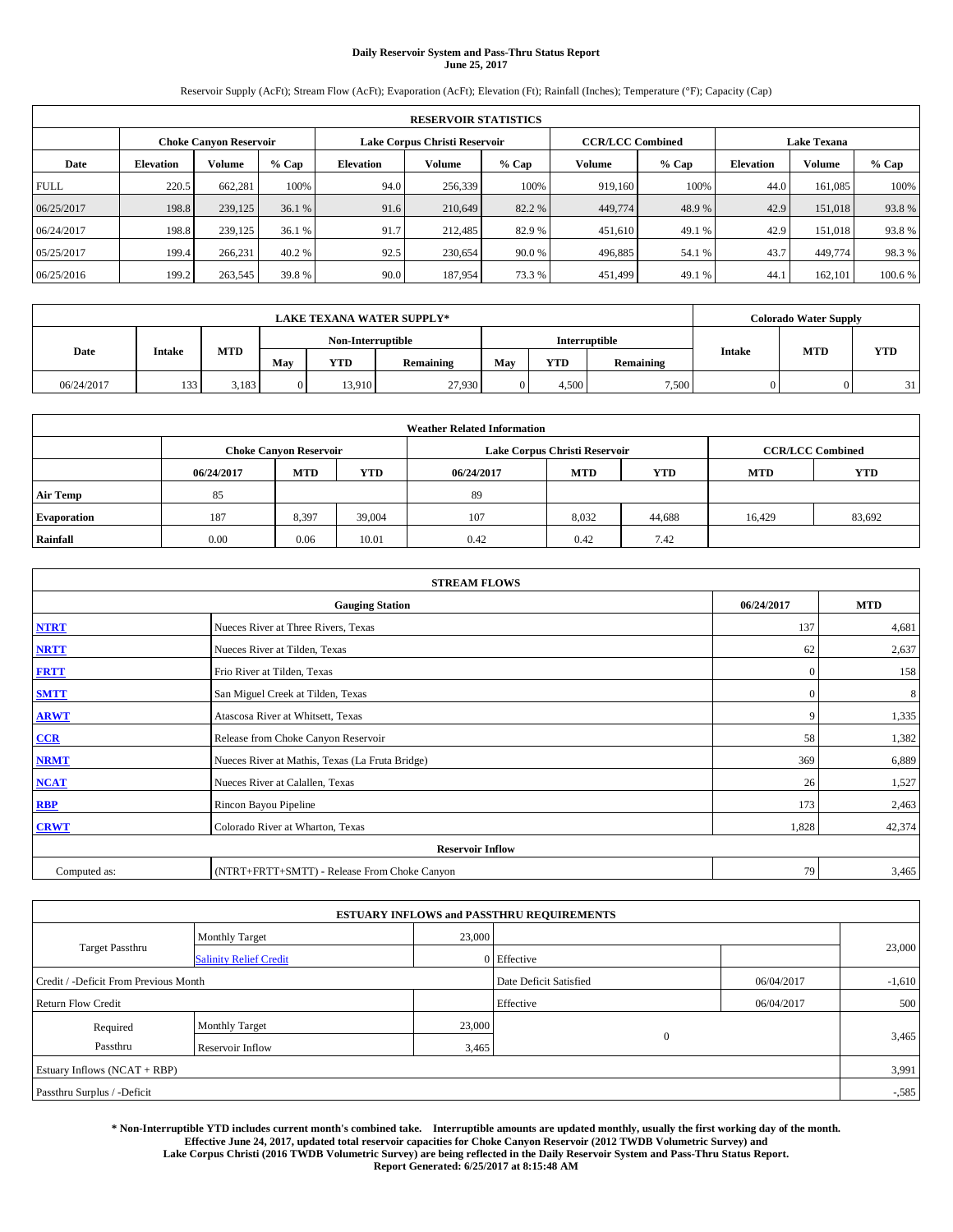# **Daily Reservoir System and Pass-Thru Status Report June 25, 2017**

Reservoir Supply (AcFt); Stream Flow (AcFt); Evaporation (AcFt); Elevation (Ft); Rainfall (Inches); Temperature (°F); Capacity (Cap)

| <b>RESERVOIR STATISTICS</b> |                  |                               |         |                               |         |         |                         |         |                    |               |         |
|-----------------------------|------------------|-------------------------------|---------|-------------------------------|---------|---------|-------------------------|---------|--------------------|---------------|---------|
|                             |                  | <b>Choke Canyon Reservoir</b> |         | Lake Corpus Christi Reservoir |         |         | <b>CCR/LCC Combined</b> |         | <b>Lake Texana</b> |               |         |
| Date                        | <b>Elevation</b> | Volume                        | $%$ Cap | Elevation                     | Volume  | $%$ Cap | Volume                  | $%$ Cap | <b>Elevation</b>   | <b>Volume</b> | % Cap   |
| <b>FULL</b>                 | 220.5            | 662,281                       | 100%    | 94.0                          | 256,339 | 100%    | 919.160                 | 100%    | 44.0               | 161.085       | 100%    |
| 06/25/2017                  | 198.8            | 239,125                       | 36.1 %  | 91.6                          | 210,649 | 82.2 %  | 449,774                 | 48.9%   | 42.9               | 151,018       | 93.8%   |
| 06/24/2017                  | 198.8            | 239,125                       | 36.1 %  | 91.7                          | 212,485 | 82.9 %  | 451,610                 | 49.1 %  | 42.9               | 151.018       | 93.8%   |
| 05/25/2017                  | 199.4            | 266.231                       | 40.2 %  | 92.5                          | 230,654 | 90.0%   | 496,885                 | 54.1 %  | 43.7               | 449,774       | 98.3%   |
| 06/25/2016                  | 199.2            | 263,545                       | 39.8%   | 90.0                          | 187.954 | 73.3 %  | 451,499                 | 49.1 %  | 44.                | 162,101       | 100.6 % |

|            | <b>LAKE TEXANA WATER SUPPLY*</b> |            |                |                   |           |               |       |           |               |            | <b>Colorado Water Supply</b> |  |  |
|------------|----------------------------------|------------|----------------|-------------------|-----------|---------------|-------|-----------|---------------|------------|------------------------------|--|--|
|            |                                  |            |                | Non-Interruptible |           | Interruptible |       |           |               |            |                              |  |  |
| Date       | Intake                           | <b>MTD</b> | May            | <b>YTD</b>        | Remaining | May           | YTD   | Remaining | <b>Intake</b> | <b>MTD</b> | <b>YTD</b>                   |  |  |
| 06/24/2017 | 133                              | 3,183      | $\overline{0}$ | 13.910            | 27.930    |               | 4.500 | 7,500     |               |            | 21                           |  |  |

| <b>Weather Related Information</b> |                                                                                                |                               |        |      |                               |                         |        |            |  |  |
|------------------------------------|------------------------------------------------------------------------------------------------|-------------------------------|--------|------|-------------------------------|-------------------------|--------|------------|--|--|
|                                    |                                                                                                | <b>Choke Canyon Reservoir</b> |        |      | Lake Corpus Christi Reservoir | <b>CCR/LCC Combined</b> |        |            |  |  |
|                                    | <b>YTD</b><br><b>MTD</b><br><b>MTD</b><br><b>YTD</b><br><b>MTD</b><br>06/24/2017<br>06/24/2017 |                               |        |      |                               |                         |        | <b>YTD</b> |  |  |
| <b>Air Temp</b>                    | 85                                                                                             |                               |        | 89   |                               |                         |        |            |  |  |
| <b>Evaporation</b>                 | 187                                                                                            | 8,397                         | 39,004 | 107  | 8,032                         | 44,688                  | 16.429 | 83,692     |  |  |
| Rainfall                           | 0.00                                                                                           | 0.06                          | 10.01  | 0.42 | 0.42                          | 7.42                    |        |            |  |  |

| <b>STREAM FLOWS</b>     |                                                 |              |            |  |  |  |  |  |  |
|-------------------------|-------------------------------------------------|--------------|------------|--|--|--|--|--|--|
|                         | <b>Gauging Station</b>                          | 06/24/2017   | <b>MTD</b> |  |  |  |  |  |  |
| <b>NTRT</b>             | Nueces River at Three Rivers, Texas             | 137          | 4,681      |  |  |  |  |  |  |
| <b>NRTT</b>             | Nueces River at Tilden, Texas                   | 62           | 2,637      |  |  |  |  |  |  |
| <b>FRTT</b>             | Frio River at Tilden, Texas                     | $\mathbf{0}$ | 158        |  |  |  |  |  |  |
| <b>SMTT</b>             | San Miguel Creek at Tilden, Texas               | $\mathbf{0}$ | 8          |  |  |  |  |  |  |
| <b>ARWT</b>             | Atascosa River at Whitsett, Texas               | 9            | 1,335      |  |  |  |  |  |  |
| $CCR$                   | Release from Choke Canyon Reservoir             | 58           | 1,382      |  |  |  |  |  |  |
| <b>NRMT</b>             | Nueces River at Mathis, Texas (La Fruta Bridge) | 369          | 6,889      |  |  |  |  |  |  |
| <b>NCAT</b>             | Nueces River at Calallen, Texas                 | 26           | 1,527      |  |  |  |  |  |  |
| RBP                     | Rincon Bayou Pipeline                           | 173          | 2,463      |  |  |  |  |  |  |
| <b>CRWT</b>             | Colorado River at Wharton, Texas                | 1,828        | 42,374     |  |  |  |  |  |  |
| <b>Reservoir Inflow</b> |                                                 |              |            |  |  |  |  |  |  |
| Computed as:            | (NTRT+FRTT+SMTT) - Release From Choke Canyon    |              |            |  |  |  |  |  |  |

| <b>ESTUARY INFLOWS and PASSTHRU REQUIREMENTS</b> |                               |        |                        |            |          |  |  |  |  |  |
|--------------------------------------------------|-------------------------------|--------|------------------------|------------|----------|--|--|--|--|--|
|                                                  | <b>Monthly Target</b>         | 23,000 |                        |            |          |  |  |  |  |  |
| <b>Target Passthru</b>                           | <b>Salinity Relief Credit</b> |        | 0 Effective            |            | 23,000   |  |  |  |  |  |
| Credit / -Deficit From Previous Month            |                               |        | Date Deficit Satisfied | 06/04/2017 | $-1,610$ |  |  |  |  |  |
| <b>Return Flow Credit</b>                        |                               |        | Effective              | 06/04/2017 | 500      |  |  |  |  |  |
| Required                                         | <b>Monthly Target</b>         | 23,000 |                        |            |          |  |  |  |  |  |
| Passthru                                         | <b>Reservoir Inflow</b>       | 3,465  | $\mathbf{0}$           |            | 3,465    |  |  |  |  |  |
| Estuary Inflows (NCAT + RBP)                     |                               |        |                        |            | 3,991    |  |  |  |  |  |
| Passthru Surplus / -Deficit                      |                               |        |                        |            |          |  |  |  |  |  |

**\* Non-Interruptible YTD includes current month's combined take. Interruptible amounts are updated monthly, usually the first working day of the month. Effective June 24, 2017, updated total reservoir capacities for Choke Canyon Reservoir (2012 TWDB Volumetric Survey) and Lake Corpus Christi (2016 TWDB Volumetric Survey) are being reflected in the Daily Reservoir System and Pass-Thru Status Report. Report Generated: 6/25/2017 at 8:15:48 AM**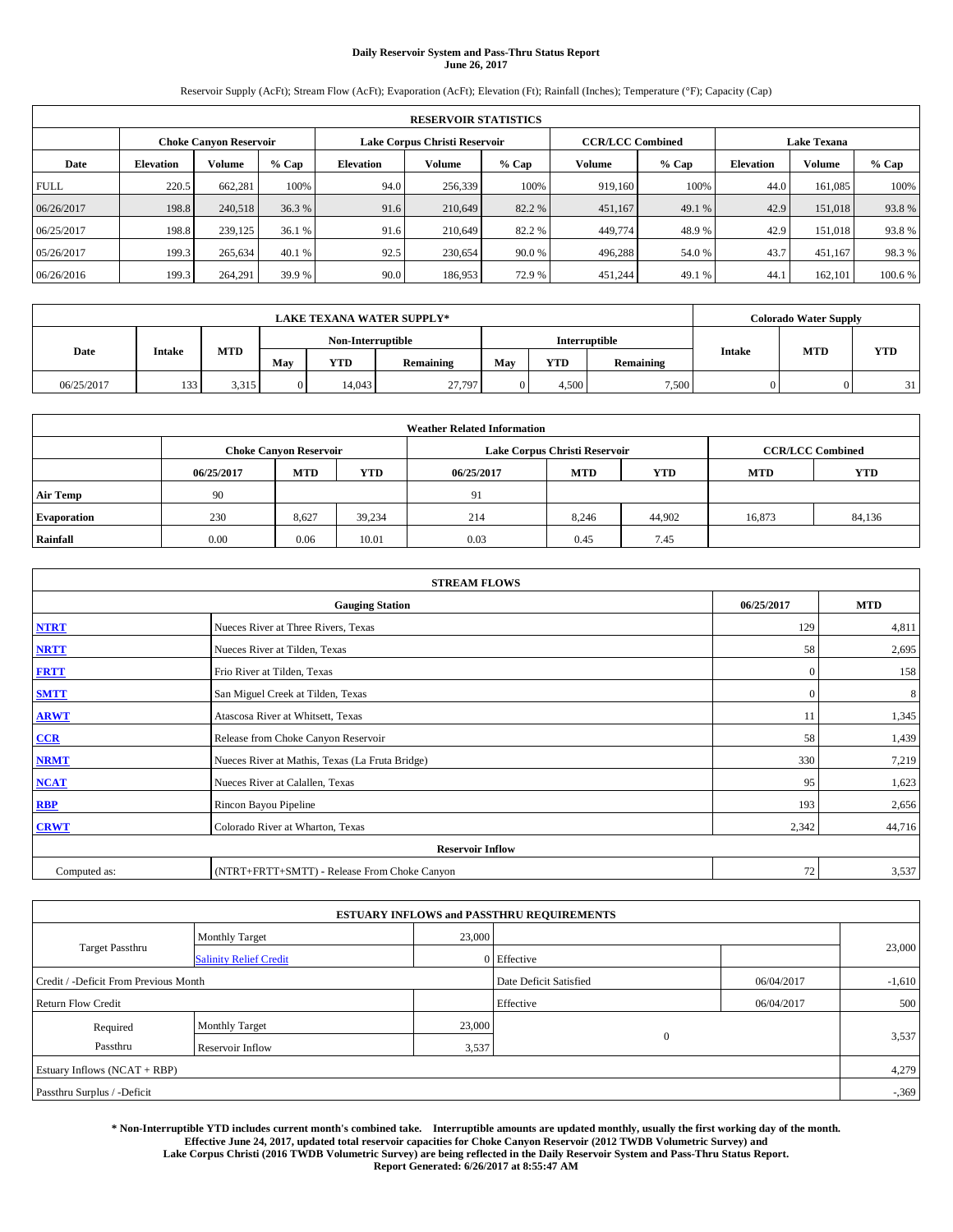# **Daily Reservoir System and Pass-Thru Status Report June 26, 2017**

Reservoir Supply (AcFt); Stream Flow (AcFt); Evaporation (AcFt); Elevation (Ft); Rainfall (Inches); Temperature (°F); Capacity (Cap)

| <b>RESERVOIR STATISTICS</b> |                  |                        |        |                               |               |         |                         |         |                  |                    |         |
|-----------------------------|------------------|------------------------|--------|-------------------------------|---------------|---------|-------------------------|---------|------------------|--------------------|---------|
|                             |                  | Choke Canvon Reservoir |        | Lake Corpus Christi Reservoir |               |         | <b>CCR/LCC Combined</b> |         |                  | <b>Lake Texana</b> |         |
| Date                        | <b>Elevation</b> | Volume                 | % Cap  | <b>Elevation</b>              | <b>Volume</b> | $%$ Cap | Volume                  | $%$ Cap | <b>Elevation</b> | <b>Volume</b>      | % Cap   |
| <b>FULL</b>                 | 220.5            | 662,281                | 100%   | 94.0                          | 256,339       | 100%    | 919.160                 | 100%    | 44.0             | 161.085            | 100%    |
| 06/26/2017                  | 198.8            | 240,518                | 36.3 % | 91.6                          | 210.649       | 82.2 %  | 451,167                 | 49.1 %  | 42.9             | 151,018            | 93.8%   |
| 06/25/2017                  | 198.8            | 239,125                | 36.1 % | 91.6                          | 210.649       | 82.2 %  | 449,774                 | 48.9%   | 42.9             | 151.018            | 93.8%   |
| 05/26/2017                  | 199.3            | 265,634                | 40.1 % | 92.5                          | 230,654       | 90.0%   | 496,288                 | 54.0 %  | 43.7             | 451,167            | 98.3%   |
| 06/26/2016                  | 199.3            | 264,291                | 39.9 % | 90.0                          | 186,953       | 72.9 %  | 451,244                 | 49.1 %  | 44.              | 162,101            | 100.6 % |

|            | <b>LAKE TEXANA WATER SUPPLY*</b> |            |                   |            |           |     |       |               |               |            | <b>Colorado Water Supply</b> |  |  |
|------------|----------------------------------|------------|-------------------|------------|-----------|-----|-------|---------------|---------------|------------|------------------------------|--|--|
|            |                                  |            | Non-Interruptible |            |           |     |       | Interruptible |               |            |                              |  |  |
| Date       | Intake                           | <b>MTD</b> | May               | <b>YTD</b> | Remaining | May | YTD   | Remaining     | <b>Intake</b> | <b>MTD</b> | <b>YTD</b>                   |  |  |
| 06/25/2017 | 133                              | 3,315      | $\mathbf{0}$      | 14.043     | 27,797    |     | 4.500 | 7,500         |               |            | 31                           |  |  |

| <b>Weather Related Information</b> |                                                                                                |                               |        |      |                               |                         |        |            |  |  |
|------------------------------------|------------------------------------------------------------------------------------------------|-------------------------------|--------|------|-------------------------------|-------------------------|--------|------------|--|--|
|                                    |                                                                                                | <b>Choke Canyon Reservoir</b> |        |      | Lake Corpus Christi Reservoir | <b>CCR/LCC Combined</b> |        |            |  |  |
|                                    | <b>YTD</b><br><b>MTD</b><br><b>MTD</b><br><b>YTD</b><br><b>MTD</b><br>06/25/2017<br>06/25/2017 |                               |        |      |                               |                         |        | <b>YTD</b> |  |  |
| <b>Air Temp</b>                    | 90                                                                                             |                               |        | 91   |                               |                         |        |            |  |  |
| <b>Evaporation</b>                 | 230                                                                                            | 8,627                         | 39,234 | 214  | 8,246                         | 44,902                  | 16,873 | 84,136     |  |  |
| Rainfall                           | 0.00                                                                                           | 0.06                          | 10.01  | 0.03 | 0.45                          | 7.45                    |        |            |  |  |

| <b>STREAM FLOWS</b> |                                                 |              |            |  |  |  |  |  |  |
|---------------------|-------------------------------------------------|--------------|------------|--|--|--|--|--|--|
|                     | <b>Gauging Station</b>                          | 06/25/2017   | <b>MTD</b> |  |  |  |  |  |  |
| <b>NTRT</b>         | Nueces River at Three Rivers, Texas             |              |            |  |  |  |  |  |  |
| <b>NRTT</b>         | Nueces River at Tilden, Texas                   | 58           | 2,695      |  |  |  |  |  |  |
| <b>FRTT</b>         | Frio River at Tilden, Texas                     | $\mathbf{0}$ | 158        |  |  |  |  |  |  |
| <b>SMTT</b>         | San Miguel Creek at Tilden, Texas               | $\mathbf{0}$ | 8          |  |  |  |  |  |  |
| <b>ARWT</b>         | Atascosa River at Whitsett, Texas               | 11           | 1,345      |  |  |  |  |  |  |
| $CCR$               | Release from Choke Canyon Reservoir             | 58           | 1,439      |  |  |  |  |  |  |
| <b>NRMT</b>         | Nueces River at Mathis, Texas (La Fruta Bridge) | 330          | 7,219      |  |  |  |  |  |  |
| <b>NCAT</b>         | Nueces River at Calallen, Texas                 | 95           | 1,623      |  |  |  |  |  |  |
| RBP                 | Rincon Bayou Pipeline                           | 193          | 2,656      |  |  |  |  |  |  |
| <b>CRWT</b>         | Colorado River at Wharton, Texas                | 2,342        | 44,716     |  |  |  |  |  |  |
|                     | <b>Reservoir Inflow</b>                         |              |            |  |  |  |  |  |  |
| Computed as:        | (NTRT+FRTT+SMTT) - Release From Choke Canyon    |              |            |  |  |  |  |  |  |

| <b>ESTUARY INFLOWS and PASSTHRU REQUIREMENTS</b> |                               |        |                        |            |          |  |  |  |  |  |
|--------------------------------------------------|-------------------------------|--------|------------------------|------------|----------|--|--|--|--|--|
|                                                  | <b>Monthly Target</b>         | 23,000 |                        |            |          |  |  |  |  |  |
| <b>Target Passthru</b>                           | <b>Salinity Relief Credit</b> |        | 0 Effective            |            | 23,000   |  |  |  |  |  |
| Credit / -Deficit From Previous Month            |                               |        | Date Deficit Satisfied | 06/04/2017 | $-1,610$ |  |  |  |  |  |
| <b>Return Flow Credit</b>                        |                               |        | Effective              | 06/04/2017 | 500      |  |  |  |  |  |
| Required                                         | <b>Monthly Target</b>         | 23,000 |                        |            |          |  |  |  |  |  |
| Passthru                                         | <b>Reservoir Inflow</b>       | 3,537  | $\mathbf{0}$           |            | 3,537    |  |  |  |  |  |
| Estuary Inflows (NCAT + RBP)                     |                               |        |                        |            | 4,279    |  |  |  |  |  |
| Passthru Surplus / -Deficit                      |                               |        |                        |            |          |  |  |  |  |  |

**\* Non-Interruptible YTD includes current month's combined take. Interruptible amounts are updated monthly, usually the first working day of the month. Effective June 24, 2017, updated total reservoir capacities for Choke Canyon Reservoir (2012 TWDB Volumetric Survey) and Lake Corpus Christi (2016 TWDB Volumetric Survey) are being reflected in the Daily Reservoir System and Pass-Thru Status Report. Report Generated: 6/26/2017 at 8:55:47 AM**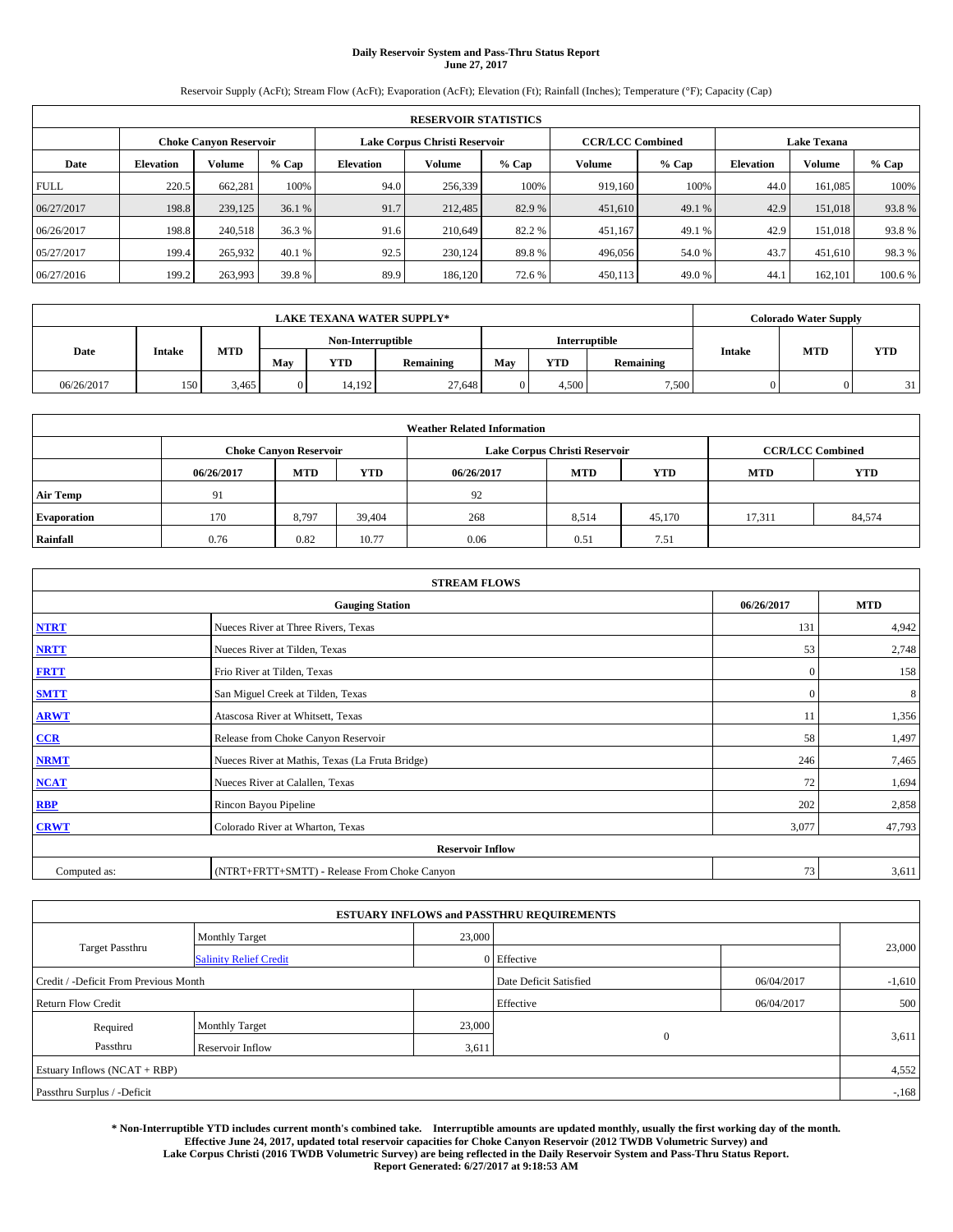# **Daily Reservoir System and Pass-Thru Status Report June 27, 2017**

Reservoir Supply (AcFt); Stream Flow (AcFt); Evaporation (AcFt); Elevation (Ft); Rainfall (Inches); Temperature (°F); Capacity (Cap)

|             | <b>RESERVOIR STATISTICS</b> |                        |         |                               |               |         |                         |         |                  |                    |        |  |
|-------------|-----------------------------|------------------------|---------|-------------------------------|---------------|---------|-------------------------|---------|------------------|--------------------|--------|--|
|             |                             | Choke Canvon Reservoir |         | Lake Corpus Christi Reservoir |               |         | <b>CCR/LCC Combined</b> |         |                  | <b>Lake Texana</b> |        |  |
| Date        | <b>Elevation</b>            | Volume                 | $%$ Cap | <b>Elevation</b>              | <b>Volume</b> | $%$ Cap | Volume                  | $%$ Cap | <b>Elevation</b> | <b>Volume</b>      | % Cap  |  |
| <b>FULL</b> | 220.5                       | 662,281                | 100%    | 94.0                          | 256,339       | 100%    | 919.160                 | 100%    | 44.0             | 161.085            | 100%   |  |
| 06/27/2017  | 198.8                       | 239,125                | 36.1 %  | 91.7                          | 212,485       | 82.9 %  | 451,610                 | 49.1 %  | 42.9             | 151,018            | 93.8%  |  |
| 06/26/2017  | 198.8                       | 240,518                | 36.3 %  | 91.6                          | 210,649       | 82.2 %  | 451,167                 | 49.1 %  | 42.9             | 151.018            | 93.8%  |  |
| 05/27/2017  | 199.4                       | 265,932                | 40.1 %  | 92.5                          | 230.124       | 89.8%   | 496,056                 | 54.0 %  | 43.7             | 451,610            | 98.3%  |  |
| 06/27/2016  | 199.2                       | 263,993                | 39.8%   | 89.9                          | 186,120       | 72.6 %  | 450,113                 | 49.0%   | 44.              | 162,101            | 100.6% |  |

|            | <b>LAKE TEXANA WATER SUPPLY*</b> |            |              |                   |           |     |            |               |               |            | <b>Colorado Water Supply</b> |  |  |
|------------|----------------------------------|------------|--------------|-------------------|-----------|-----|------------|---------------|---------------|------------|------------------------------|--|--|
|            |                                  |            |              | Non-Interruptible |           |     |            | Interruptible |               |            |                              |  |  |
| Date       | Intake                           | <b>MTD</b> | May          | <b>YTD</b>        | Remaining | May | <b>YTD</b> | Remaining     | <b>Intake</b> | <b>MTD</b> | <b>YTD</b>                   |  |  |
| 06/26/2017 | 150                              | 3,465      | $\mathbf{0}$ | 14.192            | 27.648    |     | 4.500      | 7,500         |               |            | 31                           |  |  |

| <b>Weather Related Information</b> |            |                               |            |            |                               |                         |            |            |  |
|------------------------------------|------------|-------------------------------|------------|------------|-------------------------------|-------------------------|------------|------------|--|
|                                    |            | <b>Choke Canyon Reservoir</b> |            |            | Lake Corpus Christi Reservoir | <b>CCR/LCC Combined</b> |            |            |  |
|                                    | 06/26/2017 | <b>MTD</b>                    | <b>YTD</b> | 06/26/2017 | <b>MTD</b>                    | <b>YTD</b>              | <b>MTD</b> | <b>YTD</b> |  |
| <b>Air Temp</b>                    | 91         |                               |            | 92         |                               |                         |            |            |  |
| <b>Evaporation</b>                 | 170        | 8,797                         | 39.404     | 268        | 8,514                         | 45,170                  | 17.311     | 84,574     |  |
| Rainfall                           | 0.76       | 0.82                          | 10.77      | 0.06       | 0.51                          | 7.51                    |            |            |  |

| <b>STREAM FLOWS</b>     |                                                 |              |        |  |  |  |  |  |
|-------------------------|-------------------------------------------------|--------------|--------|--|--|--|--|--|
|                         | 06/26/2017                                      | <b>MTD</b>   |        |  |  |  |  |  |
| <b>NTRT</b>             | Nueces River at Three Rivers, Texas             | 131          | 4,942  |  |  |  |  |  |
| <b>NRTT</b>             | Nueces River at Tilden, Texas                   | 53           | 2,748  |  |  |  |  |  |
| <b>FRTT</b>             | Frio River at Tilden, Texas                     | $\mathbf{0}$ | 158    |  |  |  |  |  |
| <b>SMTT</b>             | San Miguel Creek at Tilden, Texas               | $\mathbf{0}$ | 8      |  |  |  |  |  |
| <b>ARWT</b>             | Atascosa River at Whitsett, Texas               | 11           | 1,356  |  |  |  |  |  |
| $CCR$                   | Release from Choke Canyon Reservoir             | 58           | 1,497  |  |  |  |  |  |
| <b>NRMT</b>             | Nueces River at Mathis, Texas (La Fruta Bridge) | 246          | 7,465  |  |  |  |  |  |
| <b>NCAT</b>             | Nueces River at Calallen, Texas                 | 72           | 1,694  |  |  |  |  |  |
| RBP                     | Rincon Bayou Pipeline                           | 202          | 2,858  |  |  |  |  |  |
| <b>CRWT</b>             | Colorado River at Wharton, Texas                | 3,077        | 47,793 |  |  |  |  |  |
| <b>Reservoir Inflow</b> |                                                 |              |        |  |  |  |  |  |
| Computed as:            | (NTRT+FRTT+SMTT) - Release From Choke Canyon    | 73           | 3,611  |  |  |  |  |  |

|                                       |                               |        | <b>ESTUARY INFLOWS and PASSTHRU REQUIREMENTS</b> |            |          |
|---------------------------------------|-------------------------------|--------|--------------------------------------------------|------------|----------|
|                                       | <b>Monthly Target</b>         | 23,000 |                                                  |            |          |
| <b>Target Passthru</b>                | <b>Salinity Relief Credit</b> |        | 0 Effective                                      |            | 23,000   |
| Credit / -Deficit From Previous Month |                               |        | Date Deficit Satisfied                           | 06/04/2017 | $-1,610$ |
| <b>Return Flow Credit</b>             |                               |        | Effective                                        | 06/04/2017 | 500      |
| Required                              | <b>Monthly Target</b>         | 23,000 |                                                  |            |          |
| Passthru                              | <b>Reservoir Inflow</b>       | 3,611  | $\mathbf{0}$                                     |            | 3,611    |
| Estuary Inflows (NCAT + RBP)          |                               |        |                                                  |            | 4,552    |
| Passthru Surplus / -Deficit           |                               |        |                                                  |            | $-168$   |

**\* Non-Interruptible YTD includes current month's combined take. Interruptible amounts are updated monthly, usually the first working day of the month. Effective June 24, 2017, updated total reservoir capacities for Choke Canyon Reservoir (2012 TWDB Volumetric Survey) and Lake Corpus Christi (2016 TWDB Volumetric Survey) are being reflected in the Daily Reservoir System and Pass-Thru Status Report. Report Generated: 6/27/2017 at 9:18:53 AM**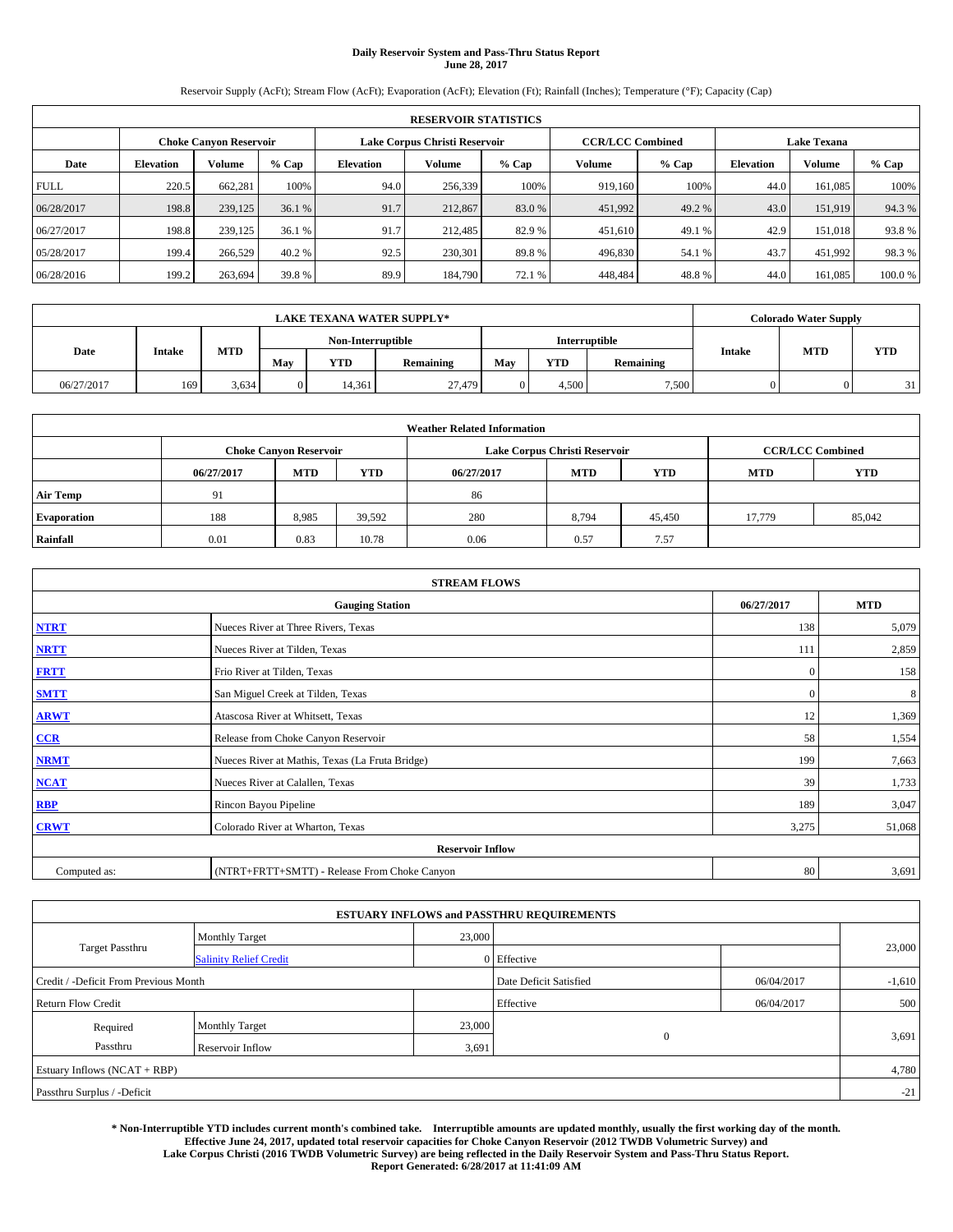# **Daily Reservoir System and Pass-Thru Status Report June 28, 2017**

Reservoir Supply (AcFt); Stream Flow (AcFt); Evaporation (AcFt); Elevation (Ft); Rainfall (Inches); Temperature (°F); Capacity (Cap)

| <b>RESERVOIR STATISTICS</b> |                  |                        |        |                  |                               |         |                         |         |                  |                    |        |
|-----------------------------|------------------|------------------------|--------|------------------|-------------------------------|---------|-------------------------|---------|------------------|--------------------|--------|
|                             |                  | Choke Canvon Reservoir |        |                  | Lake Corpus Christi Reservoir |         | <b>CCR/LCC Combined</b> |         |                  | <b>Lake Texana</b> |        |
| Date                        | <b>Elevation</b> | Volume                 | % Cap  | <b>Elevation</b> | <b>Volume</b>                 | $%$ Cap | Volume                  | $%$ Cap | <b>Elevation</b> | <b>Volume</b>      | % Cap  |
| <b>FULL</b>                 | 220.5            | 662,281                | 100%   | 94.0             | 256,339                       | 100%    | 919.160                 | 100%    | 44.0             | 161.085            | 100%   |
| 06/28/2017                  | 198.8            | 239,125                | 36.1 % | 91.7             | 212,867                       | 83.0 %  | 451,992                 | 49.2 %  | 43.0             | 151.919            | 94.3%  |
| 06/27/2017                  | 198.8            | 239,125                | 36.1 % | 91.7             | 212,485                       | 82.9 %  | 451,610                 | 49.1 %  | 42.9             | 151.018            | 93.8%  |
| 05/28/2017                  | 199.4            | 266,529                | 40.2 % | 92.5             | 230,301                       | 89.8%   | 496,830                 | 54.1 %  | 43.7             | 451,992            | 98.3%  |
| 06/28/2016                  | 199.2            | 263,694                | 39.8 % | 89.9             | 184,790                       | 72.1 %  | 448,484                 | 48.8%   | 44.0             | 161.085            | 100.0% |

| <b>LAKE TEXANA WATER SUPPLY*</b> |        |            |              |                   |           |     |               |           | <b>Colorado Water Supply</b> |            |            |
|----------------------------------|--------|------------|--------------|-------------------|-----------|-----|---------------|-----------|------------------------------|------------|------------|
|                                  |        |            |              | Non-Interruptible |           |     | Interruptible |           |                              |            |            |
| Date                             | Intake | <b>MTD</b> | May          | <b>YTD</b>        | Remaining | May | <b>YTD</b>    | Remaining | <b>Intake</b>                | <b>MTD</b> | <b>YTD</b> |
| 06/27/2017                       | 169    | 3.634      | $\mathbf{0}$ | 14.361            | 27,479    |     | 4.500         | 7,500     |                              |            | 31         |

| <b>Weather Related Information</b> |            |                               |            |            |                               |                         |            |            |  |
|------------------------------------|------------|-------------------------------|------------|------------|-------------------------------|-------------------------|------------|------------|--|
|                                    |            | <b>Choke Canyon Reservoir</b> |            |            | Lake Corpus Christi Reservoir | <b>CCR/LCC Combined</b> |            |            |  |
|                                    | 06/27/2017 | <b>MTD</b>                    | <b>YTD</b> | 06/27/2017 | <b>MTD</b>                    | <b>YTD</b>              | <b>MTD</b> | <b>YTD</b> |  |
| <b>Air Temp</b>                    | 91         |                               |            | 86         |                               |                         |            |            |  |
| <b>Evaporation</b>                 | 188        | 8,985                         | 39,592     | 280        | 8,794                         | 45,450                  | 17.779     | 85,042     |  |
| Rainfall                           | 0.01       | 0.83                          | 10.78      | 0.06       | 0.57                          | 7.57                    |            |            |  |

| <b>STREAM FLOWS</b> |                                                 |              |        |  |  |  |  |  |
|---------------------|-------------------------------------------------|--------------|--------|--|--|--|--|--|
|                     | 06/27/2017                                      | <b>MTD</b>   |        |  |  |  |  |  |
| <b>NTRT</b>         | Nueces River at Three Rivers, Texas             | 138          | 5,079  |  |  |  |  |  |
| <b>NRTT</b>         | Nueces River at Tilden, Texas                   | 111          | 2,859  |  |  |  |  |  |
| <b>FRTT</b>         | Frio River at Tilden, Texas                     | $\mathbf{0}$ | 158    |  |  |  |  |  |
| <b>SMTT</b>         | San Miguel Creek at Tilden, Texas               | $\mathbf{0}$ | 8      |  |  |  |  |  |
| <b>ARWT</b>         | Atascosa River at Whitsett, Texas               | 12           | 1,369  |  |  |  |  |  |
| $CCR$               | Release from Choke Canyon Reservoir             | 58           | 1,554  |  |  |  |  |  |
| <b>NRMT</b>         | Nueces River at Mathis, Texas (La Fruta Bridge) | 199          | 7,663  |  |  |  |  |  |
| <b>NCAT</b>         | Nueces River at Calallen, Texas                 | 39           | 1,733  |  |  |  |  |  |
| RBP                 | Rincon Bayou Pipeline                           | 189          | 3,047  |  |  |  |  |  |
| <b>CRWT</b>         | Colorado River at Wharton, Texas                | 3,275        | 51,068 |  |  |  |  |  |
|                     |                                                 |              |        |  |  |  |  |  |
| Computed as:        | (NTRT+FRTT+SMTT) - Release From Choke Canyon    | 80           | 3,691  |  |  |  |  |  |

|                                       |                               |        | <b>ESTUARY INFLOWS and PASSTHRU REQUIREMENTS</b> |            |          |  |  |  |
|---------------------------------------|-------------------------------|--------|--------------------------------------------------|------------|----------|--|--|--|
|                                       | <b>Monthly Target</b>         | 23,000 |                                                  |            |          |  |  |  |
| <b>Target Passthru</b>                | <b>Salinity Relief Credit</b> |        | 0 Effective                                      |            | 23,000   |  |  |  |
| Credit / -Deficit From Previous Month |                               |        | Date Deficit Satisfied                           | 06/04/2017 | $-1,610$ |  |  |  |
| <b>Return Flow Credit</b>             |                               |        | Effective                                        | 06/04/2017 | 500      |  |  |  |
| Required                              | <b>Monthly Target</b>         | 23,000 |                                                  |            |          |  |  |  |
| Passthru                              | <b>Reservoir Inflow</b>       | 3,691  | $\overline{0}$                                   |            | 3,691    |  |  |  |
| Estuary Inflows (NCAT + RBP)          |                               |        |                                                  |            |          |  |  |  |
| Passthru Surplus / -Deficit           |                               |        |                                                  |            | $-21$    |  |  |  |

**\* Non-Interruptible YTD includes current month's combined take. Interruptible amounts are updated monthly, usually the first working day of the month. Effective June 24, 2017, updated total reservoir capacities for Choke Canyon Reservoir (2012 TWDB Volumetric Survey) and Lake Corpus Christi (2016 TWDB Volumetric Survey) are being reflected in the Daily Reservoir System and Pass-Thru Status Report. Report Generated: 6/28/2017 at 11:41:09 AM**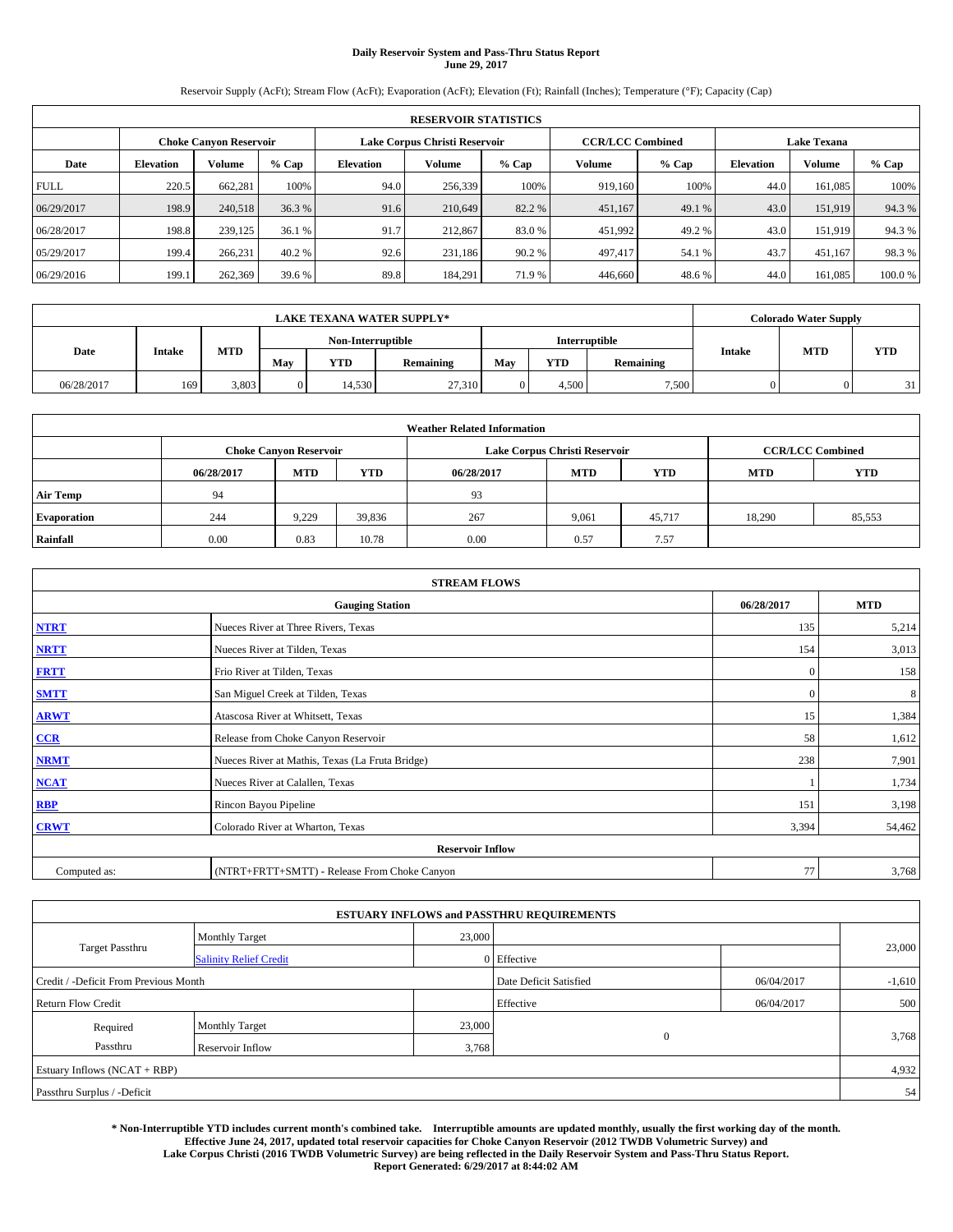# **Daily Reservoir System and Pass-Thru Status Report June 29, 2017**

Reservoir Supply (AcFt); Stream Flow (AcFt); Evaporation (AcFt); Elevation (Ft); Rainfall (Inches); Temperature (°F); Capacity (Cap)

| <b>RESERVOIR STATISTICS</b> |                  |                        |        |                  |                               |         |                         |         |                  |                    |        |
|-----------------------------|------------------|------------------------|--------|------------------|-------------------------------|---------|-------------------------|---------|------------------|--------------------|--------|
|                             |                  | Choke Canvon Reservoir |        |                  | Lake Corpus Christi Reservoir |         | <b>CCR/LCC Combined</b> |         |                  | <b>Lake Texana</b> |        |
| Date                        | <b>Elevation</b> | Volume                 | % Cap  | <b>Elevation</b> | <b>Volume</b>                 | $%$ Cap | Volume                  | $%$ Cap | <b>Elevation</b> | <b>Volume</b>      | % Cap  |
| <b>FULL</b>                 | 220.5            | 662,281                | 100%   | 94.0             | 256,339                       | 100%    | 919.160                 | 100%    | 44.0             | 161.085            | 100%   |
| 06/29/2017                  | 198.9            | 240,518                | 36.3 % | 91.6             | 210.649                       | 82.2 %  | 451,167                 | 49.1 %  | 43.0             | 151.919            | 94.3%  |
| 06/28/2017                  | 198.8            | 239,125                | 36.1 % | 91.7             | 212,867                       | 83.0 %  | 451,992                 | 49.2 %  | 43.0             | 151.919            | 94.3%  |
| 05/29/2017                  | 199.4            | 266,231                | 40.2 % | 92.6             | 231.186                       | 90.2 %  | 497.417                 | 54.1 %  | 43.7             | 451,167            | 98.3%  |
| 06/29/2016                  | 199.1            | 262,369                | 39.6 % | 89.8             | 184,291                       | 71.9 %  | 446,660                 | 48.6%   | 44.0             | 161.085            | 100.0% |

| <b>LAKE TEXANA WATER SUPPLY*</b> |                                                                             |       |              |        |               |     |           |               |            | <b>Colorado Water Supply</b> |    |
|----------------------------------|-----------------------------------------------------------------------------|-------|--------------|--------|---------------|-----|-----------|---------------|------------|------------------------------|----|
|                                  | Non-Interruptible<br><b>MTD</b><br>Intake<br><b>YTD</b><br>May<br>Remaining |       |              |        | Interruptible |     |           |               |            |                              |    |
| Date                             |                                                                             |       |              |        | May           | YTD | Remaining | <b>Intake</b> | <b>MTD</b> | <b>YTD</b>                   |    |
| 06/28/2017                       | 169                                                                         | 3,803 | $\mathbf{0}$ | 14.530 | 27,310        |     | 4.500     | 7,500         |            |                              | 31 |

| <b>Weather Related Information</b> |            |                               |            |            |                               |                         |            |            |  |
|------------------------------------|------------|-------------------------------|------------|------------|-------------------------------|-------------------------|------------|------------|--|
|                                    |            | <b>Choke Canyon Reservoir</b> |            |            | Lake Corpus Christi Reservoir | <b>CCR/LCC Combined</b> |            |            |  |
|                                    | 06/28/2017 | <b>MTD</b>                    | <b>YTD</b> | 06/28/2017 | <b>MTD</b>                    | <b>YTD</b>              | <b>MTD</b> | <b>YTD</b> |  |
| <b>Air Temp</b>                    | 94         |                               |            | 93         |                               |                         |            |            |  |
| <b>Evaporation</b>                 | 244        | 9,229                         | 39,836     | 267        | 9,061                         | 45.717                  | 18.290     | 85,553     |  |
| Rainfall                           | 0.00       | 0.83                          | 10.78      | 0.00       | 0.57                          | 7.57                    |            |            |  |

| <b>STREAM FLOWS</b> |                                                 |              |        |  |  |  |  |  |
|---------------------|-------------------------------------------------|--------------|--------|--|--|--|--|--|
|                     | 06/28/2017                                      | <b>MTD</b>   |        |  |  |  |  |  |
| <b>NTRT</b>         | Nueces River at Three Rivers, Texas             | 135          | 5,214  |  |  |  |  |  |
| <b>NRTT</b>         | Nueces River at Tilden, Texas                   | 154          | 3,013  |  |  |  |  |  |
| <b>FRTT</b>         | Frio River at Tilden, Texas                     | $\mathbf{0}$ | 158    |  |  |  |  |  |
| <b>SMTT</b>         | San Miguel Creek at Tilden, Texas               | $\mathbf{0}$ | 8      |  |  |  |  |  |
| <b>ARWT</b>         | Atascosa River at Whitsett, Texas               | 15           | 1,384  |  |  |  |  |  |
| $CCR$               | Release from Choke Canyon Reservoir             | 58           | 1,612  |  |  |  |  |  |
| <b>NRMT</b>         | Nueces River at Mathis, Texas (La Fruta Bridge) | 238          | 7,901  |  |  |  |  |  |
| <b>NCAT</b>         | Nueces River at Calallen, Texas                 |              | 1,734  |  |  |  |  |  |
| RBP                 | Rincon Bayou Pipeline                           | 151          | 3,198  |  |  |  |  |  |
| <b>CRWT</b>         | Colorado River at Wharton, Texas                | 3,394        | 54,462 |  |  |  |  |  |
|                     | <b>Reservoir Inflow</b>                         |              |        |  |  |  |  |  |
| Computed as:        | (NTRT+FRTT+SMTT) - Release From Choke Canyon    | 77           | 3,768  |  |  |  |  |  |

|                                       |                               |        | <b>ESTUARY INFLOWS and PASSTHRU REQUIREMENTS</b> |            |          |  |
|---------------------------------------|-------------------------------|--------|--------------------------------------------------|------------|----------|--|
| <b>Target Passthru</b>                | <b>Monthly Target</b>         | 23,000 |                                                  |            |          |  |
|                                       | <b>Salinity Relief Credit</b> |        | 0 Effective                                      |            | 23,000   |  |
| Credit / -Deficit From Previous Month |                               |        | Date Deficit Satisfied                           | 06/04/2017 | $-1,610$ |  |
| <b>Return Flow Credit</b>             |                               |        | Effective                                        | 06/04/2017 | 500      |  |
| Required                              | <b>Monthly Target</b>         | 23,000 |                                                  |            |          |  |
| Passthru                              | <b>Reservoir Inflow</b>       | 3,768  | $\mathbf{0}$                                     |            | 3,768    |  |
| Estuary Inflows (NCAT + RBP)          |                               |        |                                                  |            |          |  |
| Passthru Surplus / -Deficit           |                               |        |                                                  |            |          |  |

**\* Non-Interruptible YTD includes current month's combined take. Interruptible amounts are updated monthly, usually the first working day of the month. Effective June 24, 2017, updated total reservoir capacities for Choke Canyon Reservoir (2012 TWDB Volumetric Survey) and Lake Corpus Christi (2016 TWDB Volumetric Survey) are being reflected in the Daily Reservoir System and Pass-Thru Status Report. Report Generated: 6/29/2017 at 8:44:02 AM**